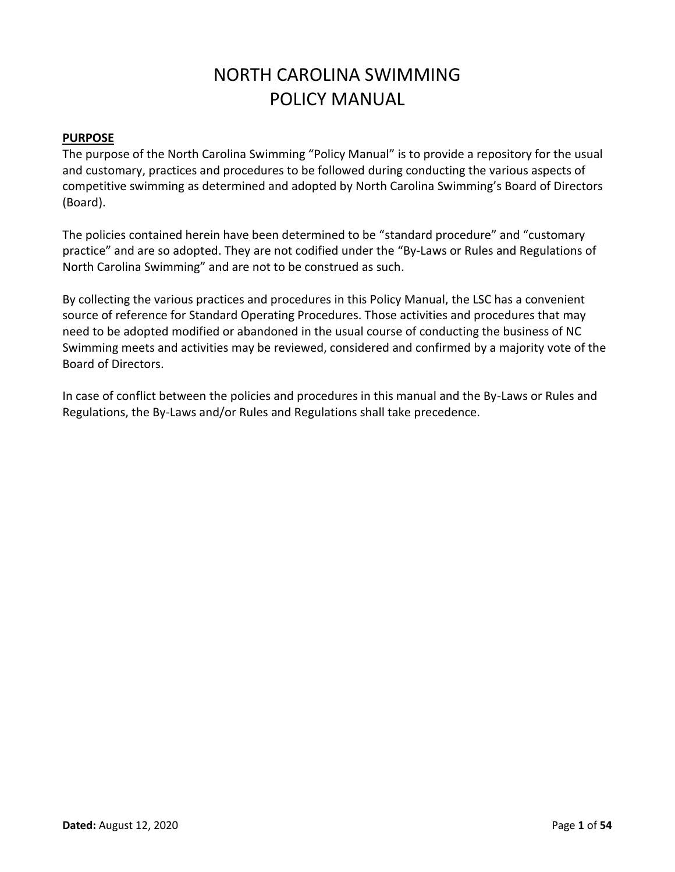# NORTH CAROLINA SWIMMING POLICY MANUAL

# **PURPOSE**

The purpose of the North Carolina Swimming "Policy Manual" is to provide a repository for the usual and customary, practices and procedures to be followed during conducting the various aspects of competitive swimming as determined and adopted by North Carolina Swimming's Board of Directors (Board).

The policies contained herein have been determined to be "standard procedure" and "customary practice" and are so adopted. They are not codified under the "By-Laws or Rules and Regulations of North Carolina Swimming" and are not to be construed as such.

By collecting the various practices and procedures in this Policy Manual, the LSC has a convenient source of reference for Standard Operating Procedures. Those activities and procedures that may need to be adopted modified or abandoned in the usual course of conducting the business of NC Swimming meets and activities may be reviewed, considered and confirmed by a majority vote of the Board of Directors.

In case of conflict between the policies and procedures in this manual and the By-Laws or Rules and Regulations, the By-Laws and/or Rules and Regulations shall take precedence.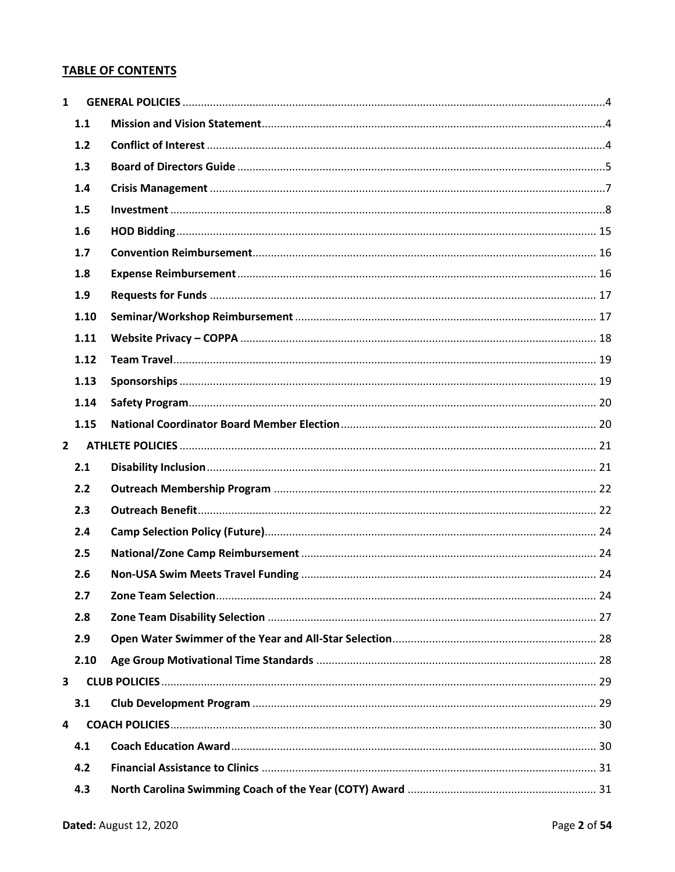# **TABLE OF CONTENTS**

| $\mathbf{1}$   |      |  |
|----------------|------|--|
|                | 1.1  |  |
|                | 1.2  |  |
|                | 1.3  |  |
|                | 1.4  |  |
|                | 1.5  |  |
|                | 1.6  |  |
|                | 1.7  |  |
|                | 1.8  |  |
|                | 1.9  |  |
|                | 1.10 |  |
|                | 1.11 |  |
|                | 1.12 |  |
|                | 1.13 |  |
|                | 1.14 |  |
|                | 1.15 |  |
| $\overline{2}$ |      |  |
|                | 2.1  |  |
|                | 2.2  |  |
|                | 2.3  |  |
|                | 2.4  |  |
|                | 2.5  |  |
|                | 2.6  |  |
|                | 2.7  |  |
|                | 2.8  |  |
|                | 2.9  |  |
|                | 2.10 |  |
| 3              |      |  |
|                | 3.1  |  |
| 4              |      |  |
|                | 4.1  |  |
|                | 4.2  |  |
|                | 4.3  |  |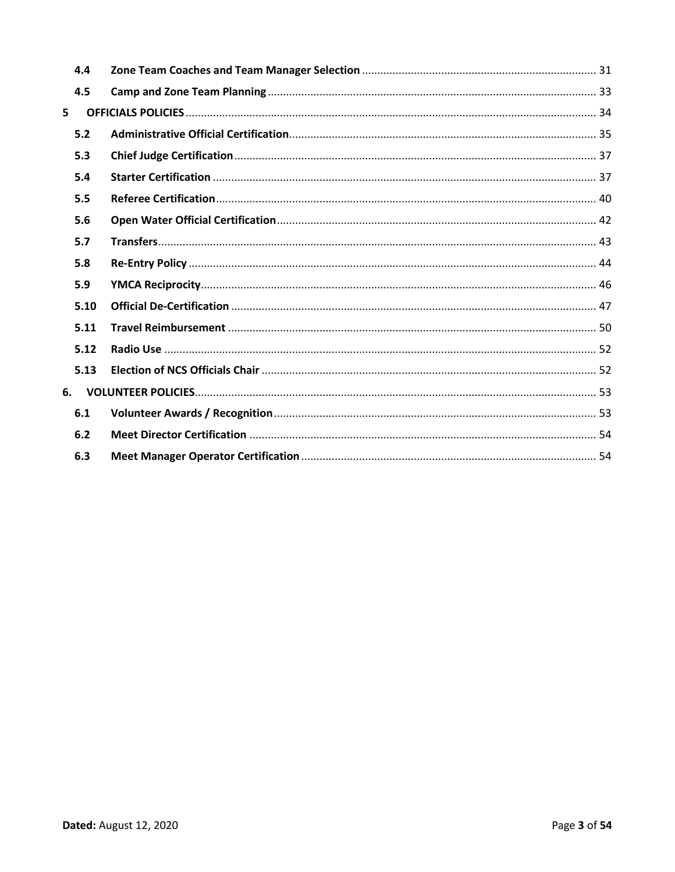| 4.4 |      |  |
|-----|------|--|
| 4.5 |      |  |
| 5   |      |  |
| 5.2 |      |  |
| 5.3 |      |  |
| 5.4 |      |  |
| 5.5 |      |  |
| 5.6 |      |  |
| 5.7 |      |  |
| 5.8 |      |  |
| 5.9 |      |  |
|     | 5.10 |  |
|     | 5.11 |  |
|     | 5.12 |  |
|     | 5.13 |  |
| 6.  |      |  |
| 6.1 |      |  |
| 6.2 |      |  |
| 6.3 |      |  |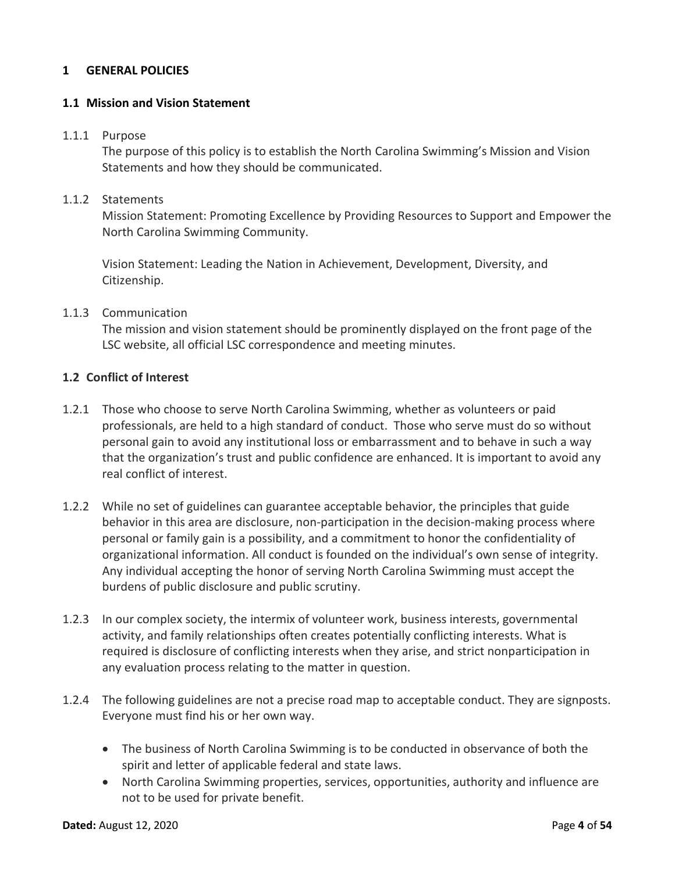### <span id="page-3-0"></span>**1 GENERAL POLICIES**

#### <span id="page-3-1"></span>**1.1 Mission and Vision Statement**

#### 1.1.1 Purpose

The purpose of this policy is to establish the North Carolina Swimming's Mission and Vision Statements and how they should be communicated.

# 1.1.2 Statements

Mission Statement: Promoting Excellence by Providing Resources to Support and Empower the North Carolina Swimming Community.

Vision Statement: Leading the Nation in Achievement, Development, Diversity, and Citizenship.

#### 1.1.3 Communication

The mission and vision statement should be prominently displayed on the front page of the LSC website, all official LSC correspondence and meeting minutes.

### <span id="page-3-2"></span>**1.2 Conflict of Interest**

- 1.2.1 Those who choose to serve North Carolina Swimming, whether as volunteers or paid professionals, are held to a high standard of conduct. Those who serve must do so without personal gain to avoid any institutional loss or embarrassment and to behave in such a way that the organization's trust and public confidence are enhanced. It is important to avoid any real conflict of interest.
- 1.2.2 While no set of guidelines can guarantee acceptable behavior, the principles that guide behavior in this area are disclosure, non-participation in the decision-making process where personal or family gain is a possibility, and a commitment to honor the confidentiality of organizational information. All conduct is founded on the individual's own sense of integrity. Any individual accepting the honor of serving North Carolina Swimming must accept the burdens of public disclosure and public scrutiny.
- 1.2.3 In our complex society, the intermix of volunteer work, business interests, governmental activity, and family relationships often creates potentially conflicting interests. What is required is disclosure of conflicting interests when they arise, and strict nonparticipation in any evaluation process relating to the matter in question.
- 1.2.4 The following guidelines are not a precise road map to acceptable conduct. They are signposts. Everyone must find his or her own way.
	- The business of North Carolina Swimming is to be conducted in observance of both the spirit and letter of applicable federal and state laws.
	- North Carolina Swimming properties, services, opportunities, authority and influence are not to be used for private benefit.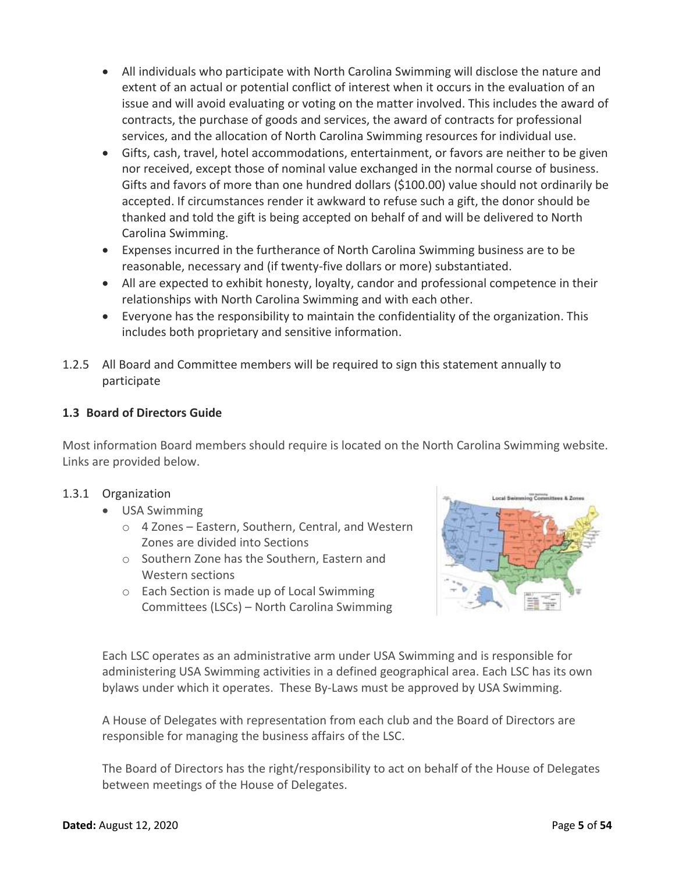- All individuals who participate with North Carolina Swimming will disclose the nature and extent of an actual or potential conflict of interest when it occurs in the evaluation of an issue and will avoid evaluating or voting on the matter involved. This includes the award of contracts, the purchase of goods and services, the award of contracts for professional services, and the allocation of North Carolina Swimming resources for individual use.
- Gifts, cash, travel, hotel accommodations, entertainment, or favors are neither to be given nor received, except those of nominal value exchanged in the normal course of business. Gifts and favors of more than one hundred dollars (\$100.00) value should not ordinarily be accepted. If circumstances render it awkward to refuse such a gift, the donor should be thanked and told the gift is being accepted on behalf of and will be delivered to North Carolina Swimming.
- Expenses incurred in the furtherance of North Carolina Swimming business are to be reasonable, necessary and (if twenty-five dollars or more) substantiated.
- All are expected to exhibit honesty, loyalty, candor and professional competence in their relationships with North Carolina Swimming and with each other.
- Everyone has the responsibility to maintain the confidentiality of the organization. This includes both proprietary and sensitive information.
- 1.2.5 All Board and Committee members will be required to sign this statement annually to participate

# <span id="page-4-0"></span>**1.3 Board of Directors Guide**

Most information Board members should require is located on the North Carolina Swimming website. Links are provided below.

# 1.3.1 Organization

- USA Swimming
	- o 4 Zones Eastern, Southern, Central, and Western Zones are divided into Sections
	- o Southern Zone has the Southern, Eastern and Western sections
	- o Each Section is made up of Local Swimming Committees (LSCs) – North Carolina Swimming



Each LSC operates as an administrative arm under USA Swimming and is responsible for administering USA Swimming activities in a defined geographical area. Each LSC has its own bylaws under which it operates. These By-Laws must be approved by USA Swimming.

A House of Delegates with representation from each club and the Board of Directors are responsible for managing the business affairs of the LSC.

The Board of Directors has the right/responsibility to act on behalf of the House of Delegates between meetings of the House of Delegates.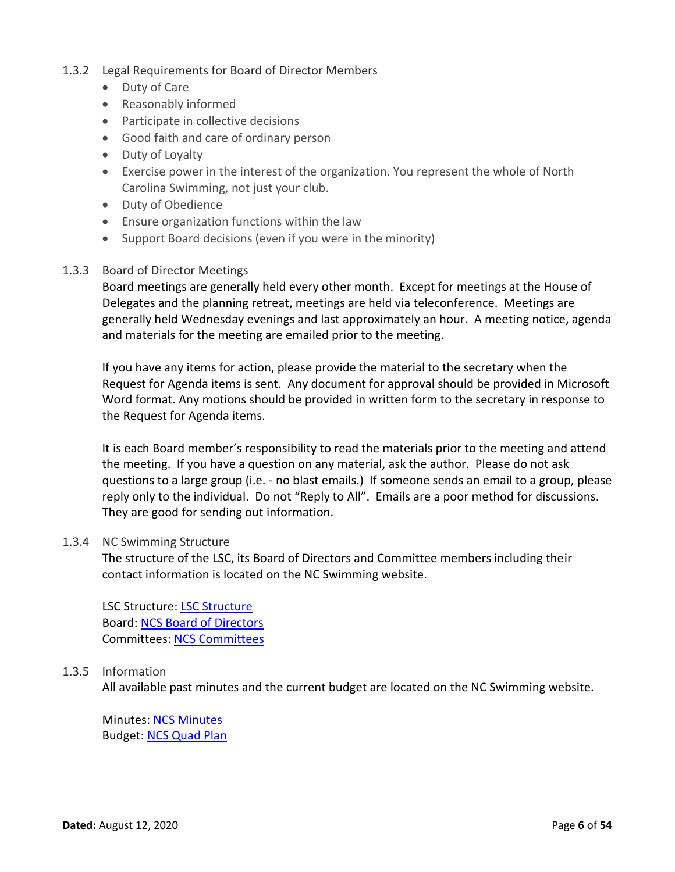# 1.3.2 Legal Requirements for Board of Director Members

- Duty of Care
- Reasonably informed
- Participate in collective decisions
- Good faith and care of ordinary person
- Duty of Loyalty
- Exercise power in the interest of the organization. You represent the whole of North Carolina Swimming, not just your club.
- Duty of Obedience
- Ensure organization functions within the law
- Support Board decisions (even if you were in the minority)

#### 1.3.3 Board of Director Meetings

Board meetings are generally held every other month. Except for meetings at the House of Delegates and the planning retreat, meetings are held via teleconference. Meetings are generally held Wednesday evenings and last approximately an hour. A meeting notice, agenda and materials for the meeting are emailed prior to the meeting.

If you have any items for action, please provide the material to the secretary when the Request for Agenda items is sent. Any document for approval should be provided in Microsoft Word format. Any motions should be provided in written form to the secretary in response to the Request for Agenda items.

It is each Board member's responsibility to read the materials prior to the meeting and attend the meeting. If you have a question on any material, ask the author. Please do not ask questions to a large group (i.e. - no blast emails.) If someone sends an email to a group, please reply only to the individual. Do not "Reply to All". Emails are a poor method for discussions. They are good for sending out information.

#### 1.3.4 NC Swimming Structure

The structure of the LSC, its Board of Directors and Committee members including their contact information is located on the NC Swimming website.

LSC Structure: [LSC Structure](http://www.ncswim.org/wp-content/uploads/2011/11/NCS-ORGANIZATION-CHART-2012-09-23.pdf) Board[: NCS Board of Directors](http://www.ncswim.org/board-members-org-chart-and-committees/) Committees: [NCS Committees](http://www.swimnc.com/?page_id=437)

# 1.3.5 Information

All available past minutes and the current budget are located on the NC Swimming website.

Minutes: [NCS Minutes](http://www.swimnc.com/?page_id=447) Budget: [NCS Quad Plan](http://www.ncswim.org/wp-content/uploads/2012/09/NCS-2013-to-2016-Quad-Budget-Final.pdf)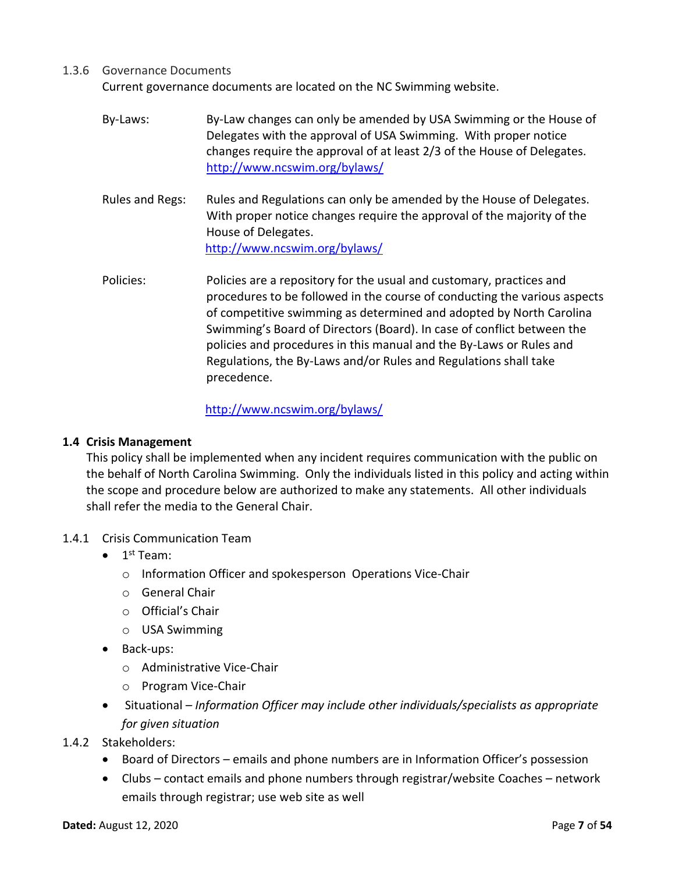### 1.3.6 Governance Documents

Current governance documents are located on the NC Swimming website.

- By-Laws: By-Law changes can only be amended by USA Swimming or the House of Delegates with the approval of USA Swimming. With proper notice changes require the approval of at least 2/3 of the House of Delegates. <http://www.ncswim.org/bylaws/>
- Rules and Regs: Rules and Regulations can only be amended by the House of Delegates. With proper notice changes require the approval of the majority of the House of Delegates. <http://www.ncswim.org/bylaws/>
- Policies: Policies are a repository for the usual and customary, practices and procedures to be followed in the course of conducting the various aspects of competitive swimming as determined and adopted by North Carolina Swimming's Board of Directors (Board). In case of conflict between the policies and procedures in this manual and the By-Laws or Rules and Regulations, the By-Laws and/or Rules and Regulations shall take precedence.

# <http://www.ncswim.org/bylaws/>

### <span id="page-6-0"></span>**1.4 Crisis Management**

This policy shall be implemented when any incident requires communication with the public on the behalf of North Carolina Swimming. Only the individuals listed in this policy and acting within the scope and procedure below are authorized to make any statements. All other individuals shall refer the media to the General Chair.

- 1.4.1 Crisis Communication Team
	- $\bullet$  1<sup>st</sup> Team:
		- o Information Officer and spokesperson Operations Vice-Chair
		- o General Chair
		- o Official's Chair
		- o USA Swimming
	- Back-ups:
		- o Administrative Vice-Chair
		- o Program Vice-Chair
	- Situational *– Information Officer may include other individuals/specialists as appropriate for given situation*
- 1.4.2 Stakeholders:
	- Board of Directors emails and phone numbers are in Information Officer's possession
	- Clubs contact emails and phone numbers through registrar/website Coaches network emails through registrar; use web site as well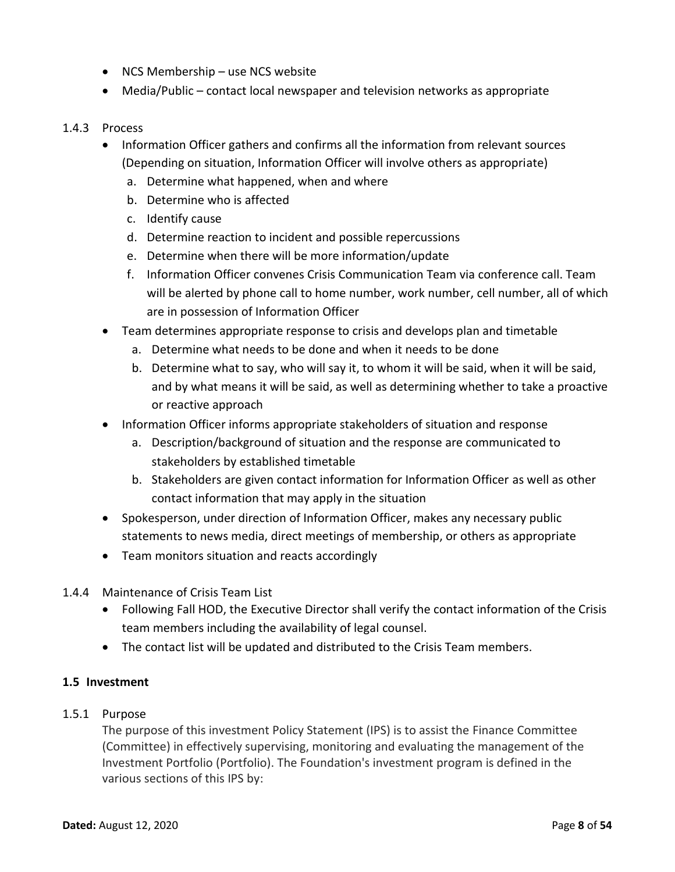- NCS Membership use NCS website
- Media/Public contact local newspaper and television networks as appropriate

# 1.4.3 Process

- Information Officer gathers and confirms all the information from relevant sources (Depending on situation, Information Officer will involve others as appropriate)
	- a. Determine what happened, when and where
	- b. Determine who is affected
	- c. Identify cause
	- d. Determine reaction to incident and possible repercussions
	- e. Determine when there will be more information/update
	- f. Information Officer convenes Crisis Communication Team via conference call. Team will be alerted by phone call to home number, work number, cell number, all of which are in possession of Information Officer
- Team determines appropriate response to crisis and develops plan and timetable
	- a. Determine what needs to be done and when it needs to be done
	- b. Determine what to say, who will say it, to whom it will be said, when it will be said, and by what means it will be said, as well as determining whether to take a proactive or reactive approach
- Information Officer informs appropriate stakeholders of situation and response
	- a. Description/background of situation and the response are communicated to stakeholders by established timetable
	- b. Stakeholders are given contact information for Information Officer as well as other contact information that may apply in the situation
- Spokesperson, under direction of Information Officer, makes any necessary public statements to news media, direct meetings of membership, or others as appropriate
- Team monitors situation and reacts accordingly
- 1.4.4 Maintenance of Crisis Team List
	- Following Fall HOD, the Executive Director shall verify the contact information of the Crisis team members including the availability of legal counsel.
	- The contact list will be updated and distributed to the Crisis Team members.

# <span id="page-7-0"></span>**1.5 Investment**

# 1.5.1 Purpose

The purpose of this investment Policy Statement (IPS) is to assist the Finance Committee (Committee) in effectively supervising, monitoring and evaluating the management of the Investment Portfolio (Portfolio). The Foundation's investment program is defined in the various sections of this IPS by: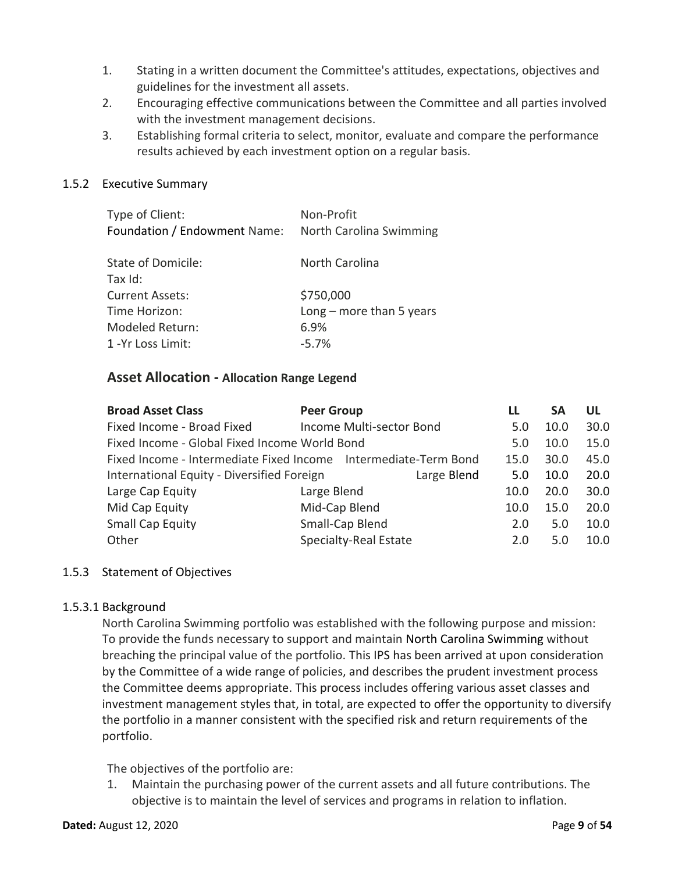- 1. Stating in a written document the Committee's attitudes, expectations, objectives and guidelines for the investment all assets.
- 2. Encouraging effective communications between the Committee and all parties involved with the investment management decisions.
- 3. Establishing formal criteria to select, monitor, evaluate and compare the performance results achieved by each investment option on a regular basis.

# 1.5.2 Executive Summary

| Type of Client:              | Non-Profit                     |
|------------------------------|--------------------------------|
| Foundation / Endowment Name: | <b>North Carolina Swimming</b> |

| State of Domicile:     | North Carolina             |
|------------------------|----------------------------|
| Tax Id:                |                            |
| <b>Current Assets:</b> | \$750,000                  |
| Time Horizon:          | $Long$ – more than 5 years |
| <b>Modeled Return:</b> | 6.9%                       |
| 1 - Yr Loss Limit:     | $-5.7%$                    |

# **Asset Allocation - Allocation Range Legend**

| <b>Broad Asset Class</b>                                        | <b>Peer Group</b>        | LL   | SΑ   | UL   |
|-----------------------------------------------------------------|--------------------------|------|------|------|
| Fixed Income - Broad Fixed                                      | Income Multi-sector Bond | 5.0  | 10.0 | 30.0 |
| Fixed Income - Global Fixed Income World Bond                   |                          | 5.0  | 10.0 | 15.0 |
| Fixed Income - Intermediate Fixed Income Intermediate-Term Bond |                          | 15.0 | 30.0 | 45.0 |
| International Equity - Diversified Foreign<br>Large Blend       |                          |      | 10.0 | 20.0 |
| Large Cap Equity                                                | Large Blend              | 10.0 | 20.0 | 30.0 |
| Mid Cap Equity                                                  | Mid-Cap Blend            | 10.0 | 15.0 | 20.0 |
| <b>Small Cap Equity</b>                                         | Small-Cap Blend          | 2.0  | 5.0  | 10.0 |
| Other                                                           | Specialty-Real Estate    | 2.0  | 5.0  | 10.0 |

# 1.5.3 Statement of Objectives

# 1.5.3.1 Background

North Carolina Swimming portfolio was established with the following purpose and mission: To provide the funds necessary to support and maintain North Carolina Swimming without breaching the principal value of the portfolio. This IPS has been arrived at upon consideration by the Committee of a wide range of policies, and describes the prudent investment process the Committee deems appropriate. This process includes offering various asset classes and investment management styles that, in total, are expected to offer the opportunity to diversify the portfolio in a manner consistent with the specified risk and return requirements of the portfolio.

The objectives of the portfolio are:

1. Maintain the purchasing power of the current assets and all future contributions. The objective is to maintain the level of services and programs in relation to inflation.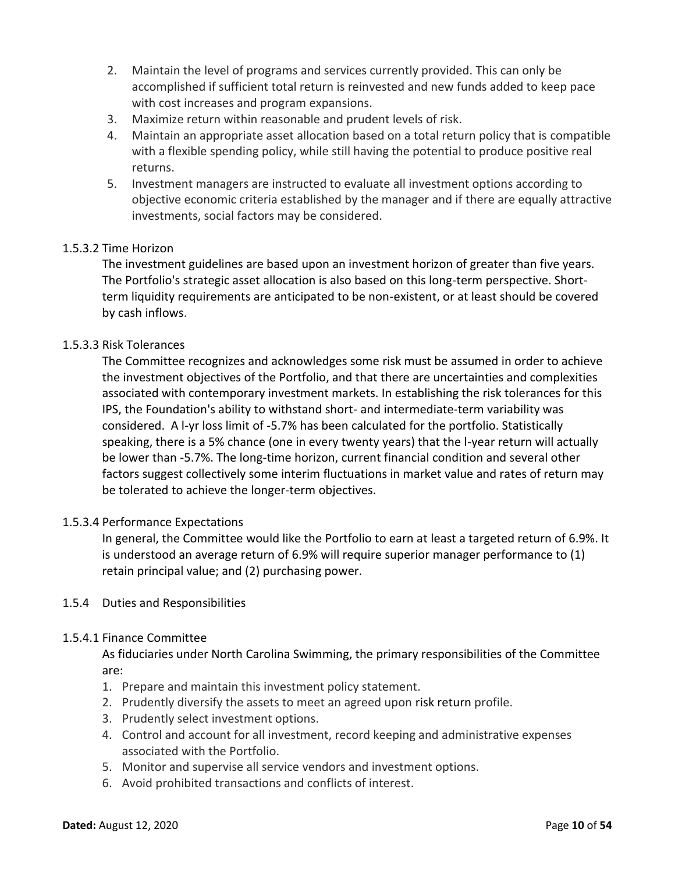- 2. Maintain the level of programs and services currently provided. This can only be accomplished if sufficient total return is reinvested and new funds added to keep pace with cost increases and program expansions.
- 3. Maximize return within reasonable and prudent levels of risk.
- 4. Maintain an appropriate asset allocation based on a total return policy that is compatible with a flexible spending policy, while still having the potential to produce positive real returns.
- 5. Investment managers are instructed to evaluate all investment options according to objective economic criteria established by the manager and if there are equally attractive investments, social factors may be considered.

# 1.5.3.2 Time Horizon

The investment guidelines are based upon an investment horizon of greater than five years. The Portfolio's strategic asset allocation is also based on this long-term perspective. Shortterm liquidity requirements are anticipated to be non-existent, or at least should be covered by cash inflows.

# 1.5.3.3 Risk Tolerances

The Committee recognizes and acknowledges some risk must be assumed in order to achieve the investment objectives of the Portfolio, and that there are uncertainties and complexities associated with contemporary investment markets. In establishing the risk tolerances for this IPS, the Foundation's ability to withstand short- and intermediate-term variability was considered. A l-yr loss limit of -5.7% has been calculated for the portfolio. Statistically speaking, there is a 5% chance (one in every twenty years) that the l-year return will actually be lower than -5.7%. The long-time horizon, current financial condition and several other factors suggest collectively some interim fluctuations in market value and rates of return may be tolerated to achieve the longer-term objectives.

#### 1.5.3.4 Performance Expectations

In general, the Committee would like the Portfolio to earn at least a targeted return of 6.9%. It is understood an average return of 6.9% will require superior manager performance to (1) retain principal value; and (2) purchasing power.

#### 1.5.4 Duties and Responsibilities

#### 1.5.4.1 Finance Committee

As fiduciaries under North Carolina Swimming, the primary responsibilities of the Committee are:

- 1. Prepare and maintain this investment policy statement.
- 2. Prudently diversify the assets to meet an agreed upon risk return profile.
- 3. Prudently select investment options.
- 4. Control and account for all investment, record keeping and administrative expenses associated with the Portfolio.
- 5. Monitor and supervise all service vendors and investment options.
- 6. Avoid prohibited transactions and conflicts of interest.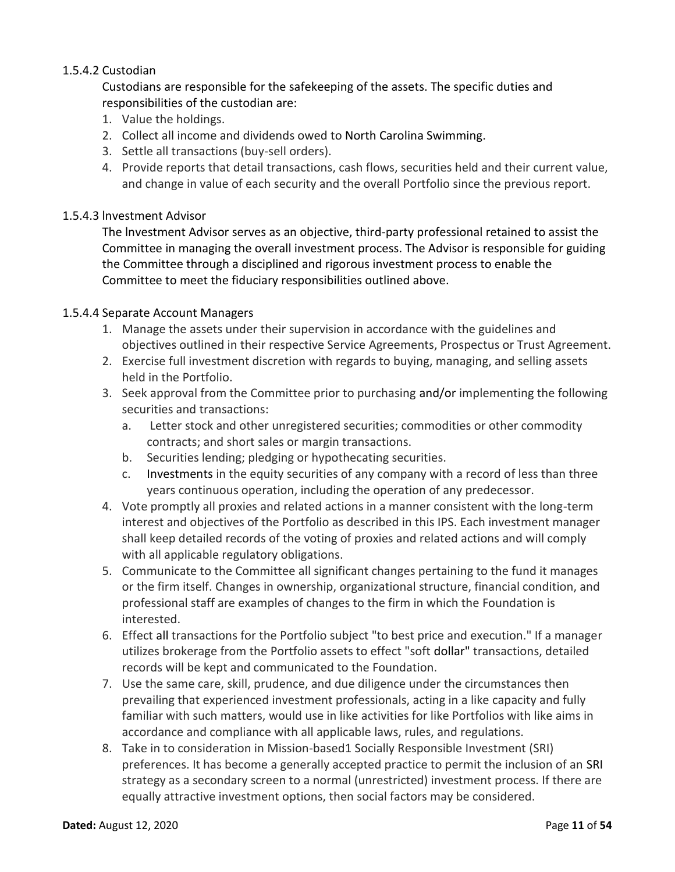# 1.5.4.2 Custodian

Custodians are responsible for the safekeeping of the assets. The specific duties and responsibilities of the custodian are:

- 1. Value the holdings.
- 2. Collect all income and dividends owed to North Carolina Swimming.
- 3. Settle all transactions (buy-sell orders).
- 4. Provide reports that detail transactions, cash flows, securities held and their current value, and change in value of each security and the overall Portfolio since the previous report.

# 1.5.4.3 lnvestment Advisor

The lnvestment Advisor serves as an objective, third-party professional retained to assist the Committee in managing the overall investment process. The Advisor is responsible for guiding the Committee through a disciplined and rigorous investment process to enable the Committee to meet the fiduciary responsibilities outlined above.

#### 1.5.4.4 Separate Account Managers

- 1. Manage the assets under their supervision in accordance with the guidelines and objectives outlined in their respective Service Agreements, Prospectus or Trust Agreement.
- 2. Exercise full investment discretion with regards to buying, managing, and selling assets held in the Portfolio.
- 3. Seek approval from the Committee prior to purchasing and/or implementing the following securities and transactions:
	- a. Letter stock and other unregistered securities; commodities or other commodity contracts; and short sales or margin transactions.
	- b. Securities lending; pledging or hypothecating securities.
	- c. Investments in the equity securities of any company with a record of less than three years continuous operation, including the operation of any predecessor.
- 4. Vote promptly all proxies and related actions in a manner consistent with the long-term interest and objectives of the Portfolio as described in this IPS. Each investment manager shall keep detailed records of the voting of proxies and related actions and will comply with all applicable regulatory obligations.
- 5. Communicate to the Committee all significant changes pertaining to the fund it manages or the firm itself. Changes in ownership, organizational structure, financial condition, and professional staff are examples of changes to the firm in which the Foundation is interested.
- 6. Effect all transactions for the Portfolio subject "to best price and execution." If a manager utilizes brokerage from the Portfolio assets to effect "soft dollar" transactions, detailed records will be kept and communicated to the Foundation.
- 7. Use the same care, skill, prudence, and due diligence under the circumstances then prevailing that experienced investment professionals, acting in a like capacity and fully familiar with such matters, would use in like activities for like Portfolios with like aims in accordance and compliance with all applicable laws, rules, and regulations.
- 8. Take in to consideration in Mission-based1 Socially Responsible Investment (SRI) preferences. It has become a generally accepted practice to permit the inclusion of an SRI strategy as a secondary screen to a normal (unrestricted) investment process. If there are equally attractive investment options, then social factors may be considered.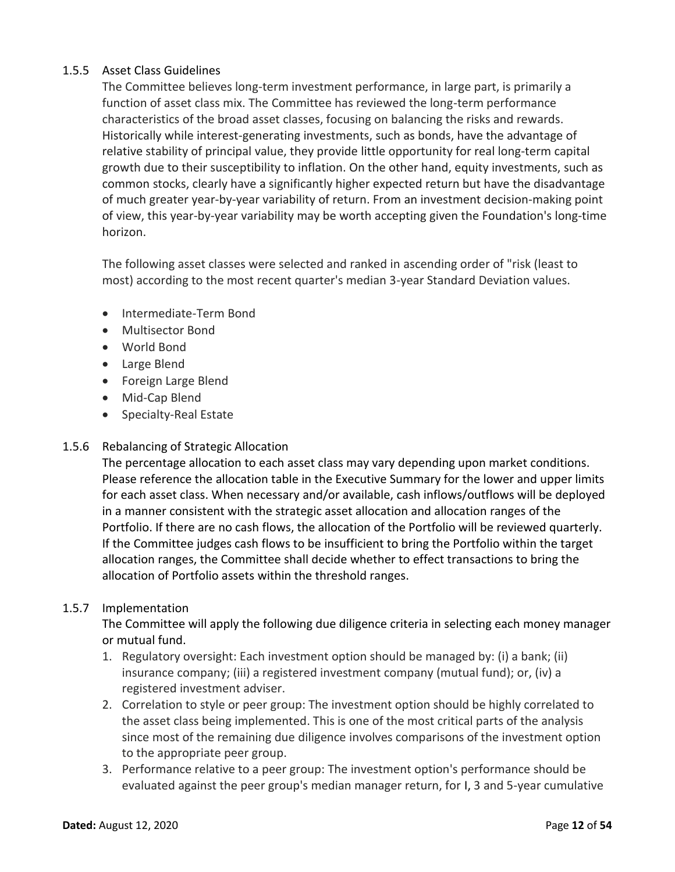# 1.5.5 Asset Class Guidelines

The Committee believes long-term investment performance, in large part, is primarily a function of asset class mix. The Committee has reviewed the long-term performance characteristics of the broad asset classes, focusing on balancing the risks and rewards. Historically while interest-generating investments, such as bonds, have the advantage of relative stability of principal value, they provide little opportunity for real long-term capital growth due to their susceptibility to inflation. On the other hand, equity investments, such as common stocks, clearly have a significantly higher expected return but have the disadvantage of much greater year-by-year variability of return. From an investment decision-making point of view, this year-by-year variability may be worth accepting given the Foundation's long-time horizon.

The following asset classes were selected and ranked in ascending order of "risk (least to most) according to the most recent quarter's median 3-year Standard Deviation values.

- Intermediate-Term Bond
- Multisector Bond
- World Bond
- Large Blend
- Foreign Large Blend
- Mid-Cap Blend
- Specialty-Real Estate

# 1.5.6 Rebalancing of Strategic Allocation

The percentage allocation to each asset class may vary depending upon market conditions. Please reference the allocation table in the Executive Summary for the lower and upper limits for each asset class. When necessary and/or available, cash inflows/outflows will be deployed in a manner consistent with the strategic asset allocation and allocation ranges of the Portfolio. If there are no cash flows, the allocation of the Portfolio will be reviewed quarterly. If the Committee judges cash flows to be insufficient to bring the Portfolio within the target allocation ranges, the Committee shall decide whether to effect transactions to bring the allocation of Portfolio assets within the threshold ranges.

# 1.5.7 Implementation

The Committee will apply the following due diligence criteria in selecting each money manager or mutual fund.

- 1. Regulatory oversight: Each investment option should be managed by: (i) a bank; (ii) insurance company; (iii) a registered investment company (mutual fund); or, (iv) a registered investment adviser.
- 2. Correlation to style or peer group: The investment option should be highly correlated to the asset class being implemented. This is one of the most critical parts of the analysis since most of the remaining due diligence involves comparisons of the investment option to the appropriate peer group.
- 3. Performance relative to a peer group: The investment option's performance should be evaluated against the peer group's median manager return, for I, 3 and 5-year cumulative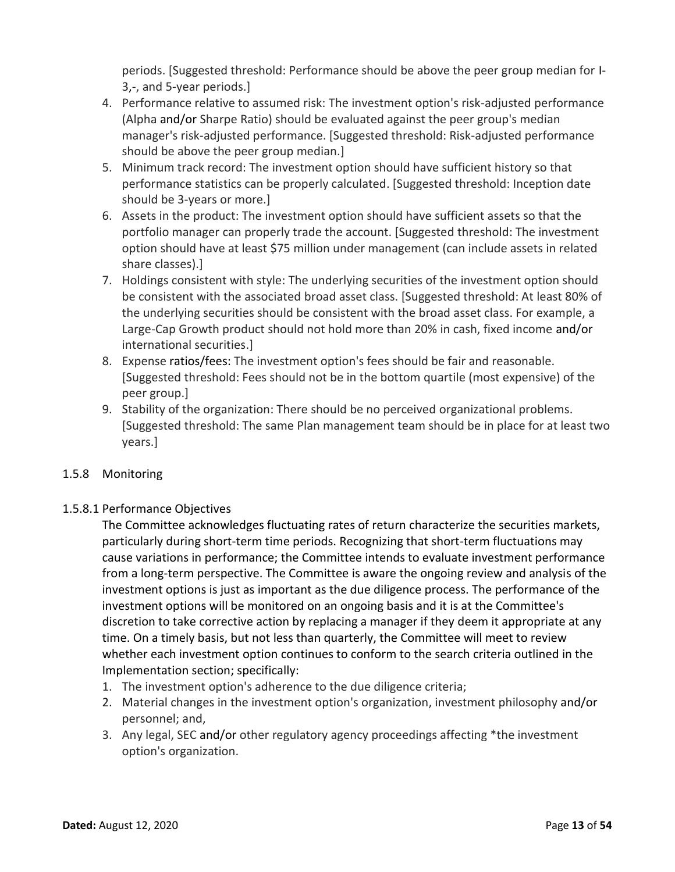periods. [Suggested threshold: Performance should be above the peer group median for I-3,-, and 5-year periods.]

- 4. Performance relative to assumed risk: The investment option's risk-adjusted performance (Alpha and/or Sharpe Ratio) should be evaluated against the peer group's median manager's risk-adjusted performance. [Suggested threshold: Risk-adjusted performance should be above the peer group median.]
- 5. Minimum track record: The investment option should have sufficient history so that performance statistics can be properly calculated. [Suggested threshold: Inception date should be 3-years or more.]
- 6. Assets in the product: The investment option should have sufficient assets so that the portfolio manager can properly trade the account. [Suggested threshold: The investment option should have at least \$75 million under management (can include assets in related share classes).]
- 7. Holdings consistent with style: The underlying securities of the investment option should be consistent with the associated broad asset class. [Suggested threshold: At least 80% of the underlying securities should be consistent with the broad asset class. For example, a Large-Cap Growth product should not hold more than 20% in cash, fixed income and/or international securities.]
- 8. Expense ratios/fees: The investment option's fees should be fair and reasonable. [Suggested threshold: Fees should not be in the bottom quartile (most expensive) of the peer group.]
- 9. Stability of the organization: There should be no perceived organizational problems. [Suggested threshold: The same Plan management team should be in place for at least two years.]

# 1.5.8 Monitoring

# 1.5.8.1 Performance Objectives

The Committee acknowledges fluctuating rates of return characterize the securities markets, particularly during short-term time periods. Recognizing that short-term fluctuations may cause variations in performance; the Committee intends to evaluate investment performance from a long-term perspective. The Committee is aware the ongoing review and analysis of the investment options is just as important as the due diligence process. The performance of the investment options will be monitored on an ongoing basis and it is at the Committee's discretion to take corrective action by replacing a manager if they deem it appropriate at any time. On a timely basis, but not less than quarterly, the Committee will meet to review whether each investment option continues to conform to the search criteria outlined in the Implementation section; specifically:

- 1. The investment option's adherence to the due diligence criteria;
- 2. Material changes in the investment option's organization, investment philosophy and/or personnel; and,
- 3. Any legal, SEC and/or other regulatory agency proceedings affecting \*the investment option's organization.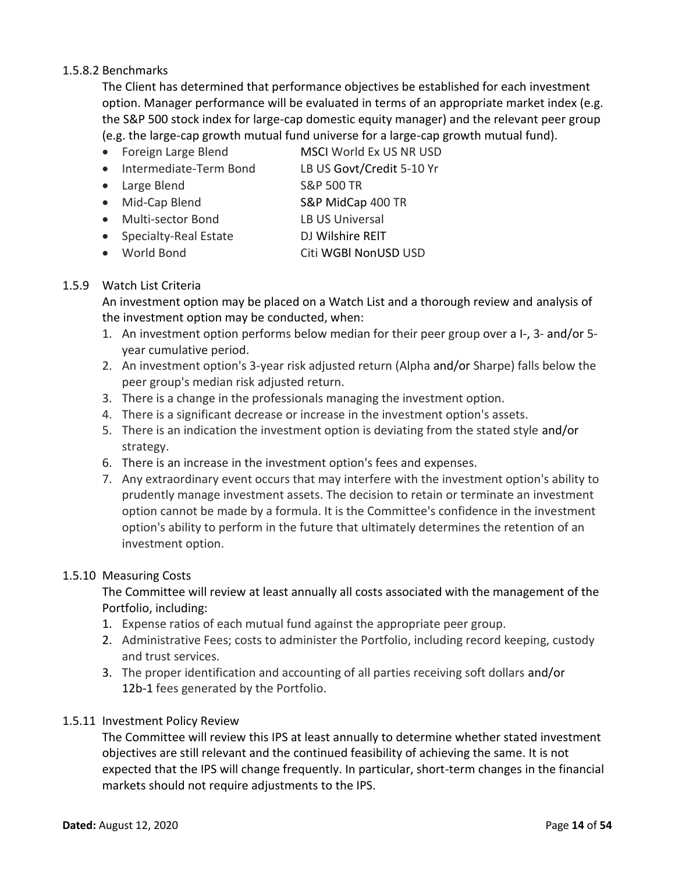# 1.5.8.2 Benchmarks

The Client has determined that performance objectives be established for each investment option. Manager performance will be evaluated in terms of an appropriate market index (e.g. the S&P 500 stock index for large-cap domestic equity manager) and the relevant peer group (e.g. the large-cap growth mutual fund universe for a large-cap growth mutual fund).

- Foreign Large Blend MSCI World Ex US NR USD
- Intermediate-Term Bond LB US Govt/Credit 5-10 Yr
- Large Blend S&P 500 TR
- Mid-Cap Blend S&P MidCap 400 TR
- Multi-sector Bond LB US Universal
- Specialty-Real Estate DJ Wilshire REIT
- -
- World Bond Citi WGBl NonUSD USD

# 1.5.9 Watch List Criteria

An investment option may be placed on a Watch List and a thorough review and analysis of the investment option may be conducted, when:

- 1. An investment option performs below median for their peer group over a I-, 3- and/or 5 year cumulative period.
- 2. An investment option's 3-year risk adjusted return (Alpha and/or Sharpe) falls below the peer group's median risk adjusted return.
- 3. There is a change in the professionals managing the investment option.
- 4. There is a significant decrease or increase in the investment option's assets.
- 5. There is an indication the investment option is deviating from the stated style and/or strategy.
- 6. There is an increase in the investment option's fees and expenses.
- 7. Any extraordinary event occurs that may interfere with the investment option's ability to prudently manage investment assets. The decision to retain or terminate an investment option cannot be made by a formula. It is the Committee's confidence in the investment option's ability to perform in the future that ultimately determines the retention of an investment option.

# 1.5.10 Measuring Costs

The Committee will review at least annually all costs associated with the management of the Portfolio, including:

- 1. Expense ratios of each mutual fund against the appropriate peer group.
- 2. Administrative Fees; costs to administer the Portfolio, including record keeping, custody and trust services.
- 3. The proper identification and accounting of all parties receiving soft dollars and/or 12b-1 fees generated by the Portfolio.

# 1.5.11 Investment Policy Review

The Committee will review this IPS at least annually to determine whether stated investment objectives are still relevant and the continued feasibility of achieving the same. It is not expected that the IPS will change frequently. In particular, short-term changes in the financial markets should not require adjustments to the IPS.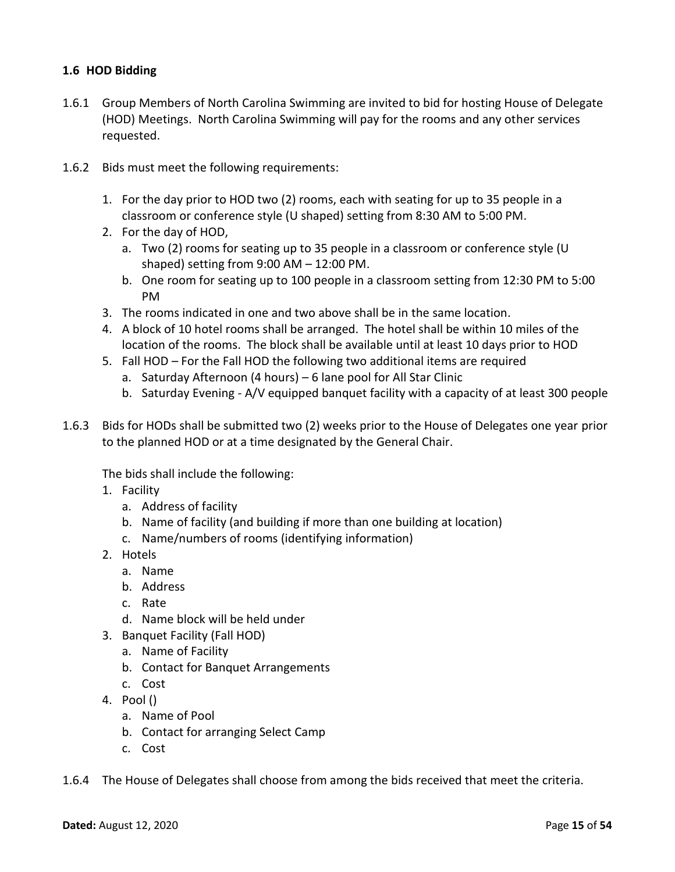# <span id="page-14-0"></span>**1.6 HOD Bidding**

- 1.6.1 Group Members of North Carolina Swimming are invited to bid for hosting House of Delegate (HOD) Meetings. North Carolina Swimming will pay for the rooms and any other services requested.
- 1.6.2 Bids must meet the following requirements:
	- 1. For the day prior to HOD two (2) rooms, each with seating for up to 35 people in a classroom or conference style (U shaped) setting from 8:30 AM to 5:00 PM.
	- 2. For the day of HOD,
		- a. Two (2) rooms for seating up to 35 people in a classroom or conference style (U shaped) setting from 9:00 AM – 12:00 PM.
		- b. One room for seating up to 100 people in a classroom setting from 12:30 PM to 5:00 PM
	- 3. The rooms indicated in one and two above shall be in the same location.
	- 4. A block of 10 hotel rooms shall be arranged. The hotel shall be within 10 miles of the location of the rooms. The block shall be available until at least 10 days prior to HOD
	- 5. Fall HOD For the Fall HOD the following two additional items are required
		- a. Saturday Afternoon (4 hours) 6 lane pool for All Star Clinic
		- b. Saturday Evening A/V equipped banquet facility with a capacity of at least 300 people
- 1.6.3 Bids for HODs shall be submitted two (2) weeks prior to the House of Delegates one year prior to the planned HOD or at a time designated by the General Chair.

The bids shall include the following:

- 1. Facility
	- a. Address of facility
	- b. Name of facility (and building if more than one building at location)
	- c. Name/numbers of rooms (identifying information)
- 2. Hotels
	- a. Name
	- b. Address
	- c. Rate
	- d. Name block will be held under
- 3. Banquet Facility (Fall HOD)
	- a. Name of Facility
	- b. Contact for Banquet Arrangements
	- c. Cost
- 4. Pool ()
	- a. Name of Pool
	- b. Contact for arranging Select Camp
	- c. Cost
- 1.6.4 The House of Delegates shall choose from among the bids received that meet the criteria.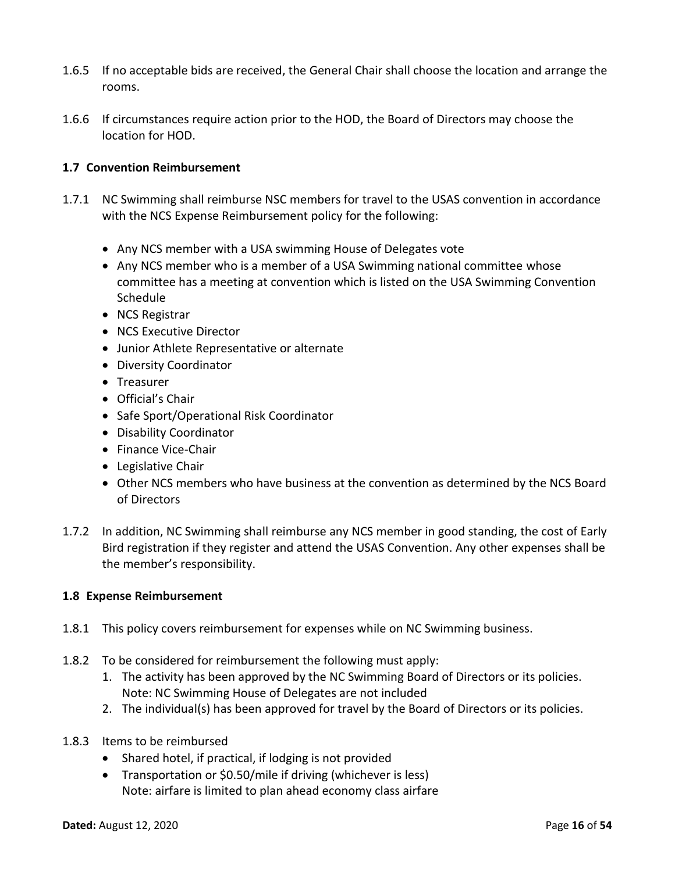- 1.6.5 If no acceptable bids are received, the General Chair shall choose the location and arrange the rooms.
- 1.6.6 If circumstances require action prior to the HOD, the Board of Directors may choose the location for HOD.

# <span id="page-15-0"></span>**1.7 Convention Reimbursement**

- 1.7.1 NC Swimming shall reimburse NSC members for travel to the USAS convention in accordance with the NCS Expense Reimbursement policy for the following:
	- Any NCS member with a USA swimming House of Delegates vote
	- Any NCS member who is a member of a USA Swimming national committee whose committee has a meeting at convention which is listed on the USA Swimming Convention Schedule
	- NCS Registrar
	- NCS Executive Director
	- Junior Athlete Representative or alternate
	- Diversity Coordinator
	- Treasurer
	- Official's Chair
	- Safe Sport/Operational Risk Coordinator
	- Disability Coordinator
	- Finance Vice-Chair
	- Legislative Chair
	- Other NCS members who have business at the convention as determined by the NCS Board of Directors
- 1.7.2 In addition, NC Swimming shall reimburse any NCS member in good standing, the cost of Early Bird registration if they register and attend the USAS Convention. Any other expenses shall be the member's responsibility.

# <span id="page-15-1"></span>**1.8 Expense Reimbursement**

- 1.8.1 This policy covers reimbursement for expenses while on NC Swimming business.
- 1.8.2 To be considered for reimbursement the following must apply:
	- 1. The activity has been approved by the NC Swimming Board of Directors or its policies. Note: NC Swimming House of Delegates are not included
	- 2. The individual(s) has been approved for travel by the Board of Directors or its policies.
- 1.8.3 Items to be reimbursed
	- Shared hotel, if practical, if lodging is not provided
	- Transportation or \$0.50/mile if driving (whichever is less) Note: airfare is limited to plan ahead economy class airfare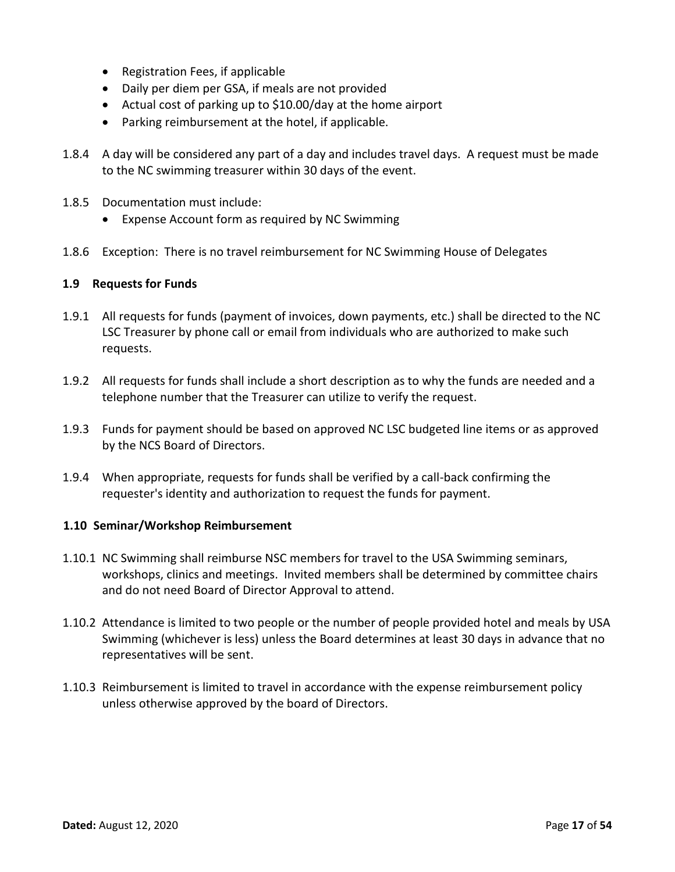- Registration Fees, if applicable
- Daily per diem per GSA, if meals are not provided
- Actual cost of parking up to \$10.00/day at the home airport
- Parking reimbursement at the hotel, if applicable.
- 1.8.4 A day will be considered any part of a day and includes travel days. A request must be made to the NC swimming treasurer within 30 days of the event.
- 1.8.5 Documentation must include:
	- Expense Account form as required by NC Swimming
- 1.8.6 Exception: There is no travel reimbursement for NC Swimming House of Delegates

#### <span id="page-16-0"></span>**1.9 Requests for Funds**

- 1.9.1 All requests for funds (payment of invoices, down payments, etc.) shall be directed to the NC LSC Treasurer by phone call or email from individuals who are authorized to make such requests.
- 1.9.2 All requests for funds shall include a short description as to why the funds are needed and a telephone number that the Treasurer can utilize to verify the request.
- 1.9.3 Funds for payment should be based on approved NC LSC budgeted line items or as approved by the NCS Board of Directors.
- 1.9.4 When appropriate, requests for funds shall be verified by a call-back confirming the requester's identity and authorization to request the funds for payment.

#### <span id="page-16-1"></span>**1.10 Seminar/Workshop Reimbursement**

- 1.10.1 NC Swimming shall reimburse NSC members for travel to the USA Swimming seminars, workshops, clinics and meetings. Invited members shall be determined by committee chairs and do not need Board of Director Approval to attend.
- 1.10.2 Attendance is limited to two people or the number of people provided hotel and meals by USA Swimming (whichever is less) unless the Board determines at least 30 days in advance that no representatives will be sent.
- 1.10.3 Reimbursement is limited to travel in accordance with the expense reimbursement policy unless otherwise approved by the board of Directors.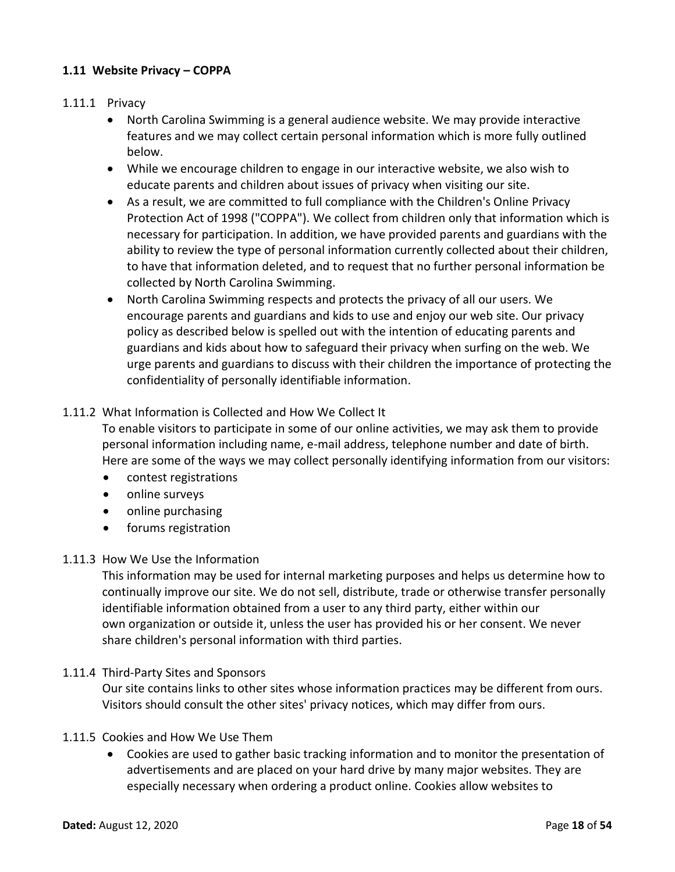# <span id="page-17-0"></span>**1.11 Website Privacy – COPPA**

### 1.11.1 Privacy

- North Carolina Swimming is a general audience website. We may provide interactive features and we may collect certain personal information which is more fully outlined below.
- While we encourage children to engage in our interactive website, we also wish to educate parents and children about issues of privacy when visiting our site.
- As a result, we are committed to full compliance with the Children's Online Privacy Protection Act of 1998 ("COPPA"). We collect from children only that information which is necessary for participation. In addition, we have provided parents and guardians with the ability to review the type of personal information currently collected about their children, to have that information deleted, and to request that no further personal information be collected by North Carolina Swimming.
- North Carolina Swimming respects and protects the privacy of all our users. We encourage parents and guardians and kids to use and enjoy our web site. Our privacy policy as described below is spelled out with the intention of educating parents and guardians and kids about how to safeguard their privacy when surfing on the web. We urge parents and guardians to discuss with their children the importance of protecting the confidentiality of personally identifiable information.

# 1.11.2 What Information is Collected and How We Collect It

To enable visitors to participate in some of our online activities, we may ask them to provide personal information including name, e-mail address, telephone number and date of birth. Here are some of the ways we may collect personally identifying information from our visitors:

- contest registrations
- online surveys
- online purchasing
- forums registration

#### 1.11.3 How We Use the Information

This information may be used for internal marketing purposes and helps us determine how to continually improve our site. We do not sell, distribute, trade or otherwise transfer personally identifiable information obtained from a user to any third party, either within our own organization or outside it, unless the user has provided his or her consent. We never share children's personal information with third parties.

#### 1.11.4 Third-Party Sites and Sponsors

Our site contains links to other sites whose information practices may be different from ours. Visitors should consult the other sites' privacy notices, which may differ from ours.

#### 1.11.5 Cookies and How We Use Them

• Cookies are used to gather basic tracking information and to monitor the presentation of advertisements and are placed on your hard drive by many major websites. They are especially necessary when ordering a product online. Cookies allow websites to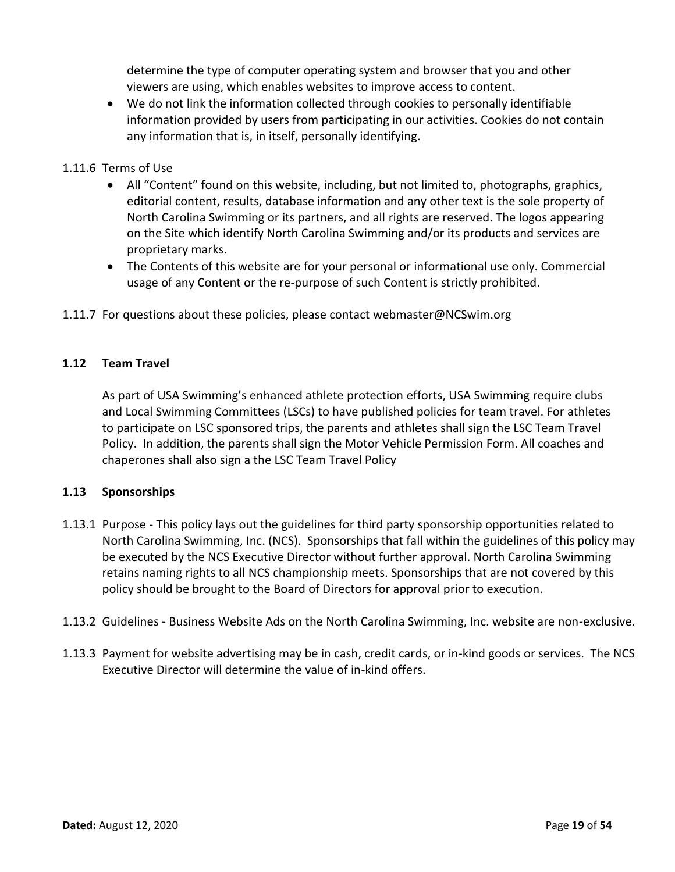determine the type of computer operating system and browser that you and other viewers are using, which enables websites to improve access to content.

• We do not link the information collected through cookies to personally identifiable information provided by users from participating in our activities. Cookies do not contain any information that is, in itself, personally identifying.

# 1.11.6 Terms of Use

- All "Content" found on this website, including, but not limited to, photographs, graphics, editorial content, results, database information and any other text is the sole property of North Carolina Swimming or its partners, and all rights are reserved. The logos appearing on the Site which identify North Carolina Swimming and/or its products and services are proprietary marks.
- The Contents of this website are for your personal or informational use only. Commercial usage of any Content or the re-purpose of such Content is strictly prohibited.
- 1.11.7 For questions about these policies, please contact [webmaster@NCSwim.org](mailto:webmaster@NCSwim.org)

# <span id="page-18-0"></span>**1.12 Team Travel**

As part of USA Swimming's enhanced athlete protection efforts, USA Swimming require clubs and Local Swimming Committees (LSCs) to have published policies for team travel. For athletes to participate on LSC sponsored trips, the parents and athletes shall sign the LSC Team Travel Policy. In addition, the parents shall sign the Motor Vehicle Permission Form. All coaches and chaperones shall also sign a the LSC Team Travel Policy

# <span id="page-18-1"></span>**1.13 Sponsorships**

- 1.13.1 Purpose This policy lays out the guidelines for third party sponsorship opportunities related to North Carolina Swimming, Inc. (NCS). Sponsorships that fall within the guidelines of this policy may be executed by the NCS Executive Director without further approval. North Carolina Swimming retains naming rights to all NCS championship meets. Sponsorships that are not covered by this policy should be brought to the Board of Directors for approval prior to execution.
- 1.13.2 Guidelines Business Website Ads on the North Carolina Swimming, Inc. website are non-exclusive.
- 1.13.3 Payment for website advertising may be in cash, credit cards, or in-kind goods or services. The NCS Executive Director will determine the value of in-kind offers.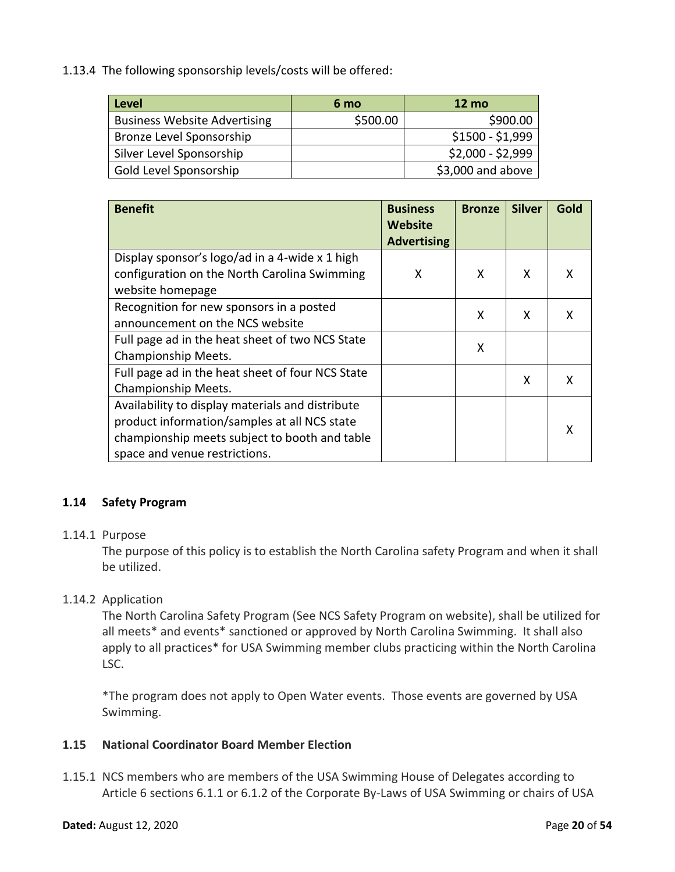1.13.4 The following sponsorship levels/costs will be offered:

| <b>Level</b>                        | 6 mo     | $12 \text{ mo}$   |  |
|-------------------------------------|----------|-------------------|--|
| <b>Business Website Advertising</b> | \$500.00 | \$900.00          |  |
| Bronze Level Sponsorship            |          | $$1500 - $1,999$  |  |
| Silver Level Sponsorship            |          | $$2,000 - $2,999$ |  |
| Gold Level Sponsorship              |          | \$3,000 and above |  |

| <b>Benefit</b>                                                                                                                                                                     | <b>Business</b><br><b>Website</b><br><b>Advertising</b> | <b>Bronze</b> | <b>Silver</b> | Gold |
|------------------------------------------------------------------------------------------------------------------------------------------------------------------------------------|---------------------------------------------------------|---------------|---------------|------|
| Display sponsor's logo/ad in a 4-wide x 1 high<br>configuration on the North Carolina Swimming<br>website homepage                                                                 | X                                                       | X             | X             | x    |
| Recognition for new sponsors in a posted<br>announcement on the NCS website                                                                                                        |                                                         | X             | X             | x    |
| Full page ad in the heat sheet of two NCS State<br>Championship Meets.                                                                                                             |                                                         | X             |               |      |
| Full page ad in the heat sheet of four NCS State<br>Championship Meets.                                                                                                            |                                                         |               | X             | x    |
| Availability to display materials and distribute<br>product information/samples at all NCS state<br>championship meets subject to booth and table<br>space and venue restrictions. |                                                         |               |               | х    |

# <span id="page-19-0"></span>**1.14 Safety Program**

# 1.14.1 Purpose

The purpose of this policy is to establish the North Carolina safety Program and when it shall be utilized.

# 1.14.2 Application

The North Carolina Safety Program (See NCS Safety Program on website), shall be utilized for all meets\* and events\* sanctioned or approved by North Carolina Swimming. It shall also apply to all practices\* for USA Swimming member clubs practicing within the North Carolina LSC.

\*The program does not apply to Open Water events. Those events are governed by USA Swimming.

# <span id="page-19-1"></span>**1.15 National Coordinator Board Member Election**

1.15.1 NCS members who are members of the USA Swimming House of Delegates according to Article 6 sections 6.1.1 or 6.1.2 of the Corporate By-Laws of USA Swimming or chairs of USA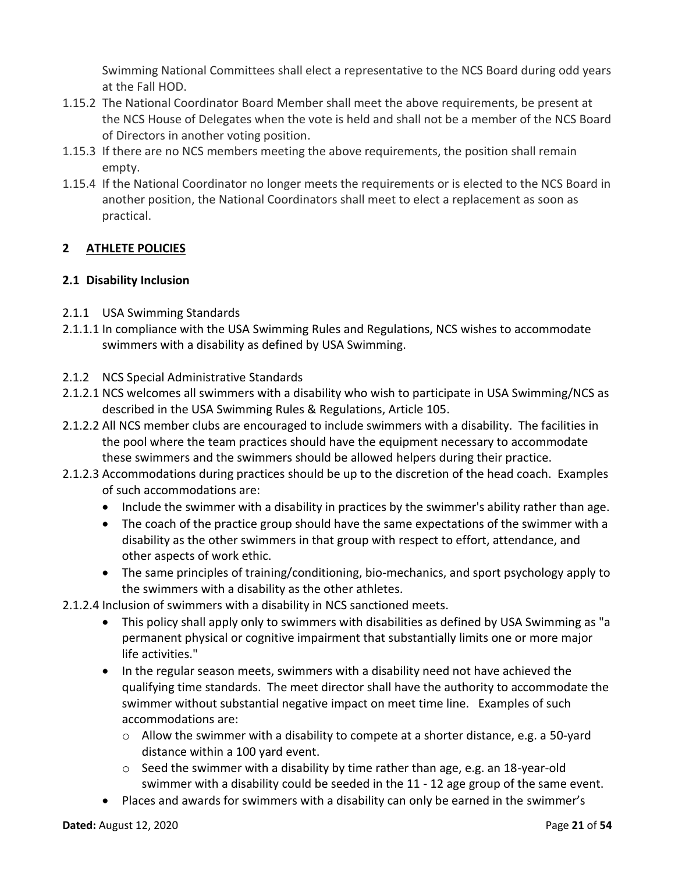Swimming National Committees shall elect a representative to the NCS Board during odd years at the Fall HOD.

- 1.15.2 The National Coordinator Board Member shall meet the above requirements, be present at the NCS House of Delegates when the vote is held and shall not be a member of the NCS Board of Directors in another voting position.
- 1.15.3 If there are no NCS members meeting the above requirements, the position shall remain empty.
- 1.15.4 If the National Coordinator no longer meets the requirements or is elected to the NCS Board in another position, the National Coordinators shall meet to elect a replacement as soon as practical.

# <span id="page-20-0"></span>**2 ATHLETE POLICIES**

# <span id="page-20-1"></span>**2.1 Disability Inclusion**

- 2.1.1 USA Swimming Standards
- 2.1.1.1 In compliance with the USA Swimming Rules and Regulations, NCS wishes to accommodate swimmers with a disability as defined by USA Swimming.
- 2.1.2 NCS Special Administrative Standards
- 2.1.2.1 NCS welcomes all swimmers with a disability who wish to participate in USA Swimming/NCS as described in the USA Swimming Rules & Regulations, Article 105.
- 2.1.2.2 All NCS member clubs are encouraged to include swimmers with a disability. The facilities in the pool where the team practices should have the equipment necessary to accommodate these swimmers and the swimmers should be allowed helpers during their practice.
- 2.1.2.3 Accommodations during practices should be up to the discretion of the head coach. Examples of such accommodations are:
	- Include the swimmer with a disability in practices by the swimmer's ability rather than age.
	- The coach of the practice group should have the same expectations of the swimmer with a disability as the other swimmers in that group with respect to effort, attendance, and other aspects of work ethic.
	- The same principles of training/conditioning, bio-mechanics, and sport psychology apply to the swimmers with a disability as the other athletes.
- 2.1.2.4 Inclusion of swimmers with a disability in NCS sanctioned meets.
	- This policy shall apply only to swimmers with disabilities as defined by USA Swimming as "a permanent physical or cognitive impairment that substantially limits one or more major life activities."
	- In the regular season meets, swimmers with a disability need not have achieved the qualifying time standards. The meet director shall have the authority to accommodate the swimmer without substantial negative impact on meet time line. Examples of such accommodations are:
		- $\circ$  Allow the swimmer with a disability to compete at a shorter distance, e.g. a 50-yard distance within a 100 yard event.
		- $\circ$  Seed the swimmer with a disability by time rather than age, e.g. an 18-year-old swimmer with a disability could be seeded in the 11 - 12 age group of the same event.
	- Places and awards for swimmers with a disability can only be earned in the swimmer's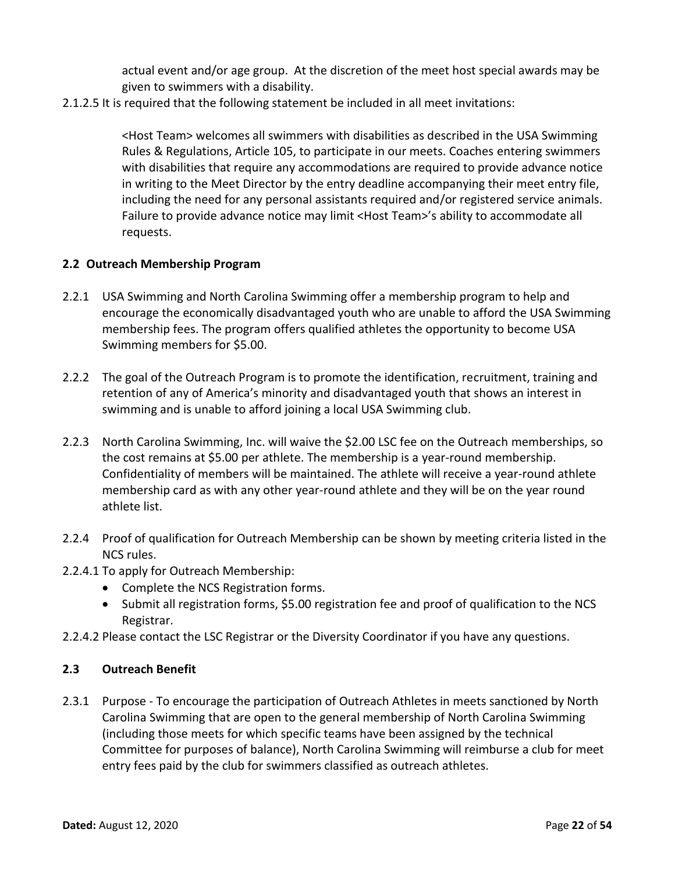actual event and/or age group. At the discretion of the meet host special awards may be given to swimmers with a disability.

2.1.2.5 It is required that the following statement be included in all meet invitations:

<Host Team> welcomes all swimmers with disabilities as described in the USA Swimming Rules & Regulations, Article 105, to participate in our meets. Coaches entering swimmers with disabilities that require any accommodations are required to provide advance notice in writing to the Meet Director by the entry deadline accompanying their meet entry file, including the need for any personal assistants required and/or registered service animals. Failure to provide advance notice may limit <Host Team>'s ability to accommodate all requests.

# <span id="page-21-0"></span>**2.2 Outreach Membership Program**

- 2.2.1 USA Swimming and North Carolina Swimming offer a membership program to help and encourage the economically disadvantaged youth who are unable to afford the USA Swimming membership fees. The program offers qualified athletes the opportunity to become USA Swimming members for \$5.00.
- 2.2.2 The goal of the Outreach Program is to promote the identification, recruitment, training and retention of any of America's minority and disadvantaged youth that shows an interest in swimming and is unable to afford joining a local USA Swimming club.
- 2.2.3 North Carolina Swimming, Inc. will waive the \$2.00 LSC fee on the Outreach memberships, so the cost remains at \$5.00 per athlete. The membership is a year-round membership. Confidentiality of members will be maintained. The athlete will receive a year-round athlete membership card as with any other year-round athlete and they will be on the year round athlete list.
- 2.2.4 Proof of qualification for Outreach Membership can be shown by meeting criteria listed in the NCS rules.
- 2.2.4.1 To apply for Outreach Membership:
	- Complete the NCS Registration forms.
	- Submit all registration forms, \$5.00 registration fee and proof of qualification to the NCS Registrar.
- 2.2.4.2 Please contact the LSC Registrar or the Diversity Coordinator if you have any questions.

# <span id="page-21-1"></span>**2.3 Outreach Benefit**

2.3.1 Purpose - To encourage the participation of Outreach Athletes in meets sanctioned by North Carolina Swimming that are open to the general membership of North Carolina Swimming (including those meets for which specific teams have been assigned by the technical Committee for purposes of balance), North Carolina Swimming will reimburse a club for meet entry fees paid by the club for swimmers classified as outreach athletes.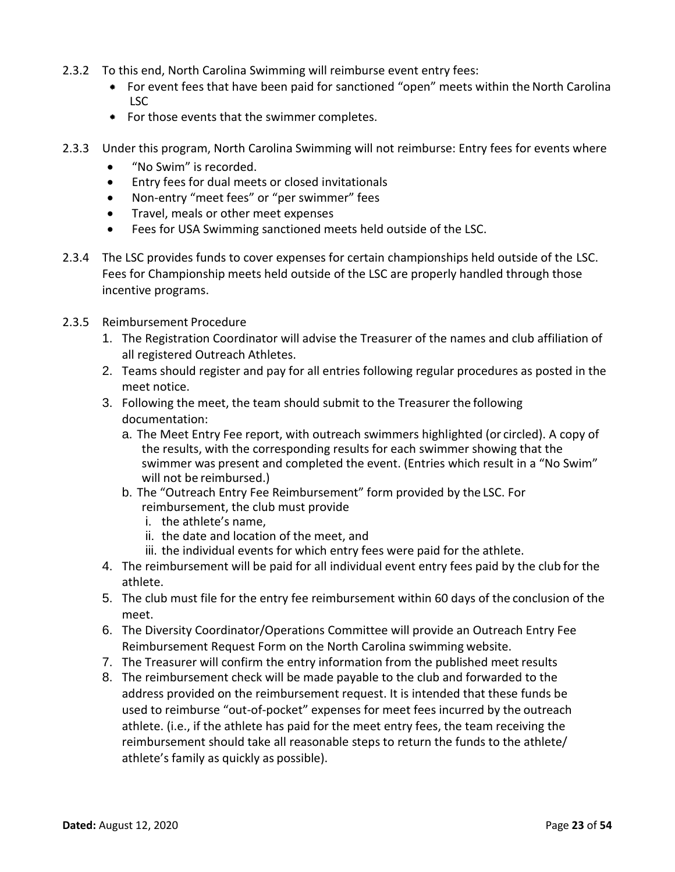- 2.3.2 To this end, North Carolina Swimming will reimburse event entry fees:
	- For event fees that have been paid for sanctioned "open" meets within the North Carolina LSC
	- For those events that the swimmer completes.
- 2.3.3 Under this program, North Carolina Swimming will not reimburse: Entry fees for events where
	- "No Swim" is recorded.
	- Entry fees for dual meets or closed invitationals
	- Non-entry "meet fees" or "per swimmer" fees
	- Travel, meals or other meet expenses
	- Fees for USA Swimming sanctioned meets held outside of the LSC.
- 2.3.4 The LSC provides funds to cover expenses for certain championships held outside of the LSC. Fees for Championship meets held outside of the LSC are properly handled through those incentive programs.
- 2.3.5 Reimbursement Procedure
	- 1. The Registration Coordinator will advise the Treasurer of the names and club affiliation of all registered Outreach Athletes.
	- 2. Teams should register and pay for all entries following regular procedures as posted in the meet notice.
	- 3. Following the meet, the team should submit to the Treasurer the following documentation:
		- a. The Meet Entry Fee report, with outreach swimmers highlighted (or circled). A copy of the results, with the corresponding results for each swimmer showing that the swimmer was present and completed the event. (Entries which result in a "No Swim" will not be reimbursed.)
		- b. The "Outreach Entry Fee Reimbursement" form provided by the LSC. For reimbursement, the club must provide
			- i. the athlete's name,
			- ii. the date and location of the meet, and
			- iii. the individual events for which entry fees were paid for the athlete.
	- 4. The reimbursement will be paid for all individual event entry fees paid by the club for the athlete.
	- 5. The club must file for the entry fee reimbursement within 60 days of the conclusion of the meet.
	- 6. The Diversity Coordinator/Operations Committee will provide an Outreach Entry Fee Reimbursement Request Form on the North Carolina swimming website.
	- 7. The Treasurer will confirm the entry information from the published meet results
	- 8. The reimbursement check will be made payable to the club and forwarded to the address provided on the reimbursement request. It is intended that these funds be used to reimburse "out-of-pocket" expenses for meet fees incurred by the outreach athlete. (i.e., if the athlete has paid for the meet entry fees, the team receiving the reimbursement should take all reasonable steps to return the funds to the athlete/ athlete's family as quickly as possible).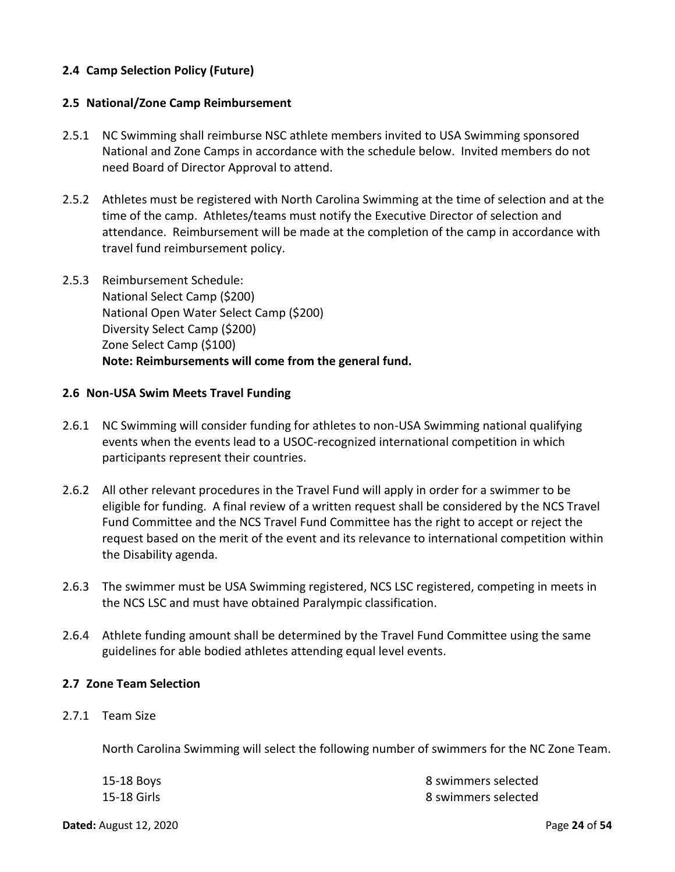# <span id="page-23-0"></span>**2.4 Camp Selection Policy (Future)**

#### <span id="page-23-1"></span>**2.5 National/Zone Camp Reimbursement**

- 2.5.1 NC Swimming shall reimburse NSC athlete members invited to USA Swimming sponsored National and Zone Camps in accordance with the schedule below. Invited members do not need Board of Director Approval to attend.
- 2.5.2 Athletes must be registered with North Carolina Swimming at the time of selection and at the time of the camp. Athletes/teams must notify the Executive Director of selection and attendance. Reimbursement will be made at the completion of the camp in accordance with travel fund reimbursement policy.
- 2.5.3 Reimbursement Schedule: National Select Camp (\$200) National Open Water Select Camp (\$200) Diversity Select Camp (\$200) Zone Select Camp (\$100) **Note: Reimbursements will come from the general fund.**

#### <span id="page-23-2"></span>**2.6 Non-USA Swim Meets Travel Funding**

- 2.6.1 NC Swimming will consider funding for athletes to non-USA Swimming national qualifying events when the events lead to a USOC-recognized international competition in which participants represent their countries.
- 2.6.2 All other relevant procedures in the Travel Fund will apply in order for a swimmer to be eligible for funding. A final review of a written request shall be considered by the NCS Travel Fund Committee and the NCS Travel Fund Committee has the right to accept or reject the request based on the merit of the event and its relevance to international competition within the Disability agenda.
- 2.6.3 The swimmer must be USA Swimming registered, NCS LSC registered, competing in meets in the NCS LSC and must have obtained Paralympic classification.
- 2.6.4 Athlete funding amount shall be determined by the Travel Fund Committee using the same guidelines for able bodied athletes attending equal level events.

#### <span id="page-23-3"></span>**2.7 Zone Team Selection**

2.7.1 Team Size

North Carolina Swimming will select the following number of swimmers for the NC Zone Team.

| 15-18 Boys  | 8 swimmers selected |
|-------------|---------------------|
| 15-18 Girls | 8 swimmers selected |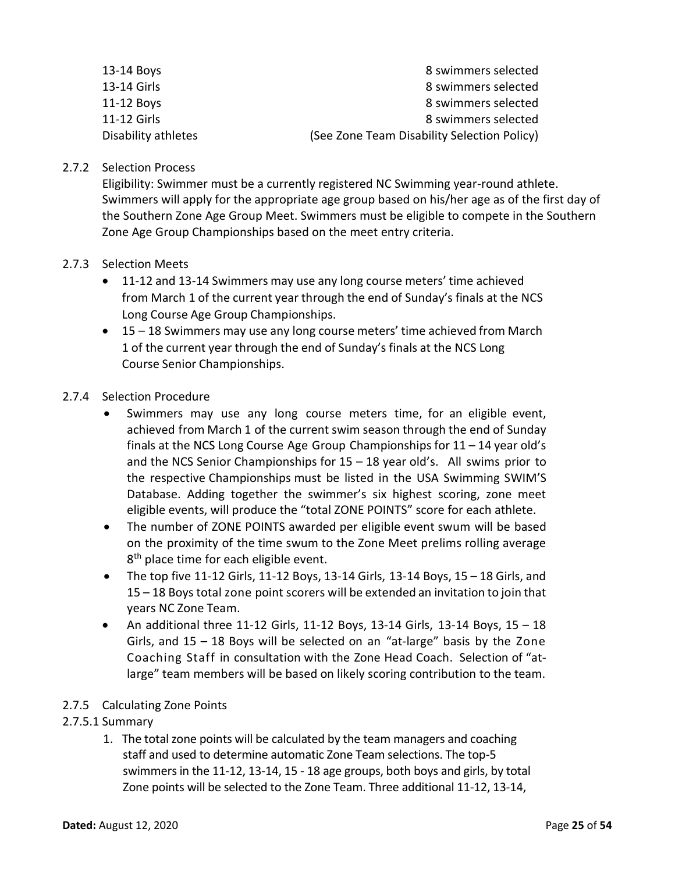| 11-12 Girls | 8 swimmers selected |
|-------------|---------------------|
| 11-12 Boys  | 8 swimmers selected |
| 13-14 Girls | 8 swimmers selected |
| 13-14 Boys  | 8 swimmers selected |

### 2.7.2 Selection Process

Eligibility: Swimmer must be a currently registered NC Swimming year-round athlete. Swimmers will apply for the appropriate age group based on his/her age as of the first day of the Southern Zone Age Group Meet. Swimmers must be eligible to compete in the Southern Zone Age Group Championships based on the meet entry criteria.

#### 2.7.3 Selection Meets

- 11-12 and 13-14 Swimmers may use any long course meters' time achieved from March 1 of the current year through the end of Sunday's finals at the NCS Long Course Age Group Championships.
- 15 18 Swimmers may use any long course meters' time achieved from March 1 of the current year through the end of Sunday's finals at the NCS Long Course Senior Championships.

#### 2.7.4 Selection Procedure

- Swimmers may use any long course meters time, for an eligible event, achieved from March 1 of the current swim season through the end of Sunday finals at the NCS Long Course Age Group Championships for 11 – 14 year old's and the NCS Senior Championships for  $15 - 18$  year old's. All swims prior to the respective Championships must be listed in the USA Swimming SWIM'S Database. Adding together the swimmer's six highest scoring, zone meet eligible events, will produce the "total ZONE POINTS" score for each athlete.
- The number of ZONE POINTS awarded per eligible event swum will be based on the proximity of the time swum to the Zone Meet prelims rolling average 8<sup>th</sup> place time for each eligible event.
- The top five 11-12 Girls, 11-12 Boys, 13-14 Girls, 13-14 Boys, 15  $-$  18 Girls, and 15 – 18 Boys total zone point scorers will be extended an invitation to join that years NC Zone Team.
- An additional three 11-12 Girls, 11-12 Boys, 13-14 Girls, 13-14 Boys, 15 18 Girls, and 15 – 18 Boys will be selected on an "at-large" basis by the Zone Coaching Staff in consultation with the Zone Head Coach. Selection of "atlarge" team members will be based on likely scoring contribution to the team.

# 2.7.5 Calculating Zone Points

# 2.7.5.1 Summary

1. The total zone points will be calculated by the team managers and coaching staff and used to determine automatic Zone Team selections. The top-5 swimmers in the 11-12, 13-14, 15 - 18 age groups, both boys and girls, by total Zone points will be selected to the Zone Team. Three additional 11-12, 13-14,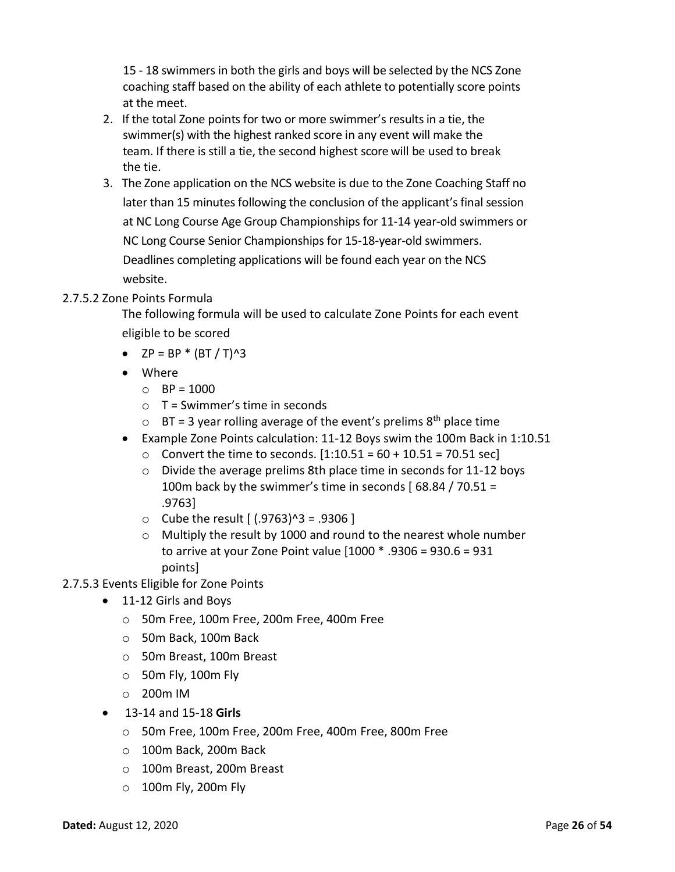15 - 18 swimmers in both the girls and boys will be selected by the NCS Zone coaching staff based on the ability of each athlete to potentially score points at the meet.

- 2. If the total Zone points for two or more swimmer's resultsin a tie, the swimmer(s) with the highest ranked score in any event will make the team. If there is still a tie, the second highest score will be used to break the tie.
- 3. The Zone application on the NCS website is due to the Zone Coaching Staff no later than 15 minutes following the conclusion of the applicant's final session at NC Long Course Age Group Championships for 11-14 year-old swimmers or NC Long Course Senior Championships for 15-18-year-old swimmers. Deadlines completing applications will be found each year on the NCS website.

# 2.7.5.2 Zone Points Formula

The following formula will be used to calculate Zone Points for each event eligible to be scored

- $ZP = BP * (BT / T)^{3}$
- Where
	- $O$  BP = 1000
	- $\circ$  T = Swimmer's time in seconds
	- $\circ$  BT = 3 year rolling average of the event's prelims 8<sup>th</sup> place time
- Example Zone Points calculation: 11-12 Boys swim the 100m Back in 1:10.51
	- $\circ$  Convert the time to seconds.  $[1:10.51 = 60 + 10.51 = 70.51$  sec]
	- $\circ$  Divide the average prelims 8th place time in seconds for 11-12 boys 100m back by the swimmer's time in seconds  $(68.84 / 70.51 =$ .9763]
	- $\circ$  Cube the result  $(0.9763)^3 = .9306$  ]
	- o Multiply the result by 1000 and round to the nearest whole number to arrive at your Zone Point value [1000 \* .9306 = 930.6 = 931 points]
- 2.7.5.3 Events Eligible for Zone Points
	- 11-12 Girls and Boys
		- o 50m Free, 100m Free, 200m Free, 400m Free
		- o 50m Back, 100m Back
		- o 50m Breast, 100m Breast
		- $\circ$  50m Fly, 100m Fly
		- o 200m IM
	- 13-14 and 15-18 **Girls**
		- o 50m Free, 100m Free, 200m Free, 400m Free, 800m Free
		- o 100m Back, 200m Back
		- o 100m Breast, 200m Breast
		- o 100m Fly, 200m Fly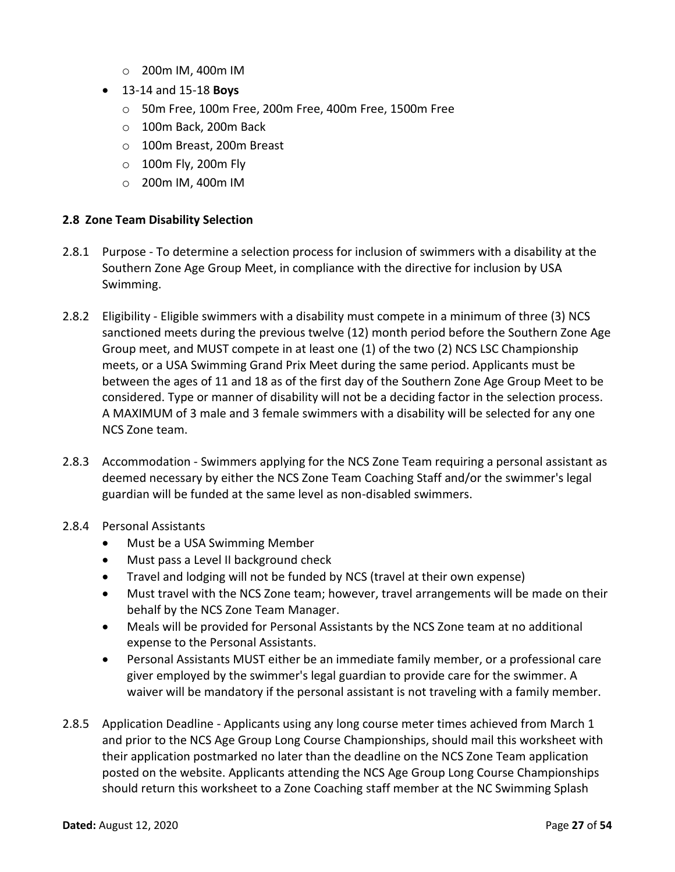- o 200m IM, 400m IM
- 13-14 and 15-18 **Boys**
	- o 50m Free, 100m Free, 200m Free, 400m Free, 1500m Free
	- o 100m Back, 200m Back
	- o 100m Breast, 200m Breast
	- o 100m Fly, 200m Fly
	- o 200m IM, 400m IM

#### <span id="page-26-0"></span>**2.8 Zone Team Disability Selection**

- 2.8.1 Purpose To determine a selection process for inclusion of swimmers with a disability at the Southern Zone Age Group Meet, in compliance with the directive for inclusion by USA Swimming.
- 2.8.2 Eligibility Eligible swimmers with a disability must compete in a minimum of three (3) NCS sanctioned meets during the previous twelve (12) month period before the Southern Zone Age Group meet, and MUST compete in at least one (1) of the two (2) NCS LSC Championship meets, or a USA Swimming Grand Prix Meet during the same period. Applicants must be between the ages of 11 and 18 as of the first day of the Southern Zone Age Group Meet to be considered. Type or manner of disability will not be a deciding factor in the selection process. A MAXIMUM of 3 male and 3 female swimmers with a disability will be selected for any one NCS Zone team.
- 2.8.3 Accommodation Swimmers applying for the NCS Zone Team requiring a personal assistant as deemed necessary by either the NCS Zone Team Coaching Staff and/or the swimmer's legal guardian will be funded at the same level as non-disabled swimmers.
- 2.8.4 Personal Assistants
	- Must be a USA Swimming Member
	- Must pass a Level II background check
	- Travel and lodging will not be funded by NCS (travel at their own expense)
	- Must travel with the NCS Zone team; however, travel arrangements will be made on their behalf by the NCS Zone Team Manager.
	- Meals will be provided for Personal Assistants by the NCS Zone team at no additional expense to the Personal Assistants.
	- Personal Assistants MUST either be an immediate family member, or a professional care giver employed by the swimmer's legal guardian to provide care for the swimmer. A waiver will be mandatory if the personal assistant is not traveling with a family member.
- 2.8.5 Application Deadline Applicants using any long course meter times achieved from March 1 and prior to the NCS Age Group Long Course Championships, should mail this worksheet with their application postmarked no later than the deadline on the NCS Zone Team application posted on the website. Applicants attending the NCS Age Group Long Course Championships should return this worksheet to a Zone Coaching staff member at the NC Swimming Splash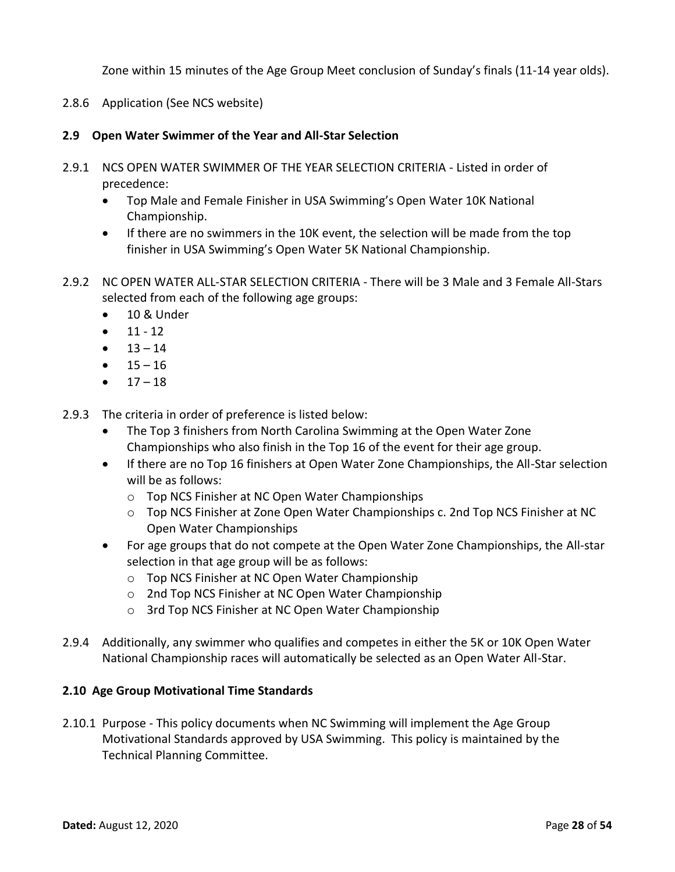Zone within 15 minutes of the Age Group Meet conclusion of Sunday's finals (11-14 year olds).

2.8.6 Application (See NCS website)

# <span id="page-27-0"></span>**2.9 Open Water Swimmer of the Year and All-Star Selection**

- 2.9.1 NCS OPEN WATER SWIMMER OF THE YEAR SELECTION CRITERIA Listed in order of precedence:
	- Top Male and Female Finisher in USA Swimming's Open Water 10K National Championship.
	- If there are no swimmers in the 10K event, the selection will be made from the top finisher in USA Swimming's Open Water 5K National Championship.
- 2.9.2 NC OPEN WATER ALL-STAR SELECTION CRITERIA There will be 3 Male and 3 Female All-Stars selected from each of the following age groups:
	- 10 & Under
	- $11 12$
	- $13 14$
	- $15 16$
	- $17 18$
- 2.9.3 The criteria in order of preference is listed below:
	- The Top 3 finishers from North Carolina Swimming at the Open Water Zone Championships who also finish in the Top 16 of the event for their age group.
	- If there are no Top 16 finishers at Open Water Zone Championships, the All-Star selection will be as follows:
		- o Top NCS Finisher at NC Open Water Championships
		- o Top NCS Finisher at Zone Open Water Championships c. 2nd Top NCS Finisher at NC Open Water Championships
	- For age groups that do not compete at the Open Water Zone Championships, the All-star selection in that age group will be as follows:
		- o Top NCS Finisher at NC Open Water Championship
		- o 2nd Top NCS Finisher at NC Open Water Championship
		- o 3rd Top NCS Finisher at NC Open Water Championship
- 2.9.4 Additionally, any swimmer who qualifies and competes in either the 5K or 10K Open Water National Championship races will automatically be selected as an Open Water All-Star.

# <span id="page-27-1"></span>**2.10 Age Group Motivational Time Standards**

2.10.1 Purpose - This policy documents when NC Swimming will implement the Age Group Motivational Standards approved by USA Swimming. This policy is maintained by the Technical Planning Committee.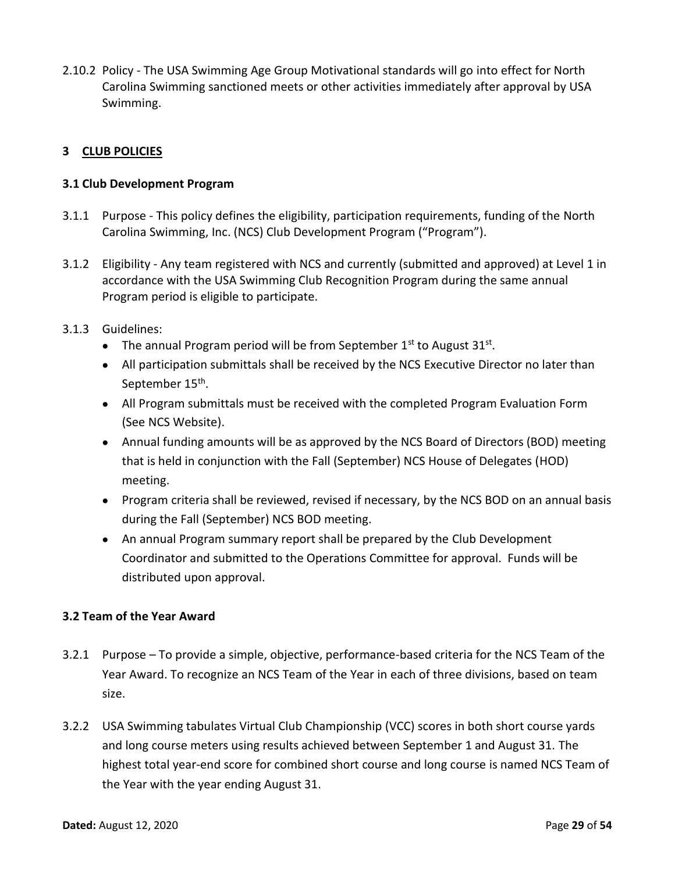2.10.2 Policy - The USA Swimming Age Group Motivational standards will go into effect for North Carolina Swimming sanctioned meets or other activities immediately after approval by USA Swimming.

# <span id="page-28-0"></span>**3 CLUB POLICIES**

### <span id="page-28-1"></span>**3.1 Club Development Program**

- 3.1.1 Purpose This policy defines the eligibility, participation requirements, funding of the North Carolina Swimming, Inc. (NCS) Club Development Program ("Program").
- 3.1.2 Eligibility Any team registered with NCS and currently (submitted and approved) at Level 1 in accordance with the USA Swimming Club Recognition Program during the same annual Program period is eligible to participate.
- 3.1.3 Guidelines:
	- The annual Program period will be from September  $1^{st}$  to August  $31^{st}$ .
	- All participation submittals shall be received by the NCS Executive Director no later than September 15<sup>th</sup>.
	- All Program submittals must be received with the completed Program Evaluation Form (See NCS Website).
	- Annual funding amounts will be as approved by the NCS Board of Directors (BOD) meeting that is held in conjunction with the Fall (September) NCS House of Delegates (HOD) meeting.
	- Program criteria shall be reviewed, revised if necessary, by the NCS BOD on an annual basis during the Fall (September) NCS BOD meeting.
	- An annual Program summary report shall be prepared by the Club Development Coordinator and submitted to the Operations Committee for approval. Funds will be distributed upon approval.

# **3.2 Team of the Year Award**

- 3.2.1 Purpose To provide a simple, objective, performance-based criteria for the NCS Team of the Year Award. To recognize an NCS Team of the Year in each of three divisions, based on team size.
- 3.2.2 USA Swimming tabulates Virtual Club Championship (VCC) scores in both short course yards and long course meters using results achieved between September 1 and August 31. The highest total year-end score for combined short course and long course is named NCS Team of the Year with the year ending August 31.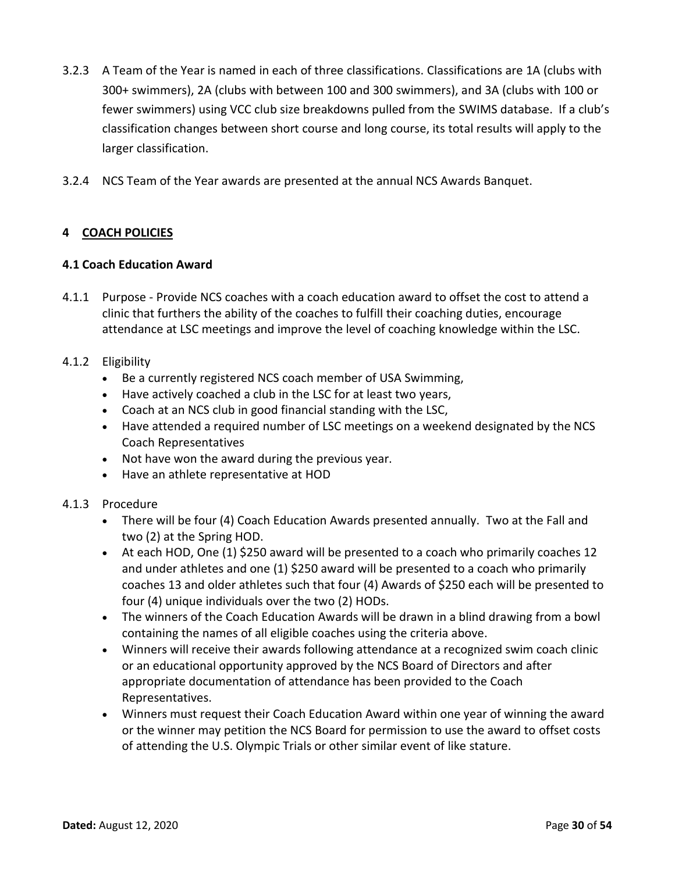- 3.2.3 A Team of the Year is named in each of three classifications. Classifications are 1A (clubs with 300+ swimmers), 2A (clubs with between 100 and 300 swimmers), and 3A (clubs with 100 or fewer swimmers) using VCC club size breakdowns pulled from the SWIMS database. If a club's classification changes between short course and long course, its total results will apply to the larger classification.
- 3.2.4 NCS Team of the Year awards are presented at the annual NCS Awards Banquet.

# <span id="page-29-0"></span>**4 COACH POLICIES**

#### <span id="page-29-1"></span>**4.1 Coach Education Award**

4.1.1 Purpose - Provide NCS coaches with a coach education award to offset the cost to attend a clinic that furthers the ability of the coaches to fulfill their coaching duties, encourage attendance at LSC meetings and improve the level of coaching knowledge within the LSC.

#### 4.1.2 Eligibility

- Be a currently registered NCS coach member of USA Swimming,
- Have actively coached a club in the LSC for at least two years,
- Coach at an NCS club in good financial standing with the LSC,
- Have attended a required number of LSC meetings on a weekend designated by the NCS Coach Representatives
- Not have won the award during the previous year.
- Have an athlete representative at HOD

# 4.1.3 Procedure

- There will be four (4) Coach Education Awards presented annually. Two at the Fall and two (2) at the Spring HOD.
- At each HOD, One (1) \$250 award will be presented to a coach who primarily coaches 12 and under athletes and one (1) \$250 award will be presented to a coach who primarily coaches 13 and older athletes such that four (4) Awards of \$250 each will be presented to four (4) unique individuals over the two (2) HODs.
- The winners of the Coach Education Awards will be drawn in a blind drawing from a bowl containing the names of all eligible coaches using the criteria above.
- Winners will receive their awards following attendance at a recognized swim coach clinic or an educational opportunity approved by the NCS Board of Directors and after appropriate documentation of attendance has been provided to the Coach Representatives.
- Winners must request their Coach Education Award within one year of winning the award or the winner may petition the NCS Board for permission to use the award to offset costs of attending the U.S. Olympic Trials or other similar event of like stature.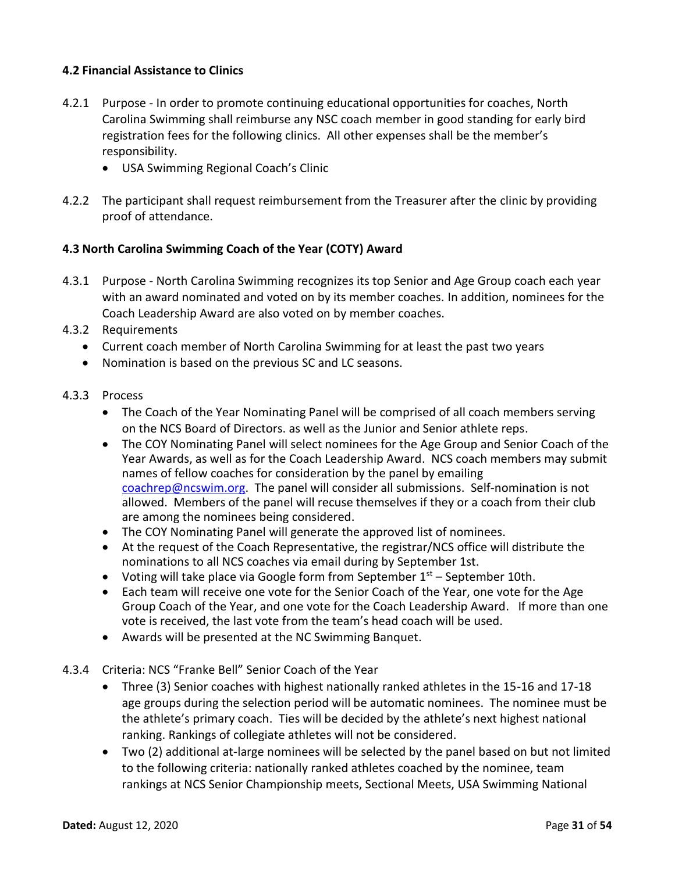# <span id="page-30-0"></span>**4.2 Financial Assistance to Clinics**

- 4.2.1 Purpose In order to promote continuing educational opportunities for coaches, North Carolina Swimming shall reimburse any NSC coach member in good standing for early bird registration fees for the following clinics. All other expenses shall be the member's responsibility.
	- USA Swimming Regional Coach's Clinic
- 4.2.2 The participant shall request reimbursement from the Treasurer after the clinic by providing proof of attendance.

# <span id="page-30-1"></span>**4.3 North Carolina Swimming Coach of the Year (COTY) Award**

- <span id="page-30-2"></span>4.3.1 Purpose - North Carolina Swimming recognizes its top Senior and Age Group coach each year with an award nominated and voted on by its member coaches. In addition, nominees for the Coach Leadership Award are also voted on by member coaches.
- 4.3.2 Requirements
	- Current coach member of North Carolina Swimming for at least the past two years
	- Nomination is based on the previous SC and LC seasons.
- 4.3.3 Process
	- The Coach of the Year Nominating Panel will be comprised of all coach members serving on the NCS Board of Directors. as well as the Junior and Senior athlete reps.
	- The COY Nominating Panel will select nominees for the Age Group and Senior Coach of the Year Awards, as well as for the Coach Leadership Award. NCS coach members may submit names of fellow coaches for consideration by the panel by emailing [coachrep@ncswim.org.](mailto:coachrep@ncswim.org) The panel will consider all submissions. Self-nomination is not allowed. Members of the panel will recuse themselves if they or a coach from their club are among the nominees being considered.
	- The COY Nominating Panel will generate the approved list of nominees.
	- At the request of the Coach Representative, the registrar/NCS office will distribute the nominations to all NCS coaches via email during by September 1st.
	- Voting will take place via Google form from September  $1<sup>st</sup>$  September 10th.
	- Each team will receive one vote for the Senior Coach of the Year, one vote for the Age Group Coach of the Year, and one vote for the Coach Leadership Award. If more than one vote is received, the last vote from the team's head coach will be used.
	- Awards will be presented at the NC Swimming Banquet.
- 4.3.4 Criteria: NCS "Franke Bell" Senior Coach of the Year
	- Three (3) Senior coaches with highest nationally ranked athletes in the 15-16 and 17-18 age groups during the selection period will be automatic nominees. The nominee must be the athlete's primary coach. Ties will be decided by the athlete's next highest national ranking. Rankings of collegiate athletes will not be considered.
	- Two (2) additional at-large nominees will be selected by the panel based on but not limited to the following criteria: nationally ranked athletes coached by the nominee, team rankings at NCS Senior Championship meets, Sectional Meets, USA Swimming National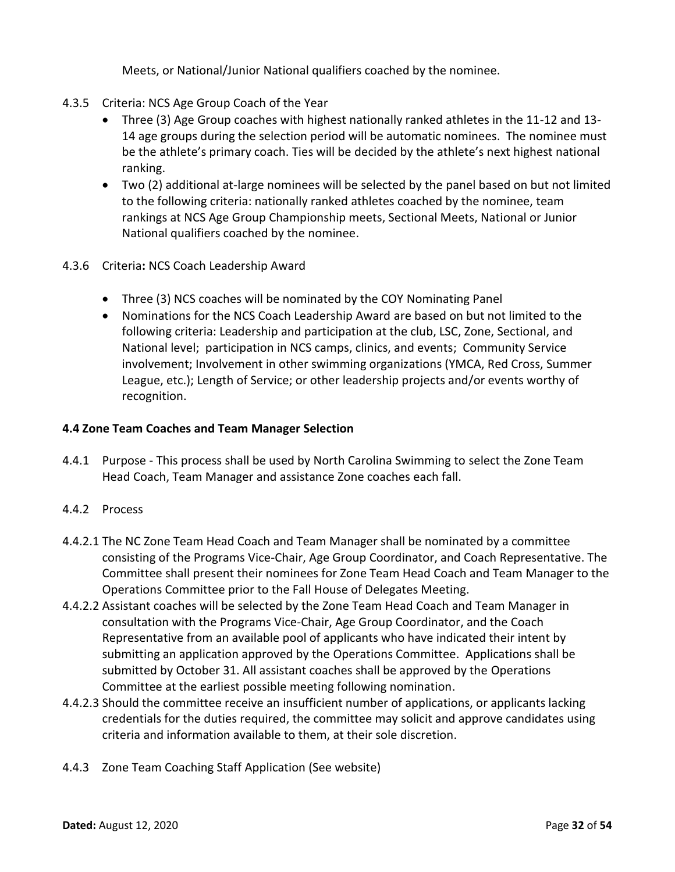Meets, or National/Junior National qualifiers coached by the nominee.

- 4.3.5 Criteria: NCS Age Group Coach of the Year
	- Three (3) Age Group coaches with highest nationally ranked athletes in the 11-12 and 13- 14 age groups during the selection period will be automatic nominees. The nominee must be the athlete's primary coach. Ties will be decided by the athlete's next highest national ranking.
	- Two (2) additional at-large nominees will be selected by the panel based on but not limited to the following criteria: nationally ranked athletes coached by the nominee, team rankings at NCS Age Group Championship meets, Sectional Meets, National or Junior National qualifiers coached by the nominee.
- 4.3.6 Criteria**:** NCS Coach Leadership Award
	- Three (3) NCS coaches will be nominated by the COY Nominating Panel
	- Nominations for the NCS Coach Leadership Award are based on but not limited to the following criteria: Leadership and participation at the club, LSC, Zone, Sectional, and National level; participation in NCS camps, clinics, and events; Community Service involvement; Involvement in other swimming organizations (YMCA, Red Cross, Summer League, etc.); Length of Service; or other leadership projects and/or events worthy of recognition.

#### **4.4 Zone Team Coaches and Team Manager Selection**

- 4.4.1 Purpose This process shall be used by North Carolina Swimming to select the Zone Team Head Coach, Team Manager and assistance Zone coaches each fall.
- 4.4.2 Process
- 4.4.2.1 The NC Zone Team Head Coach and Team Manager shall be nominated by a committee consisting of the Programs Vice-Chair, Age Group Coordinator, and Coach Representative. The Committee shall present their nominees for Zone Team Head Coach and Team Manager to the Operations Committee prior to the Fall House of Delegates Meeting.
- 4.4.2.2 Assistant coaches will be selected by the Zone Team Head Coach and Team Manager in consultation with the Programs Vice-Chair, Age Group Coordinator, and the Coach Representative from an available pool of applicants who have indicated their intent by submitting an application approved by the Operations Committee. Applications shall be submitted by October 31. All assistant coaches shall be approved by the Operations Committee at the earliest possible meeting following nomination.
- 4.4.2.3 Should the committee receive an insufficient number of applications, or applicants lacking credentials for the duties required, the committee may solicit and approve candidates using criteria and information available to them, at their sole discretion.
- 4.4.3 Zone Team Coaching Staff Application (See website)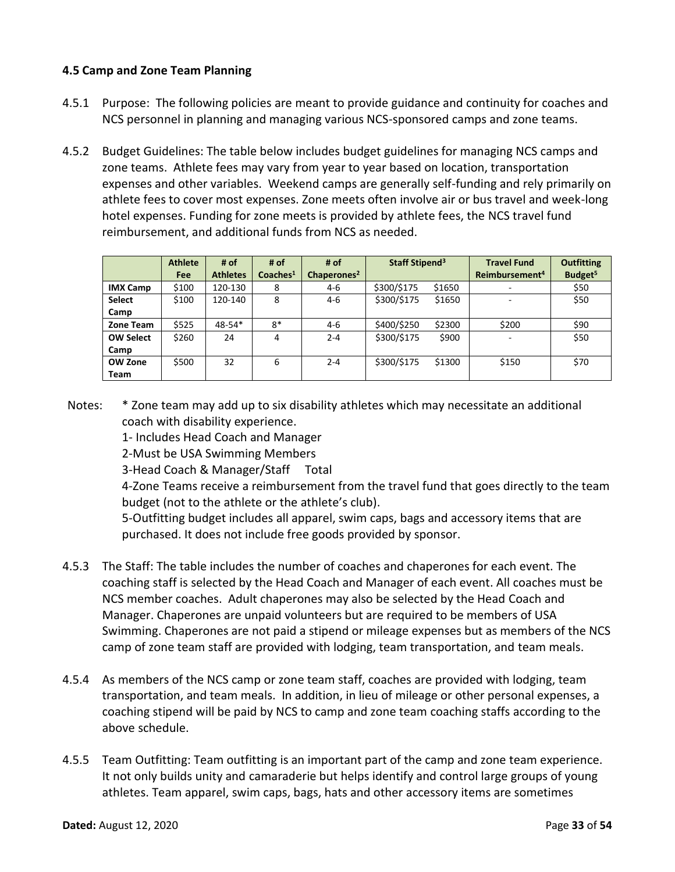### <span id="page-32-0"></span>**4.5 Camp and Zone Team Planning**

- 4.5.1 Purpose: The following policies are meant to provide guidance and continuity for coaches and NCS personnel in planning and managing various NCS-sponsored camps and zone teams.
- 4.5.2 Budget Guidelines: The table below includes budget guidelines for managing NCS camps and zone teams. Athlete fees may vary from year to year based on location, transportation expenses and other variables. Weekend camps are generally self-funding and rely primarily on athlete fees to cover most expenses. Zone meets often involve air or bus travel and week-long hotel expenses. Funding for zone meets is provided by athlete fees, the NCS travel fund reimbursement, and additional funds from NCS as needed.

|                  | <b>Athlete</b> | # of            | # of                 | # of                    | Staff Stipend <sup>3</sup> |        | <b>Travel Fund</b>         | <b>Outfitting</b>   |
|------------------|----------------|-----------------|----------------------|-------------------------|----------------------------|--------|----------------------------|---------------------|
|                  | Fee            | <b>Athletes</b> | Coaches <sup>1</sup> | Chaperones <sup>2</sup> |                            |        | Reimbursement <sup>4</sup> | Budget <sup>5</sup> |
| <b>IMX Camp</b>  | \$100          | 120-130         | 8                    | $4-6$                   | \$300/\$175                | \$1650 |                            | \$50                |
| <b>Select</b>    | \$100          | 120-140         | 8                    | 4-6                     | \$300/\$175                | \$1650 |                            | \$50                |
| Camp             |                |                 |                      |                         |                            |        |                            |                     |
| Zone Team        | \$525          | $48 - 54*$      | $8*$                 | 4-6                     | \$400/\$250                | \$2300 | \$200                      | \$90                |
| <b>OW Select</b> | \$260          | 24              | 4                    | $2 - 4$                 | \$300/\$175                | \$900  |                            | \$50                |
| Camp             |                |                 |                      |                         |                            |        |                            |                     |
| <b>OW Zone</b>   | \$500          | 32              | 6                    | $2 - 4$                 | \$300/\$175                | \$1300 | \$150                      | \$70                |
| Team             |                |                 |                      |                         |                            |        |                            |                     |

Notes: \* Zone team may add up to six disability athletes which may necessitate an additional coach with disability experience.

1- Includes Head Coach and Manager

2-Must be USA Swimming Members

3-Head Coach & Manager/Staff Total

4-Zone Teams receive a reimbursement from the travel fund that goes directly to the team budget (not to the athlete or the athlete's club).

5-Outfitting budget includes all apparel, swim caps, bags and accessory items that are purchased. It does not include free goods provided by sponsor.

- 4.5.3 The Staff: The table includes the number of coaches and chaperones for each event. The coaching staff is selected by the Head Coach and Manager of each event. All coaches must be NCS member coaches. Adult chaperones may also be selected by the Head Coach and Manager. Chaperones are unpaid volunteers but are required to be members of USA Swimming. Chaperones are not paid a stipend or mileage expenses but as members of the NCS camp of zone team staff are provided with lodging, team transportation, and team meals.
- 4.5.4 As members of the NCS camp or zone team staff, coaches are provided with lodging, team transportation, and team meals. In addition, in lieu of mileage or other personal expenses, a coaching stipend will be paid by NCS to camp and zone team coaching staffs according to the above schedule.
- 4.5.5 Team Outfitting: Team outfitting is an important part of the camp and zone team experience. It not only builds unity and camaraderie but helps identify and control large groups of young athletes. Team apparel, swim caps, bags, hats and other accessory items are sometimes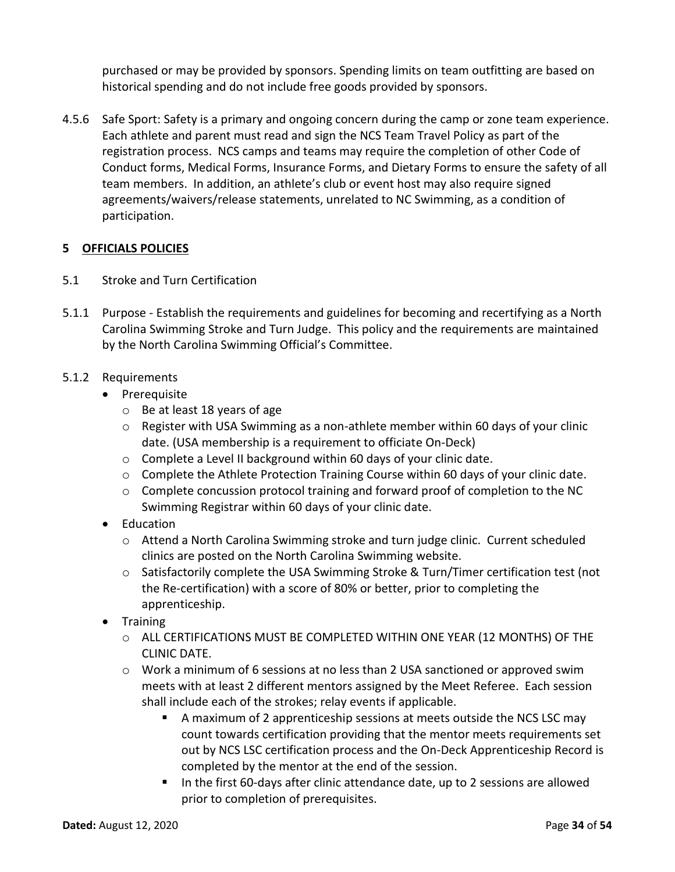purchased or may be provided by sponsors. Spending limits on team outfitting are based on historical spending and do not include free goods provided by sponsors.

4.5.6 Safe Sport: Safety is a primary and ongoing concern during the camp or zone team experience. Each athlete and parent must read and sign the NCS Team Travel Policy as part of the registration process. NCS camps and teams may require the completion of other Code of Conduct forms, Medical Forms, Insurance Forms, and Dietary Forms to ensure the safety of all team members. In addition, an athlete's club or event host may also require signed agreements/waivers/release statements, unrelated to NC Swimming, as a condition of participation.

# <span id="page-33-0"></span>**5 OFFICIALS POLICIES**

- 5.1 Stroke and Turn Certification
- 5.1.1 Purpose Establish the requirements and guidelines for becoming and recertifying as a North Carolina Swimming Stroke and Turn Judge. This policy and the requirements are maintained by the North Carolina Swimming Official's Committee.

# 5.1.2 Requirements

- Prerequisite
	- o Be at least 18 years of age
	- $\circ$  Register with USA Swimming as a non-athlete member within 60 days of your clinic date. (USA membership is a requirement to officiate On-Deck)
	- o Complete a Level II background within 60 days of your clinic date.
	- o Complete the Athlete Protection Training Course within 60 days of your clinic date.
	- $\circ$  Complete concussion protocol training and forward proof of completion to the NC Swimming Registrar within 60 days of your clinic date.
- Education
	- o Attend a North Carolina Swimming stroke and turn judge clinic. Current scheduled clinics are posted on the North Carolina Swimming website.
	- $\circ$  Satisfactorily complete the USA Swimming Stroke & Turn/Timer certification test (not the Re-certification) with a score of 80% or better, prior to completing the apprenticeship.
- Training
	- o ALL CERTIFICATIONS MUST BE COMPLETED WITHIN ONE YEAR (12 MONTHS) OF THE CLINIC DATE.
	- $\circ$  Work a minimum of 6 sessions at no less than 2 USA sanctioned or approved swim meets with at least 2 different mentors assigned by the Meet Referee. Each session shall include each of the strokes; relay events if applicable.
		- A maximum of 2 apprenticeship sessions at meets outside the NCS LSC may count towards certification providing that the mentor meets requirements set out by NCS LSC certification process and the On-Deck Apprenticeship Record is completed by the mentor at the end of the session.
		- In the first 60-days after clinic attendance date, up to 2 sessions are allowed prior to completion of prerequisites.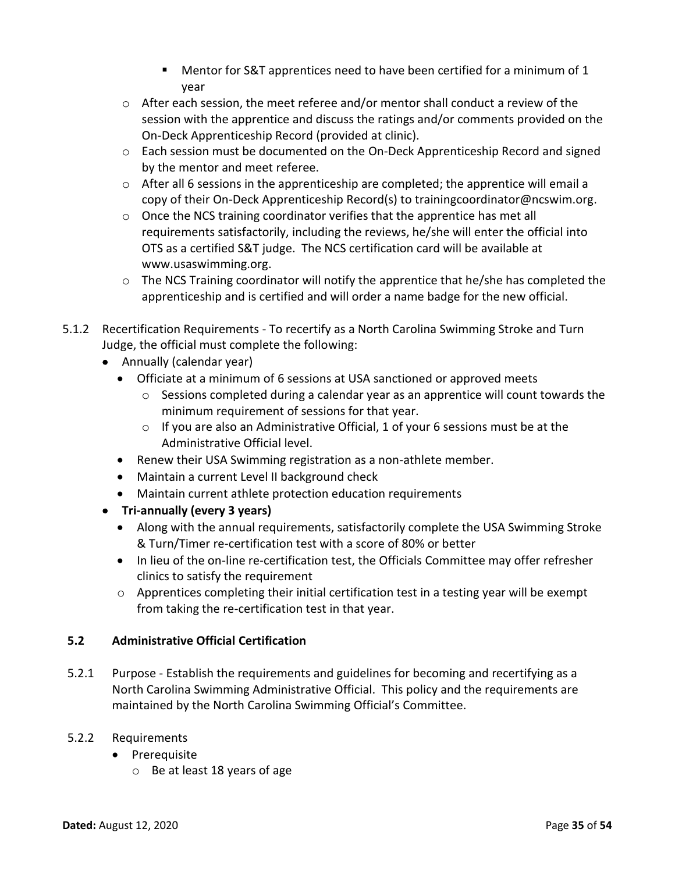- Mentor for S&T apprentices need to have been certified for a minimum of 1 year
- o After each session, the meet referee and/or mentor shall conduct a review of the session with the apprentice and discuss the ratings and/or comments provided on the On-Deck Apprenticeship Record (provided at clinic).
- $\circ$  Each session must be documented on the On-Deck Apprenticeship Record and signed by the mentor and meet referee.
- $\circ$  After all 6 sessions in the apprenticeship are completed; the apprentice will email a copy of their On-Deck Apprenticeship Record(s) to [trainingcoordinator@ncswim.org.](file:///C:/Users/Lisa/Documents/Swimming/NCS/Officials%20Committee/PoPs/Stroke%20&%20Turn/trainingcoordinator@ncswim.org)
- $\circ$  Once the NCS training coordinator verifies that the apprentice has met all requirements satisfactorily, including the reviews, he/she will enter the official into OTS as a certified S&T judge. The NCS certification card will be available at [www.usaswimming.org.](file:///C:/Users/Lisa/Documents/Swimming/NCS/Officials%20Committee/PoPs/Stroke%20&%20Turn/www.usaswimming.org)
- $\circ$  The NCS Training coordinator will notify the apprentice that he/she has completed the apprenticeship and is certified and will order a name badge for the new official.
- 5.1.2 Recertification Requirements To recertify as a North Carolina Swimming Stroke and Turn Judge, the official must complete the following:
	- Annually (calendar year)
		- Officiate at a minimum of 6 sessions at USA sanctioned or approved meets
			- $\circ$  Sessions completed during a calendar year as an apprentice will count towards the minimum requirement of sessions for that year.
			- $\circ$  If you are also an Administrative Official, 1 of your 6 sessions must be at the Administrative Official level.
		- Renew their USA Swimming registration as a non-athlete member.
		- Maintain a current Level II background check
		- Maintain current athlete protection education requirements
	- **Tri-annually (every 3 years)**
		- Along with the annual requirements, satisfactorily complete the USA Swimming Stroke & Turn/Timer re-certification test with a score of 80% or better
		- In lieu of the on-line re-certification test, the Officials Committee may offer refresher clinics to satisfy the requirement
		- o Apprentices completing their initial certification test in a testing year will be exempt from taking the re-certification test in that year.

# <span id="page-34-0"></span>**5.2 Administrative Official Certification**

5.2.1 Purpose - Establish the requirements and guidelines for becoming and recertifying as a North Carolina Swimming Administrative Official. This policy and the requirements are maintained by the North Carolina Swimming Official's Committee.

# 5.2.2 Requirements

- Prerequisite
	- o Be at least 18 years of age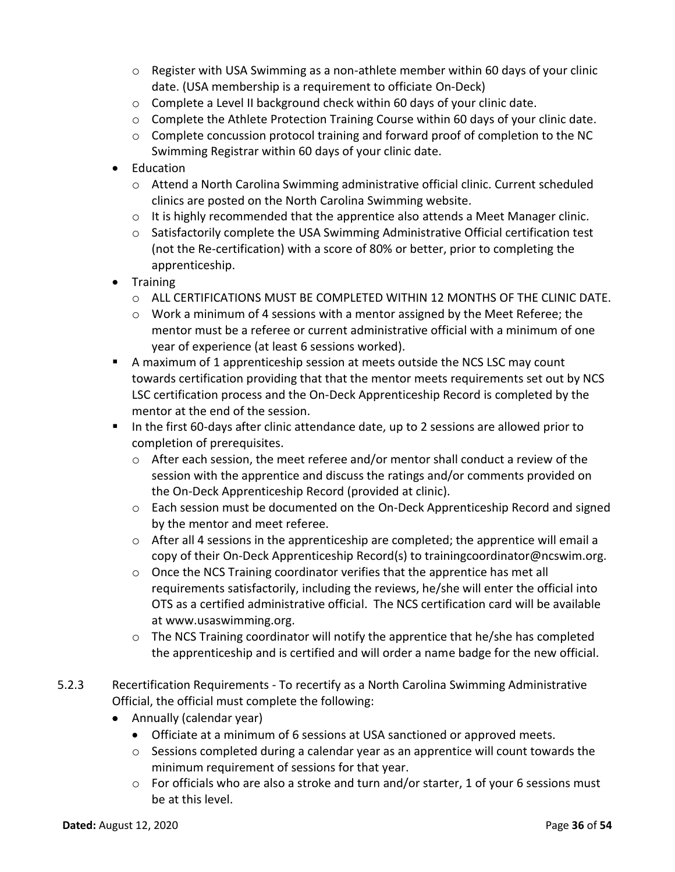- $\circ$  Register with USA Swimming as a non-athlete member within 60 days of your clinic date. (USA membership is a requirement to officiate On-Deck)
- o Complete a Level II background check within 60 days of your clinic date.
- $\circ$  Complete the Athlete Protection Training Course within 60 days of your clinic date.
- $\circ$  Complete concussion protocol training and forward proof of completion to the NC Swimming Registrar within 60 days of your clinic date.
- Education
	- $\circ$  Attend a North Carolina Swimming administrative official clinic. Current scheduled clinics are posted on the North Carolina Swimming website.
	- $\circ$  It is highly recommended that the apprentice also attends a Meet Manager clinic.
	- o Satisfactorily complete the USA Swimming Administrative Official certification test (not the Re-certification) with a score of 80% or better, prior to completing the apprenticeship.
- Training
	- o ALL CERTIFICATIONS MUST BE COMPLETED WITHIN 12 MONTHS OF THE CLINIC DATE.
	- $\circ$  Work a minimum of 4 sessions with a mentor assigned by the Meet Referee; the mentor must be a referee or current administrative official with a minimum of one year of experience (at least 6 sessions worked).
- A maximum of 1 apprenticeship session at meets outside the NCS LSC may count towards certification providing that that the mentor meets requirements set out by NCS LSC certification process and the On-Deck Apprenticeship Record is completed by the mentor at the end of the session.
- In the first 60-days after clinic attendance date, up to 2 sessions are allowed prior to completion of prerequisites.
	- $\circ$  After each session, the meet referee and/or mentor shall conduct a review of the session with the apprentice and discuss the ratings and/or comments provided on the On-Deck Apprenticeship Record (provided at clinic).
	- $\circ$  Each session must be documented on the On-Deck Apprenticeship Record and signed by the mentor and meet referee.
	- $\circ$  After all 4 sessions in the apprenticeship are completed; the apprentice will email a copy of their On-Deck Apprenticeship Record(s) to trainingcoordinator@ncswim.org.
	- $\circ$  Once the NCS Training coordinator verifies that the apprentice has met all requirements satisfactorily, including the reviews, he/she will enter the official into OTS as a certified administrative official. The NCS certification card will be available at [www.usaswimming.org.](http://www.usaswimming.org/)
	- $\circ$  The NCS Training coordinator will notify the apprentice that he/she has completed the apprenticeship and is certified and will order a name badge for the new official.
- 5.2.3 Recertification Requirements To recertify as a North Carolina Swimming Administrative Official, the official must complete the following:
	- Annually (calendar year)
		- Officiate at a minimum of 6 sessions at USA sanctioned or approved meets.
		- $\circ$  Sessions completed during a calendar year as an apprentice will count towards the minimum requirement of sessions for that year.
		- $\circ$  For officials who are also a stroke and turn and/or starter, 1 of your 6 sessions must be at this level.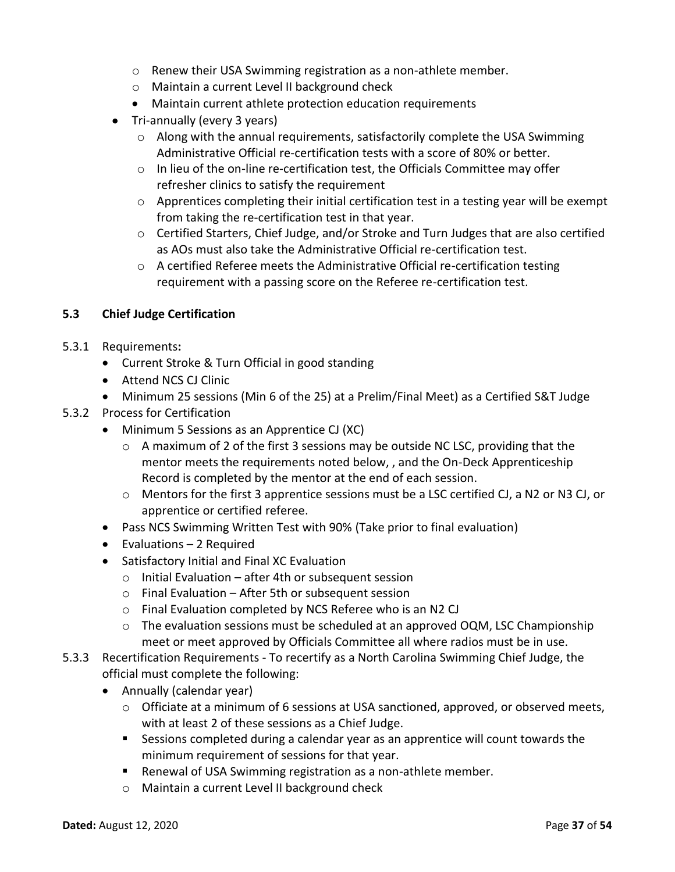- o Renew their USA Swimming registration as a non-athlete member.
- o Maintain a current Level II background check
- Maintain current athlete protection education requirements
- Tri-annually (every 3 years)
	- $\circ$  Along with the annual requirements, satisfactorily complete the USA Swimming Administrative Official re-certification tests with a score of 80% or better.
	- $\circ$  In lieu of the on-line re-certification test, the Officials Committee may offer refresher clinics to satisfy the requirement
	- $\circ$  Apprentices completing their initial certification test in a testing year will be exempt from taking the re-certification test in that year.
	- $\circ$  Certified Starters, Chief Judge, and/or Stroke and Turn Judges that are also certified as AOs must also take the Administrative Official re-certification test.
	- $\circ$  A certified Referee meets the Administrative Official re-certification testing requirement with a passing score on the Referee re-certification test.

# <span id="page-36-0"></span>**5.3 Chief Judge Certification**

- 5.3.1 Requirements**:**
	- Current Stroke & Turn Official in good standing
	- Attend NCS CJ Clinic
	- Minimum 25 sessions (Min 6 of the 25) at a Prelim/Final Meet) as a Certified S&T Judge
- 5.3.2 Process for Certification
	- Minimum 5 Sessions as an Apprentice CJ (XC)
		- o A maximum of 2 of the first 3 sessions may be outside NC LSC, providing that the mentor meets the requirements noted below, , and the On-Deck Apprenticeship Record is completed by the mentor at the end of each session.
		- o Mentors for the first 3 apprentice sessions must be a LSC certified CJ, a N2 or N3 CJ, or apprentice or certified referee.
	- Pass NCS Swimming Written Test with 90% (Take prior to final evaluation)
	- Evaluations 2 Required
	- Satisfactory Initial and Final XC Evaluation
		- o Initial Evaluation after 4th or subsequent session
		- o Final Evaluation After 5th or subsequent session
		- o Final Evaluation completed by NCS Referee who is an N2 CJ
		- $\circ$  The evaluation sessions must be scheduled at an approved OQM, LSC Championship meet or meet approved by Officials Committee all where radios must be in use.
- <span id="page-36-1"></span>5.3.3 Recertification Requirements - To recertify as a North Carolina Swimming Chief Judge, the official must complete the following:
	- Annually (calendar year)
		- $\circ$  Officiate at a minimum of 6 sessions at USA sanctioned, approved, or observed meets, with at least 2 of these sessions as a Chief Judge.
		- Sessions completed during a calendar year as an apprentice will count towards the minimum requirement of sessions for that year.
		- Renewal of USA Swimming registration as a non-athlete member.
		- o Maintain a current Level II background check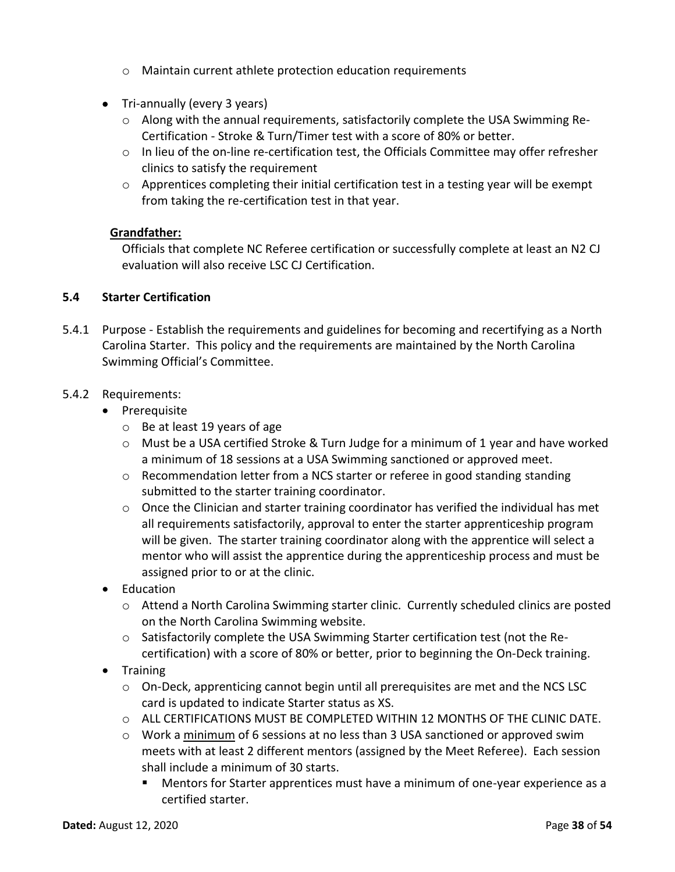- o Maintain current athlete protection education requirements
- Tri-annually (every 3 years)
	- o Along with the annual requirements, satisfactorily complete the USA Swimming Re-Certification - Stroke & Turn/Timer test with a score of 80% or better.
	- $\circ$  In lieu of the on-line re-certification test, the Officials Committee may offer refresher clinics to satisfy the requirement
	- $\circ$  Apprentices completing their initial certification test in a testing year will be exempt from taking the re-certification test in that year.

# **Grandfather:**

Officials that complete NC Referee certification or successfully complete at least an N2 CJ evaluation will also receive LSC CJ Certification.

# **5.4 Starter Certification**

5.4.1 Purpose - Establish the requirements and guidelines for becoming and recertifying as a North Carolina Starter. This policy and the requirements are maintained by the North Carolina Swimming Official's Committee.

# 5.4.2 Requirements:

- Prerequisite
	- o Be at least 19 years of age
	- $\circ$  Must be a USA certified Stroke & Turn Judge for a minimum of 1 year and have worked a minimum of 18 sessions at a USA Swimming sanctioned or approved meet.
	- $\circ$  Recommendation letter from a NCS starter or referee in good standing standing submitted to the starter training coordinator.
	- $\circ$  Once the Clinician and starter training coordinator has verified the individual has met all requirements satisfactorily, approval to enter the starter apprenticeship program will be given. The starter training coordinator along with the apprentice will select a mentor who will assist the apprentice during the apprenticeship process and must be assigned prior to or at the clinic.
- Education
	- o Attend a North Carolina Swimming starter clinic. Currently scheduled clinics are posted on the North Carolina Swimming website.
	- $\circ$  Satisfactorily complete the USA Swimming Starter certification test (not the Recertification) with a score of 80% or better, prior to beginning the On-Deck training.
- Training
	- $\circ$  On-Deck, apprenticing cannot begin until all prerequisites are met and the NCS LSC card is updated to indicate Starter status as XS.
	- o ALL CERTIFICATIONS MUST BE COMPLETED WITHIN 12 MONTHS OF THE CLINIC DATE.
	- $\circ$  Work a minimum of 6 sessions at no less than 3 USA sanctioned or approved swim meets with at least 2 different mentors (assigned by the Meet Referee). Each session shall include a minimum of 30 starts.
		- Mentors for Starter apprentices must have a minimum of one-year experience as a certified starter.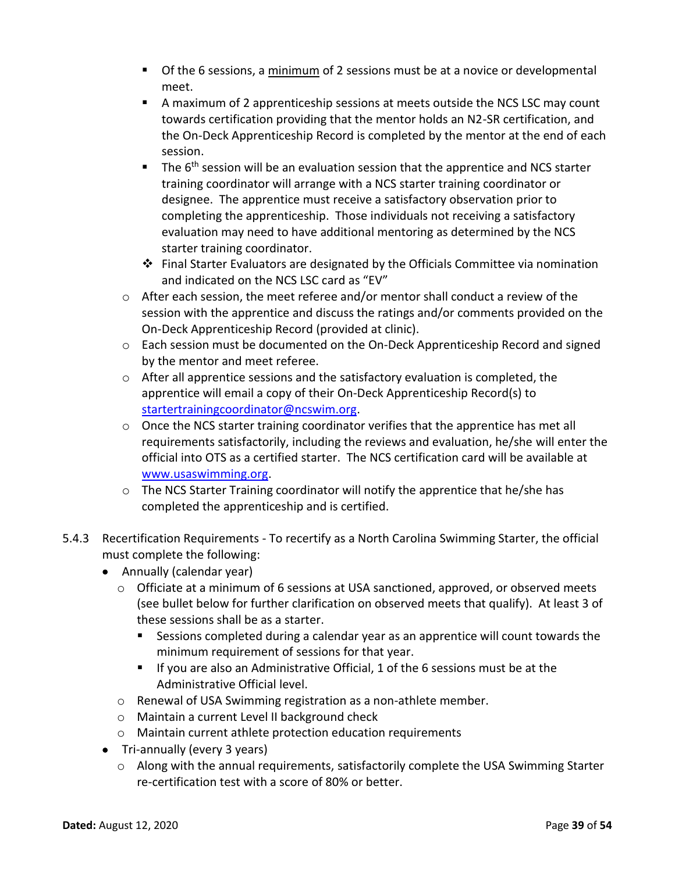- **•** Of the 6 sessions, a minimum of 2 sessions must be at a novice or developmental meet.
- A maximum of 2 apprenticeship sessions at meets outside the NCS LSC may count towards certification providing that the mentor holds an N2-SR certification, and the On-Deck Apprenticeship Record is completed by the mentor at the end of each session.
- $\blacksquare$  The 6<sup>th</sup> session will be an evaluation session that the apprentice and NCS starter training coordinator will arrange with a NCS starter training coordinator or designee. The apprentice must receive a satisfactory observation prior to completing the apprenticeship. Those individuals not receiving a satisfactory evaluation may need to have additional mentoring as determined by the NCS starter training coordinator.
- ❖ Final Starter Evaluators are designated by the Officials Committee via nomination and indicated on the NCS LSC card as "EV"
- $\circ$  After each session, the meet referee and/or mentor shall conduct a review of the session with the apprentice and discuss the ratings and/or comments provided on the On-Deck Apprenticeship Record (provided at clinic).
- o Each session must be documented on the On-Deck Apprenticeship Record and signed by the mentor and meet referee.
- $\circ$  After all apprentice sessions and the satisfactory evaluation is completed, the apprentice will email a copy of their On-Deck Apprenticeship Record(s) to [startertrainingcoordinator@ncswim.org.](mailto:startertrainingcoordinator@ncswim.org)
- $\circ$  Once the NCS starter training coordinator verifies that the apprentice has met all requirements satisfactorily, including the reviews and evaluation, he/she will enter the official into OTS as a certified starter. The NCS certification card will be available at [www.usaswimming.org.](http://www.usaswimming.org/)
- o The NCS Starter Training coordinator will notify the apprentice that he/she has completed the apprenticeship and is certified.
- 5.4.3 Recertification Requirements To recertify as a North Carolina Swimming Starter, the official must complete the following:
	- Annually (calendar year)
		- o Officiate at a minimum of 6 sessions at USA sanctioned, approved, or observed meets (see bullet below for further clarification on observed meets that qualify). At least 3 of these sessions shall be as a starter.
			- Sessions completed during a calendar year as an apprentice will count towards the minimum requirement of sessions for that year.
			- If you are also an Administrative Official, 1 of the 6 sessions must be at the Administrative Official level.
		- o Renewal of USA Swimming registration as a non-athlete member.
		- o Maintain a current Level II background check
		- o Maintain current athlete protection education requirements
	- Tri-annually (every 3 years)
		- o Along with the annual requirements, satisfactorily complete the USA Swimming Starter re-certification test with a score of 80% or better.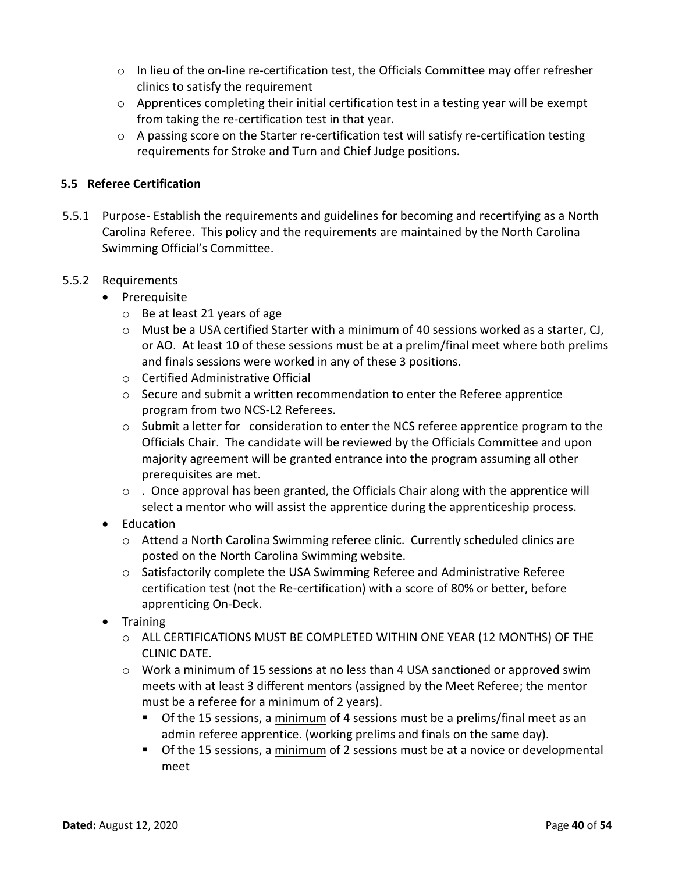- o In lieu of the on-line re-certification test, the Officials Committee may offer refresher clinics to satisfy the requirement
- o Apprentices completing their initial certification test in a testing year will be exempt from taking the re-certification test in that year.
- $\circ$  A passing score on the Starter re-certification test will satisfy re-certification testing requirements for Stroke and Turn and Chief Judge positions.

# <span id="page-39-0"></span>**5.5 Referee Certification**

5.5.1 Purpose- Establish the requirements and guidelines for becoming and recertifying as a North Carolina Referee. This policy and the requirements are maintained by the North Carolina Swimming Official's Committee.

# 5.5.2 Requirements

- Prerequisite
	- o Be at least 21 years of age
	- o Must be a USA certified Starter with a minimum of 40 sessions worked as a starter, CJ, or AO. At least 10 of these sessions must be at a prelim/final meet where both prelims and finals sessions were worked in any of these 3 positions.
	- o Certified Administrative Official
	- o Secure and submit a written recommendation to enter the Referee apprentice program from two NCS-L2 Referees.
	- $\circ$  Submit a letter for consideration to enter the NCS referee apprentice program to the Officials Chair. The candidate will be reviewed by the Officials Committee and upon majority agreement will be granted entrance into the program assuming all other prerequisites are met.
	- $\circ$  . Once approval has been granted, the Officials Chair along with the apprentice will select a mentor who will assist the apprentice during the apprenticeship process.
- Education
	- o Attend a North Carolina Swimming referee clinic. Currently scheduled clinics are posted on the North Carolina Swimming website.
	- $\circ$  Satisfactorily complete the USA Swimming Referee and Administrative Referee certification test (not the Re-certification) with a score of 80% or better, before apprenticing On-Deck.
- Training
	- o ALL CERTIFICATIONS MUST BE COMPLETED WITHIN ONE YEAR (12 MONTHS) OF THE CLINIC DATE.
	- $\circ$  Work a minimum of 15 sessions at no less than 4 USA sanctioned or approved swim meets with at least 3 different mentors (assigned by the Meet Referee; the mentor must be a referee for a minimum of 2 years).
		- **•** Of the 15 sessions, a minimum of 4 sessions must be a prelims/final meet as an admin referee apprentice. (working prelims and finals on the same day).
		- Of the 15 sessions, a minimum of 2 sessions must be at a novice or developmental meet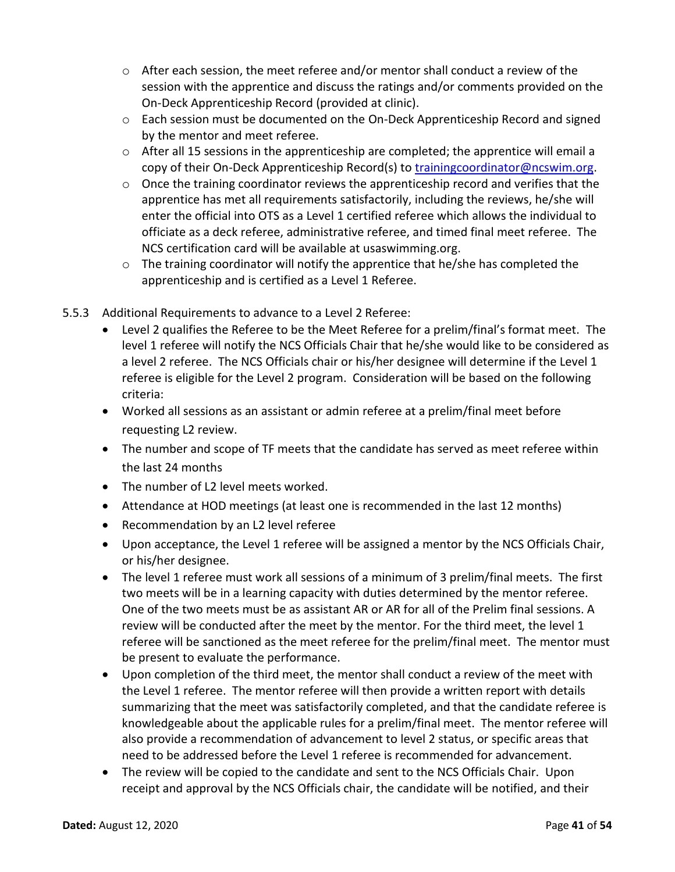- $\circ$  After each session, the meet referee and/or mentor shall conduct a review of the session with the apprentice and discuss the ratings and/or comments provided on the On-Deck Apprenticeship Record (provided at clinic).
- $\circ$  Each session must be documented on the On-Deck Apprenticeship Record and signed by the mentor and meet referee.
- $\circ$  After all 15 sessions in the apprenticeship are completed; the apprentice will email a copy of their On-Deck Apprenticeship Record(s) to [trainingcoordinator@ncswim.org.](file:///C:/Users/Lisa/Documents/Swimming/NCS/Officials%20Committee/PoPs/Stroke%20&%20Turn/trainingcoordinator@ncswim.org)
- $\circ$  Once the training coordinator reviews the apprenticeship record and verifies that the apprentice has met all requirements satisfactorily, including the reviews, he/she will enter the official into OTS as a Level 1 certified referee which allows the individual to officiate as a deck referee, administrative referee, and timed final meet referee. The NCS certification card will be available at usaswimming.org.
- $\circ$  The training coordinator will notify the apprentice that he/she has completed the apprenticeship and is certified as a Level 1 Referee.
- 5.5.3 Additional Requirements to advance to a Level 2 Referee:
	- Level 2 qualifies the Referee to be the Meet Referee for a prelim/final's format meet. The level 1 referee will notify the NCS Officials Chair that he/she would like to be considered as a level 2 referee. The NCS Officials chair or his/her designee will determine if the Level 1 referee is eligible for the Level 2 program. Consideration will be based on the following criteria:
	- Worked all sessions as an assistant or admin referee at a prelim/final meet before requesting L2 review.
	- The number and scope of TF meets that the candidate has served as meet referee within the last 24 months
	- The number of L2 level meets worked.
	- Attendance at HOD meetings (at least one is recommended in the last 12 months)
	- Recommendation by an L2 level referee
	- Upon acceptance, the Level 1 referee will be assigned a mentor by the NCS Officials Chair, or his/her designee.
	- The level 1 referee must work all sessions of a minimum of 3 prelim/final meets. The first two meets will be in a learning capacity with duties determined by the mentor referee. One of the two meets must be as assistant AR or AR for all of the Prelim final sessions. A review will be conducted after the meet by the mentor. For the third meet, the level 1 referee will be sanctioned as the meet referee for the prelim/final meet. The mentor must be present to evaluate the performance.
	- Upon completion of the third meet, the mentor shall conduct a review of the meet with the Level 1 referee. The mentor referee will then provide a written report with details summarizing that the meet was satisfactorily completed, and that the candidate referee is knowledgeable about the applicable rules for a prelim/final meet. The mentor referee will also provide a recommendation of advancement to level 2 status, or specific areas that need to be addressed before the Level 1 referee is recommended for advancement.
	- The review will be copied to the candidate and sent to the NCS Officials Chair. Upon receipt and approval by the NCS Officials chair, the candidate will be notified, and their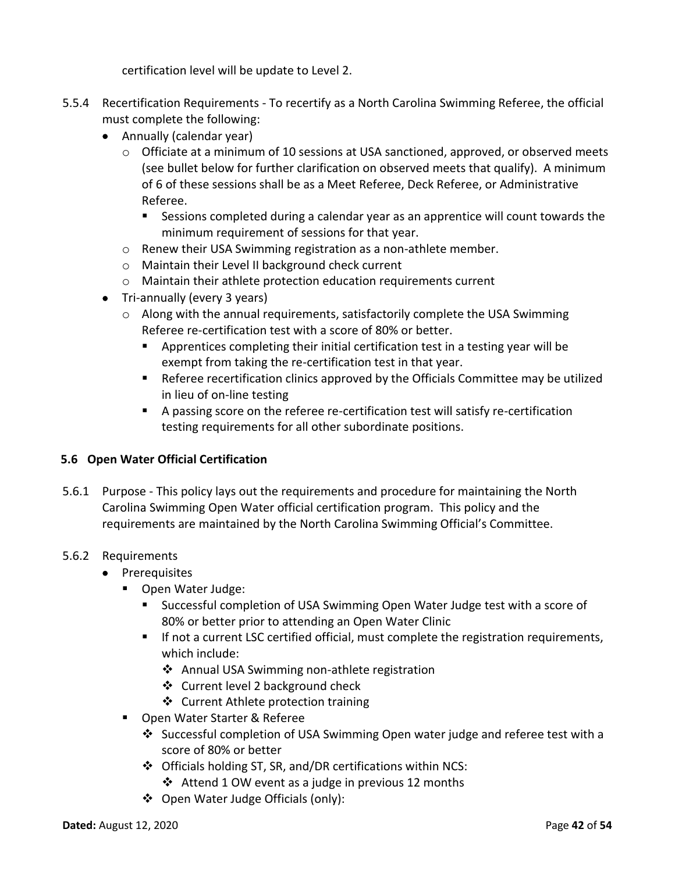certification level will be update to Level 2.

- 5.5.4 Recertification Requirements To recertify as a North Carolina Swimming Referee, the official must complete the following:
	- Annually (calendar year)
		- $\circ$  Officiate at a minimum of 10 sessions at USA sanctioned, approved, or observed meets (see bullet below for further clarification on observed meets that qualify). A minimum of 6 of these sessions shall be as a Meet Referee, Deck Referee, or Administrative Referee.
			- Sessions completed during a calendar year as an apprentice will count towards the minimum requirement of sessions for that year.
		- o Renew their USA Swimming registration as a non-athlete member.
		- o Maintain their Level II background check current
		- o Maintain their athlete protection education requirements current
	- Tri-annually (every 3 years)
		- o Along with the annual requirements, satisfactorily complete the USA Swimming Referee re-certification test with a score of 80% or better.
			- Apprentices completing their initial certification test in a testing year will be exempt from taking the re-certification test in that year.
			- Referee recertification clinics approved by the Officials Committee may be utilized in lieu of on-line testing
			- A passing score on the referee re-certification test will satisfy re-certification testing requirements for all other subordinate positions.

# <span id="page-41-0"></span>**5.6 Open Water Official Certification**

5.6.1 Purpose - This policy lays out the requirements and procedure for maintaining the North Carolina Swimming Open Water official certification program. This policy and the requirements are maintained by the North Carolina Swimming Official's Committee.

#### 5.6.2 Requirements

- Prerequisites
	- Open Water Judge:
		- Successful completion of USA Swimming Open Water Judge test with a score of 80% or better prior to attending an Open Water Clinic
		- If not a current LSC certified official, must complete the registration requirements, which include:
			- ❖ Annual USA Swimming non-athlete registration
			- ❖ Current level 2 background check
			- ❖ Current Athlete protection training
	- Open Water Starter & Referee
		- ❖ Successful completion of USA Swimming Open water judge and referee test with a score of 80% or better
		- ❖ Officials holding ST, SR, and/DR certifications within NCS:
			- ❖ Attend 1 OW event as a judge in previous 12 months
		- ❖ Open Water Judge Officials (only):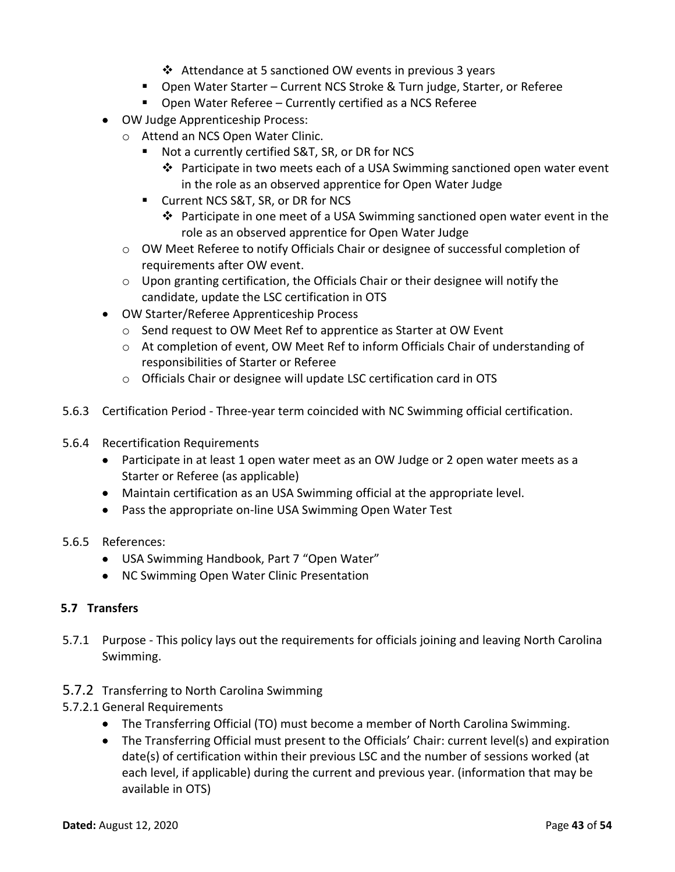- ❖ Attendance at 5 sanctioned OW events in previous 3 years
- Open Water Starter Current NCS Stroke & Turn judge, Starter, or Referee
- Open Water Referee Currently certified as a NCS Referee
- OW Judge Apprenticeship Process:
	- o Attend an NCS Open Water Clinic.
		- Not a currently certified S&T, SR, or DR for NCS
			- ❖ Participate in two meets each of a USA Swimming sanctioned open water event in the role as an observed apprentice for Open Water Judge
		- Current NCS S&T, SR, or DR for NCS
			- ❖ Participate in one meet of a USA Swimming sanctioned open water event in the role as an observed apprentice for Open Water Judge
	- o OW Meet Referee to notify Officials Chair or designee of successful completion of requirements after OW event.
	- $\circ$  Upon granting certification, the Officials Chair or their designee will notify the candidate, update the LSC certification in OTS
- OW Starter/Referee Apprenticeship Process
	- o Send request to OW Meet Ref to apprentice as Starter at OW Event
	- $\circ$  At completion of event, OW Meet Ref to inform Officials Chair of understanding of responsibilities of Starter or Referee
	- o Officials Chair or designee will update LSC certification card in OTS
- 5.6.3 Certification Period Three-year term coincided with NC Swimming official certification.
- 5.6.4 Recertification Requirements
	- Participate in at least 1 open water meet as an OW Judge or 2 open water meets as a Starter or Referee (as applicable)
	- Maintain certification as an USA Swimming official at the appropriate level.
	- Pass the appropriate on-line USA Swimming Open Water Test
- 5.6.5 References:
	- USA Swimming Handbook, Part 7 "Open Water"
	- NC Swimming Open Water Clinic Presentation

# <span id="page-42-0"></span>**5.7 Transfers**

- 5.7.1 Purpose This policy lays out the requirements for officials joining and leaving North Carolina Swimming.
- 5.7.2 Transferring to North Carolina Swimming
- 5.7.2.1 General Requirements
	- The Transferring Official (TO) must become a member of North Carolina Swimming.
	- The Transferring Official must present to the Officials' Chair: current level(s) and expiration date(s) of certification within their previous LSC and the number of sessions worked (at each level, if applicable) during the current and previous year. (information that may be available in OTS)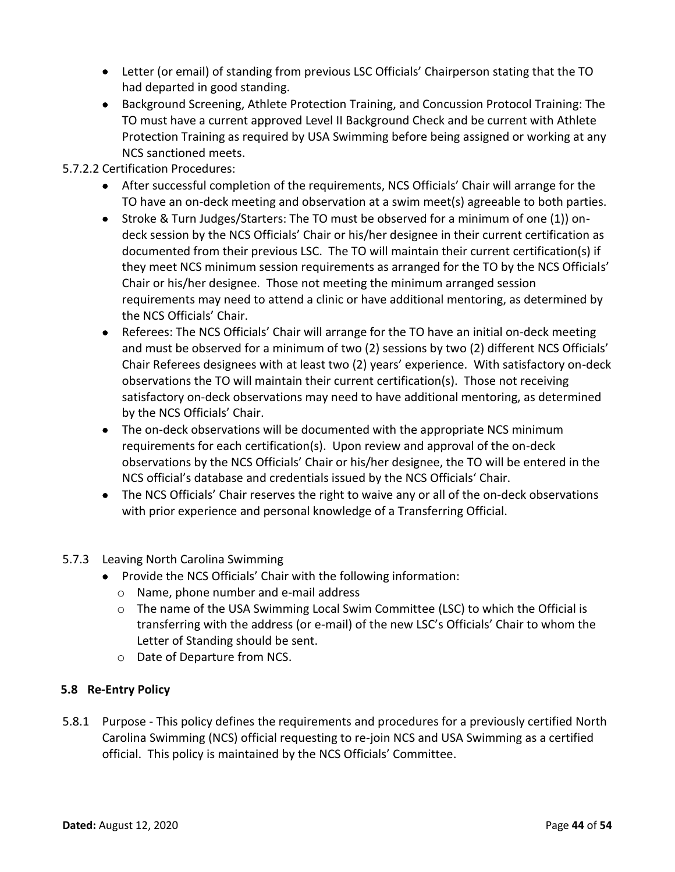- Letter (or email) of standing from previous LSC Officials' Chairperson stating that the TO had departed in good standing.
- Background Screening, Athlete Protection Training, and Concussion Protocol Training: The TO must have a current approved Level II Background Check and be current with Athlete Protection Training as required by USA Swimming before being assigned or working at any NCS sanctioned meets.
- 5.7.2.2 Certification Procedures:
	- After successful completion of the requirements, NCS Officials' Chair will arrange for the TO have an on-deck meeting and observation at a swim meet(s) agreeable to both parties.
	- Stroke & Turn Judges/Starters: The TO must be observed for a minimum of one (1)) ondeck session by the NCS Officials' Chair or his/her designee in their current certification as documented from their previous LSC. The TO will maintain their current certification(s) if they meet NCS minimum session requirements as arranged for the TO by the NCS Officials' Chair or his/her designee. Those not meeting the minimum arranged session requirements may need to attend a clinic or have additional mentoring, as determined by the NCS Officials' Chair.
	- Referees: The NCS Officials' Chair will arrange for the TO have an initial on-deck meeting and must be observed for a minimum of two (2) sessions by two (2) different NCS Officials' Chair Referees designees with at least two (2) years' experience. With satisfactory on-deck observations the TO will maintain their current certification(s). Those not receiving satisfactory on-deck observations may need to have additional mentoring, as determined by the NCS Officials' Chair.
	- The on-deck observations will be documented with the appropriate NCS minimum requirements for each certification(s). Upon review and approval of the on-deck observations by the NCS Officials' Chair or his/her designee, the TO will be entered in the NCS official's database and credentials issued by the NCS Officials' Chair.
	- The NCS Officials' Chair reserves the right to waive any or all of the on-deck observations with prior experience and personal knowledge of a Transferring Official.
- 5.7.3 Leaving North Carolina Swimming
	- Provide the NCS Officials' Chair with the following information:
		- o Name, phone number and e-mail address
		- o The name of the USA Swimming Local Swim Committee (LSC) to which the Official is transferring with the address (or e-mail) of the new LSC's Officials' Chair to whom the Letter of Standing should be sent.
		- o Date of Departure from NCS.

# <span id="page-43-0"></span>**5.8 Re-Entry Policy**

5.8.1 Purpose - This policy defines the requirements and procedures for a previously certified North Carolina Swimming (NCS) official requesting to re-join NCS and USA Swimming as a certified official. This policy is maintained by the NCS Officials' Committee.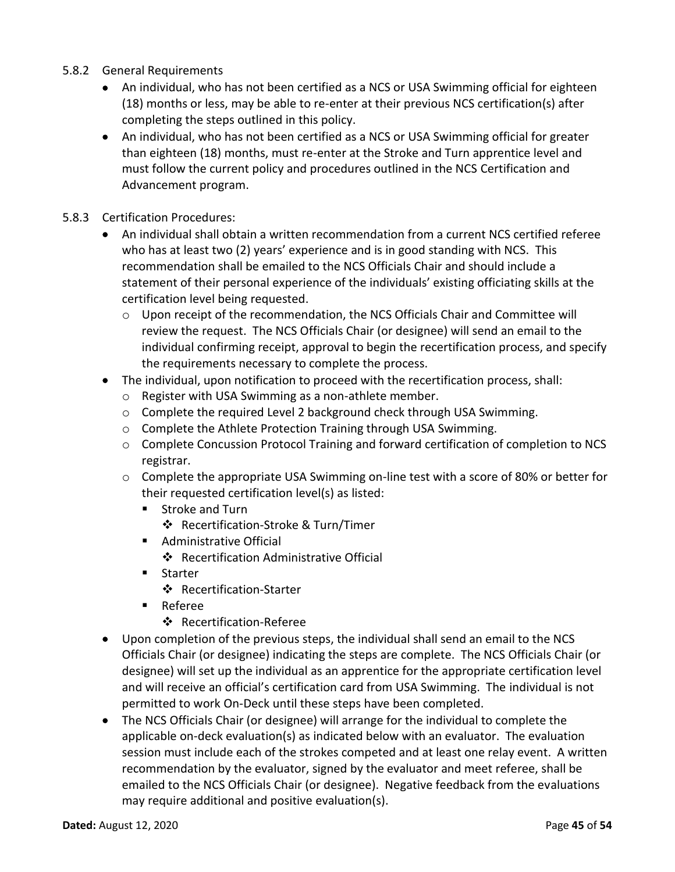- 5.8.2 General Requirements
	- An individual, who has not been certified as a NCS or USA Swimming official for eighteen (18) months or less, may be able to re-enter at their previous NCS certification(s) after completing the steps outlined in this policy.
	- An individual, who has not been certified as a NCS or USA Swimming official for greater than eighteen (18) months, must re-enter at the Stroke and Turn apprentice level and must follow the current policy and procedures outlined in the NCS Certification and Advancement program.
- 5.8.3 Certification Procedures:
	- An individual shall obtain a written recommendation from a current NCS certified referee who has at least two (2) years' experience and is in good standing with NCS. This recommendation shall be emailed to the NCS Officials Chair and should include a statement of their personal experience of the individuals' existing officiating skills at the certification level being requested.
		- o Upon receipt of the recommendation, the NCS Officials Chair and Committee will review the request. The NCS Officials Chair (or designee) will send an email to the individual confirming receipt, approval to begin the recertification process, and specify the requirements necessary to complete the process.
	- The individual, upon notification to proceed with the recertification process, shall:
		- o Register with USA Swimming as a non-athlete member.
		- o Complete the required Level 2 background check through USA Swimming.
		- o Complete the Athlete Protection Training through USA Swimming.
		- $\circ$  Complete Concussion Protocol Training and forward certification of completion to NCS registrar.
		- o Complete the appropriate USA Swimming on-line test with a score of 80% or better for their requested certification level(s) as listed:
			- Stroke and Turn
				- ❖ Recertification-Stroke & Turn/Timer
			- Administrative Official
				- ❖ Recertification Administrative Official
			- Starter
				- ❖ Recertification-Starter
			- Referee
				- ❖ Recertification-Referee
	- Upon completion of the previous steps, the individual shall send an email to the NCS Officials Chair (or designee) indicating the steps are complete. The NCS Officials Chair (or designee) will set up the individual as an apprentice for the appropriate certification level and will receive an official's certification card from USA Swimming. The individual is not permitted to work On-Deck until these steps have been completed.
	- The NCS Officials Chair (or designee) will arrange for the individual to complete the applicable on-deck evaluation(s) as indicated below with an evaluator. The evaluation session must include each of the strokes competed and at least one relay event. A written recommendation by the evaluator, signed by the evaluator and meet referee, shall be emailed to the NCS Officials Chair (or designee). Negative feedback from the evaluations may require additional and positive evaluation(s).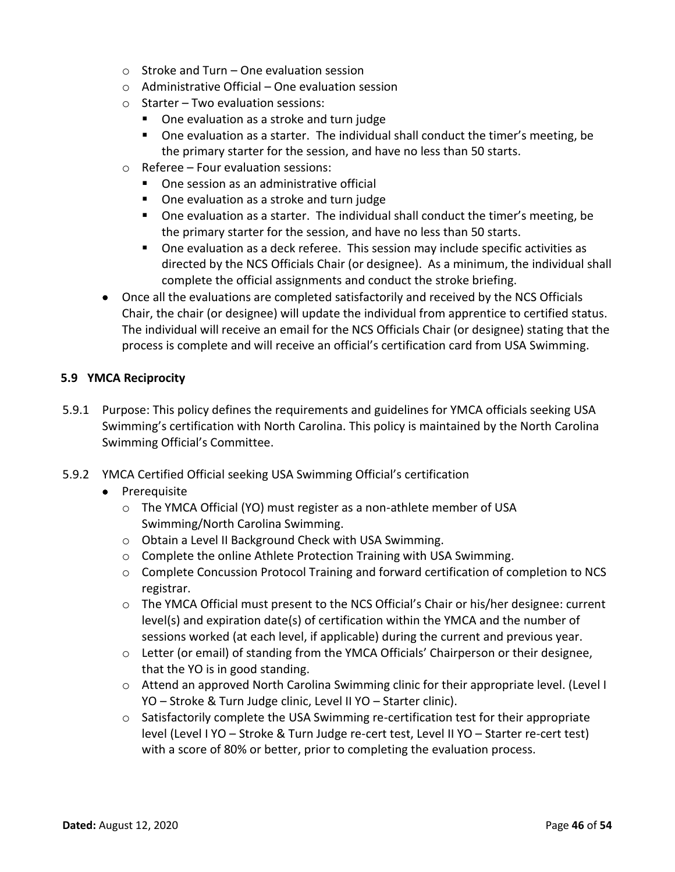- $\circ$  Stroke and Turn One evaluation session
- $\circ$  Administrative Official One evaluation session
- o Starter Two evaluation sessions:
	- One evaluation as a stroke and turn judge
	- One evaluation as a starter. The individual shall conduct the timer's meeting, be the primary starter for the session, and have no less than 50 starts.
- o Referee Four evaluation sessions:
	- One session as an administrative official
	- One evaluation as a stroke and turn judge
	- One evaluation as a starter. The individual shall conduct the timer's meeting, be the primary starter for the session, and have no less than 50 starts.
	- One evaluation as a deck referee. This session may include specific activities as directed by the NCS Officials Chair (or designee). As a minimum, the individual shall complete the official assignments and conduct the stroke briefing.
- Once all the evaluations are completed satisfactorily and received by the NCS Officials Chair, the chair (or designee) will update the individual from apprentice to certified status. The individual will receive an email for the NCS Officials Chair (or designee) stating that the process is complete and will receive an official's certification card from USA Swimming.

# <span id="page-45-0"></span>**5.9 YMCA Reciprocity**

- 5.9.1 Purpose: This policy defines the requirements and guidelines for YMCA officials seeking USA Swimming's certification with North Carolina. This policy is maintained by the North Carolina Swimming Official's Committee.
- 5.9.2 YMCA Certified Official seeking USA Swimming Official's certification
	- Prerequisite
		- o The YMCA Official (YO) must register as a non-athlete member of USA Swimming/North Carolina Swimming.
		- o Obtain a Level II Background Check with USA Swimming.
		- o Complete the online Athlete Protection Training with USA Swimming.
		- o Complete Concussion Protocol Training and forward certification of completion to NCS registrar.
		- o The YMCA Official must present to the NCS Official's Chair or his/her designee: current level(s) and expiration date(s) of certification within the YMCA and the number of sessions worked (at each level, if applicable) during the current and previous year.
		- o Letter (or email) of standing from the YMCA Officials' Chairperson or their designee, that the YO is in good standing.
		- o Attend an approved North Carolina Swimming clinic for their appropriate level. (Level I YO – Stroke & Turn Judge clinic, Level II YO – Starter clinic).
		- $\circ$  Satisfactorily complete the USA Swimming re-certification test for their appropriate level (Level I YO – Stroke & Turn Judge re-cert test, Level II YO – Starter re-cert test) with a score of 80% or better, prior to completing the evaluation process.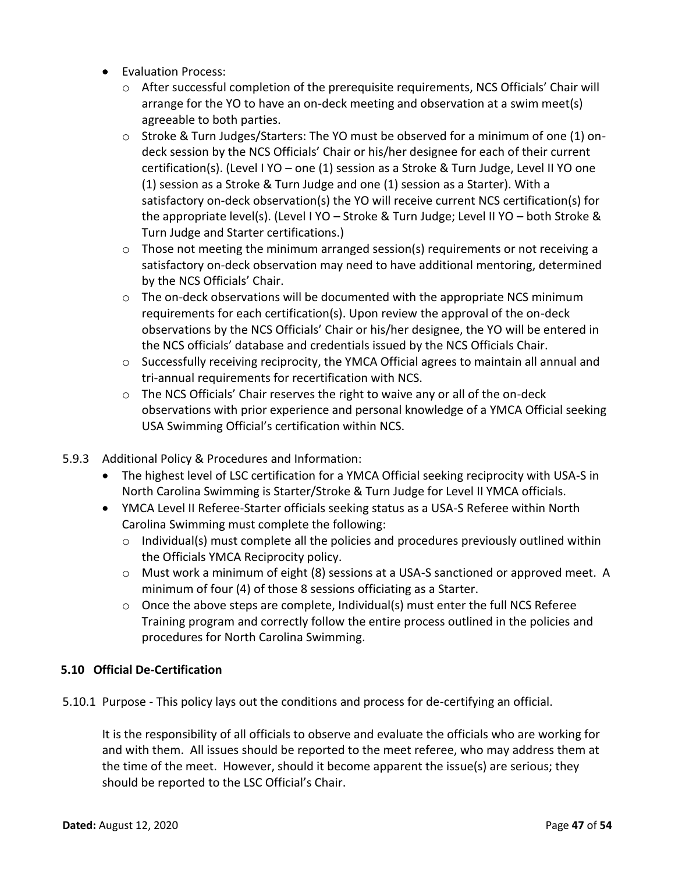- Evaluation Process:
	- o After successful completion of the prerequisite requirements, NCS Officials' Chair will arrange for the YO to have an on-deck meeting and observation at a swim meet(s) agreeable to both parties.
	- $\circ$  Stroke & Turn Judges/Starters: The YO must be observed for a minimum of one (1) ondeck session by the NCS Officials' Chair or his/her designee for each of their current certification(s). (Level I YO – one (1) session as a Stroke & Turn Judge, Level II YO one (1) session as a Stroke & Turn Judge and one (1) session as a Starter). With a satisfactory on-deck observation(s) the YO will receive current NCS certification(s) for the appropriate level(s). (Level I YO – Stroke & Turn Judge; Level II YO – both Stroke & Turn Judge and Starter certifications.)
	- $\circ$  Those not meeting the minimum arranged session(s) requirements or not receiving a satisfactory on-deck observation may need to have additional mentoring, determined by the NCS Officials' Chair.
	- $\circ$  The on-deck observations will be documented with the appropriate NCS minimum requirements for each certification(s). Upon review the approval of the on-deck observations by the NCS Officials' Chair or his/her designee, the YO will be entered in the NCS officials' database and credentials issued by the NCS Officials Chair.
	- $\circ$  Successfully receiving reciprocity, the YMCA Official agrees to maintain all annual and tri-annual requirements for recertification with NCS.
	- $\circ$  The NCS Officials' Chair reserves the right to waive any or all of the on-deck observations with prior experience and personal knowledge of a YMCA Official seeking USA Swimming Official's certification within NCS.
- 5.9.3 Additional Policy & Procedures and Information:
	- The highest level of LSC certification for a YMCA Official seeking reciprocity with USA-S in North Carolina Swimming is Starter/Stroke & Turn Judge for Level II YMCA officials.
	- YMCA Level II Referee-Starter officials seeking status as a USA-S Referee within North Carolina Swimming must complete the following:
		- o Individual(s) must complete all the policies and procedures previously outlined within the Officials YMCA Reciprocity policy.
		- o Must work a minimum of eight (8) sessions at a USA-S sanctioned or approved meet. A minimum of four (4) of those 8 sessions officiating as a Starter.
		- o Once the above steps are complete, Individual(s) must enter the full NCS Referee Training program and correctly follow the entire process outlined in the policies and procedures for North Carolina Swimming.

# <span id="page-46-0"></span>**5.10 Official De-Certification**

5.10.1 Purpose - This policy lays out the conditions and process for de-certifying an official.

It is the responsibility of all officials to observe and evaluate the officials who are working for and with them. All issues should be reported to the meet referee, who may address them at the time of the meet. However, should it become apparent the issue(s) are serious; they should be reported to the LSC Official's Chair.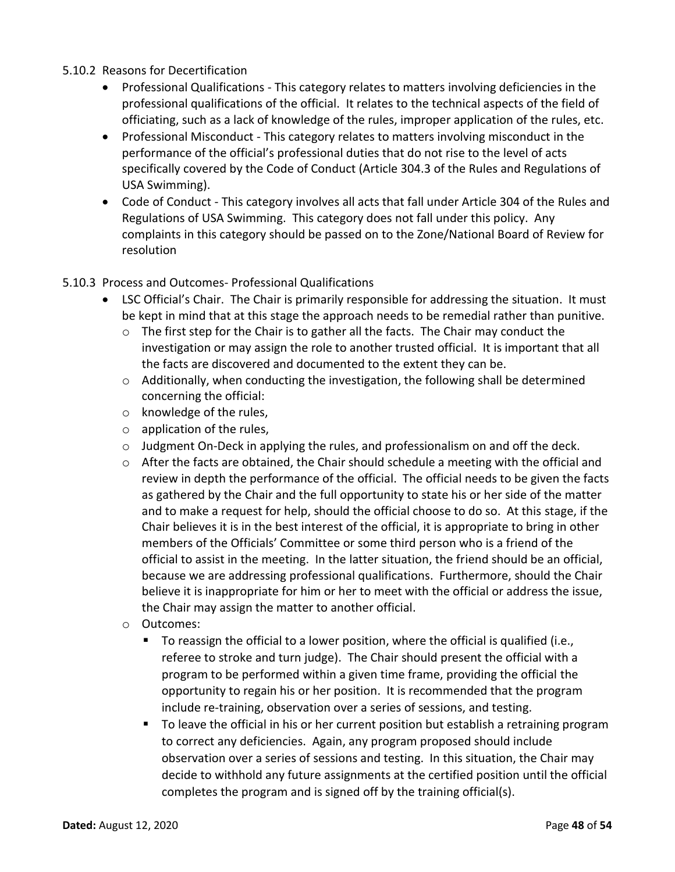# 5.10.2 Reasons for Decertification

- Professional Qualifications This category relates to matters involving deficiencies in the professional qualifications of the official. It relates to the technical aspects of the field of officiating, such as a lack of knowledge of the rules, improper application of the rules, etc.
- Professional Misconduct This category relates to matters involving misconduct in the performance of the official's professional duties that do not rise to the level of acts specifically covered by the Code of Conduct (Article 304.3 of the Rules and Regulations of USA Swimming).
- Code of Conduct This category involves all acts that fall under Article 304 of the Rules and Regulations of USA Swimming. This category does not fall under this policy. Any complaints in this category should be passed on to the Zone/National Board of Review for resolution

#### 5.10.3 Process and Outcomes- Professional Qualifications

- LSC Official's Chair. The Chair is primarily responsible for addressing the situation. It must be kept in mind that at this stage the approach needs to be remedial rather than punitive.
	- $\circ$  The first step for the Chair is to gather all the facts. The Chair may conduct the investigation or may assign the role to another trusted official. It is important that all the facts are discovered and documented to the extent they can be.
	- $\circ$  Additionally, when conducting the investigation, the following shall be determined concerning the official:
	- o knowledge of the rules,
	- o application of the rules,
	- $\circ$  Judgment On-Deck in applying the rules, and professionalism on and off the deck.
	- $\circ$  After the facts are obtained, the Chair should schedule a meeting with the official and review in depth the performance of the official. The official needs to be given the facts as gathered by the Chair and the full opportunity to state his or her side of the matter and to make a request for help, should the official choose to do so. At this stage, if the Chair believes it is in the best interest of the official, it is appropriate to bring in other members of the Officials' Committee or some third person who is a friend of the official to assist in the meeting. In the latter situation, the friend should be an official, because we are addressing professional qualifications. Furthermore, should the Chair believe it is inappropriate for him or her to meet with the official or address the issue, the Chair may assign the matter to another official.
	- o Outcomes:
		- To reassign the official to a lower position, where the official is qualified (i.e., referee to stroke and turn judge). The Chair should present the official with a program to be performed within a given time frame, providing the official the opportunity to regain his or her position. It is recommended that the program include re-training, observation over a series of sessions, and testing.
		- To leave the official in his or her current position but establish a retraining program to correct any deficiencies. Again, any program proposed should include observation over a series of sessions and testing. In this situation, the Chair may decide to withhold any future assignments at the certified position until the official completes the program and is signed off by the training official(s).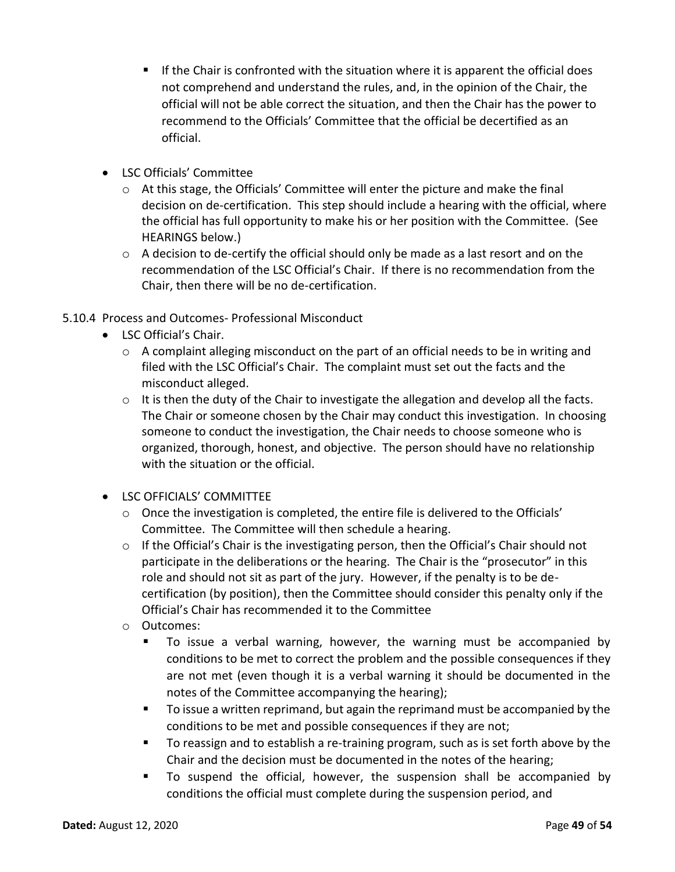- If the Chair is confronted with the situation where it is apparent the official does not comprehend and understand the rules, and, in the opinion of the Chair, the official will not be able correct the situation, and then the Chair has the power to recommend to the Officials' Committee that the official be decertified as an official.
- LSC Officials' Committee
	- $\circ$  At this stage, the Officials' Committee will enter the picture and make the final decision on de-certification. This step should include a hearing with the official, where the official has full opportunity to make his or her position with the Committee. (See HEARINGS below.)
	- o A decision to de-certify the official should only be made as a last resort and on the recommendation of the LSC Official's Chair. If there is no recommendation from the Chair, then there will be no de-certification.

# 5.10.4 Process and Outcomes- Professional Misconduct

- LSC Official's Chair.
	- o A complaint alleging misconduct on the part of an official needs to be in writing and filed with the LSC Official's Chair. The complaint must set out the facts and the misconduct alleged.
	- o It is then the duty of the Chair to investigate the allegation and develop all the facts. The Chair or someone chosen by the Chair may conduct this investigation. In choosing someone to conduct the investigation, the Chair needs to choose someone who is organized, thorough, honest, and objective. The person should have no relationship with the situation or the official.
- LSC OFFICIALS' COMMITTEE
	- $\circ$  Once the investigation is completed, the entire file is delivered to the Officials' Committee. The Committee will then schedule a hearing.
	- $\circ$  If the Official's Chair is the investigating person, then the Official's Chair should not participate in the deliberations or the hearing. The Chair is the "prosecutor" in this role and should not sit as part of the jury. However, if the penalty is to be decertification (by position), then the Committee should consider this penalty only if the Official's Chair has recommended it to the Committee
	- o Outcomes:
		- To issue a verbal warning, however, the warning must be accompanied by conditions to be met to correct the problem and the possible consequences if they are not met (even though it is a verbal warning it should be documented in the notes of the Committee accompanying the hearing);
		- To issue a written reprimand, but again the reprimand must be accompanied by the conditions to be met and possible consequences if they are not;
		- To reassign and to establish a re-training program, such as is set forth above by the Chair and the decision must be documented in the notes of the hearing;
		- To suspend the official, however, the suspension shall be accompanied by conditions the official must complete during the suspension period, and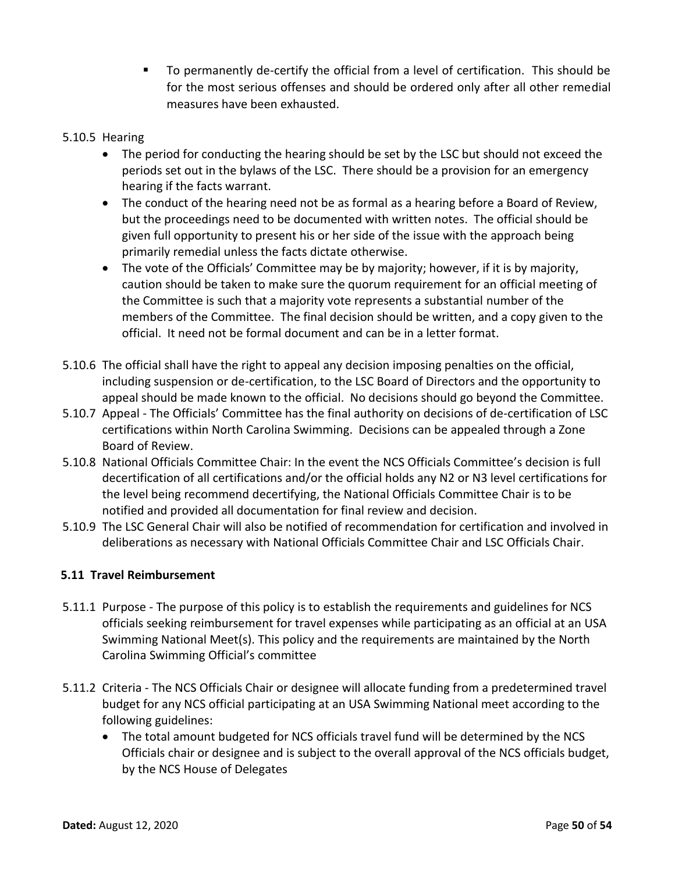■ To permanently de-certify the official from a level of certification. This should be for the most serious offenses and should be ordered only after all other remedial measures have been exhausted.

# 5.10.5 Hearing

- The period for conducting the hearing should be set by the LSC but should not exceed the periods set out in the bylaws of the LSC. There should be a provision for an emergency hearing if the facts warrant.
- The conduct of the hearing need not be as formal as a hearing before a Board of Review, but the proceedings need to be documented with written notes. The official should be given full opportunity to present his or her side of the issue with the approach being primarily remedial unless the facts dictate otherwise.
- The vote of the Officials' Committee may be by majority; however, if it is by majority, caution should be taken to make sure the quorum requirement for an official meeting of the Committee is such that a majority vote represents a substantial number of the members of the Committee. The final decision should be written, and a copy given to the official. It need not be formal document and can be in a letter format.
- 5.10.6 The official shall have the right to appeal any decision imposing penalties on the official, including suspension or de-certification, to the LSC Board of Directors and the opportunity to appeal should be made known to the official. No decisions should go beyond the Committee.
- 5.10.7 Appeal The Officials' Committee has the final authority on decisions of de-certification of LSC certifications within North Carolina Swimming. Decisions can be appealed through a Zone Board of Review.
- 5.10.8 National Officials Committee Chair: In the event the NCS Officials Committee's decision is full decertification of all certifications and/or the official holds any N2 or N3 level certifications for the level being recommend decertifying, the National Officials Committee Chair is to be notified and provided all documentation for final review and decision.
- 5.10.9 The LSC General Chair will also be notified of recommendation for certification and involved in deliberations as necessary with National Officials Committee Chair and LSC Officials Chair.

# <span id="page-49-0"></span>**5.11 Travel Reimbursement**

- 5.11.1 Purpose The purpose of this policy is to establish the requirements and guidelines for NCS officials seeking reimbursement for travel expenses while participating as an official at an USA Swimming National Meet(s). This policy and the requirements are maintained by the North Carolina Swimming Official's committee
- 5.11.2 Criteria The NCS Officials Chair or designee will allocate funding from a predetermined travel budget for any NCS official participating at an USA Swimming National meet according to the following guidelines:
	- The total amount budgeted for NCS officials travel fund will be determined by the NCS Officials chair or designee and is subject to the overall approval of the NCS officials budget, by the NCS House of Delegates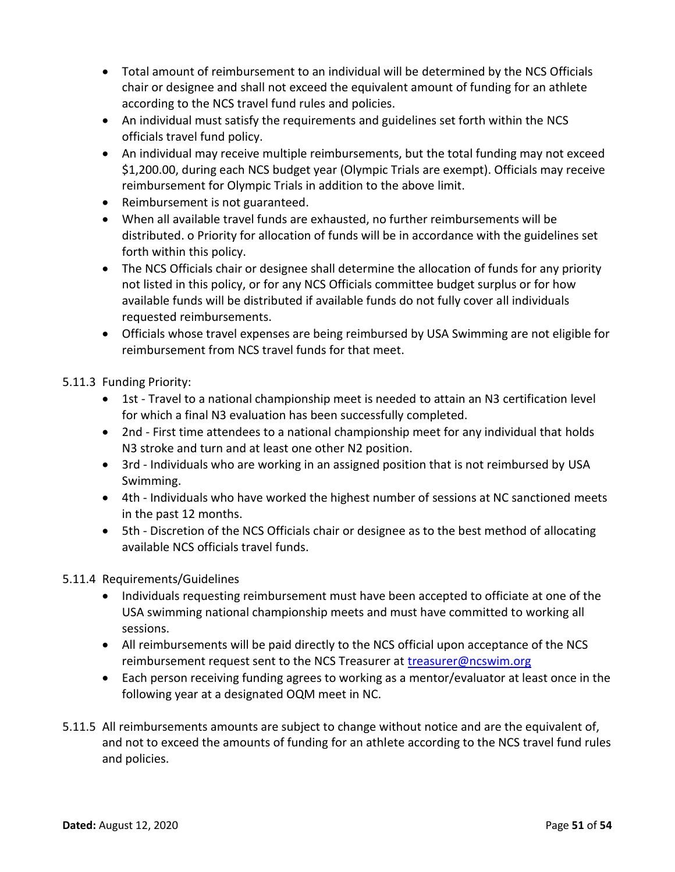- Total amount of reimbursement to an individual will be determined by the NCS Officials chair or designee and shall not exceed the equivalent amount of funding for an athlete according to the NCS travel fund rules and policies.
- An individual must satisfy the requirements and guidelines set forth within the NCS officials travel fund policy.
- An individual may receive multiple reimbursements, but the total funding may not exceed \$1,200.00, during each NCS budget year (Olympic Trials are exempt). Officials may receive reimbursement for Olympic Trials in addition to the above limit.
- Reimbursement is not guaranteed.
- When all available travel funds are exhausted, no further reimbursements will be distributed. o Priority for allocation of funds will be in accordance with the guidelines set forth within this policy.
- The NCS Officials chair or designee shall determine the allocation of funds for any priority not listed in this policy, or for any NCS Officials committee budget surplus or for how available funds will be distributed if available funds do not fully cover all individuals requested reimbursements.
- Officials whose travel expenses are being reimbursed by USA Swimming are not eligible for reimbursement from NCS travel funds for that meet.

# 5.11.3 Funding Priority:

- 1st Travel to a national championship meet is needed to attain an N3 certification level for which a final N3 evaluation has been successfully completed.
- 2nd First time attendees to a national championship meet for any individual that holds N3 stroke and turn and at least one other N2 position.
- 3rd Individuals who are working in an assigned position that is not reimbursed by USA Swimming.
- 4th Individuals who have worked the highest number of sessions at NC sanctioned meets in the past 12 months.
- 5th Discretion of the NCS Officials chair or designee as to the best method of allocating available NCS officials travel funds.

# 5.11.4 Requirements/Guidelines

- Individuals requesting reimbursement must have been accepted to officiate at one of the USA swimming national championship meets and must have committed to working all sessions.
- All reimbursements will be paid directly to the NCS official upon acceptance of the NCS reimbursement request sent to the NCS Treasurer at [treasurer@ncswim.org](mailto:treasurer@ncswim.org)
- Each person receiving funding agrees to working as a mentor/evaluator at least once in the following year at a designated OQM meet in NC.
- 5.11.5 All reimbursements amounts are subject to change without notice and are the equivalent of, and not to exceed the amounts of funding for an athlete according to the NCS travel fund rules and policies.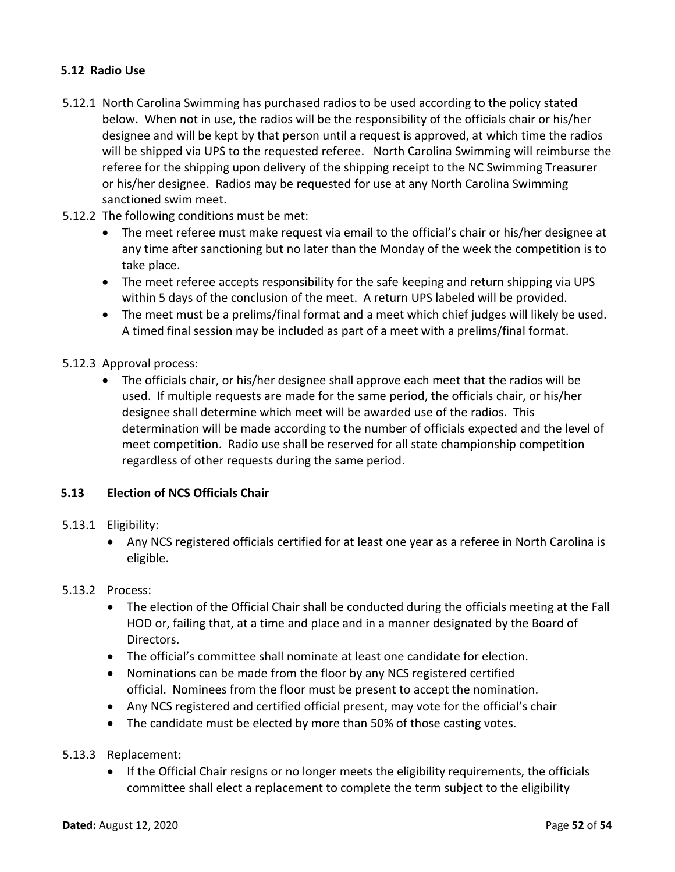# <span id="page-51-0"></span>**5.12 Radio Use**

- 5.12.1 North Carolina Swimming has purchased radios to be used according to the policy stated below. When not in use, the radios will be the responsibility of the officials chair or his/her designee and will be kept by that person until a request is approved, at which time the radios will be shipped via UPS to the requested referee. North Carolina Swimming will reimburse the referee for the shipping upon delivery of the shipping receipt to the NC Swimming Treasurer or his/her designee. Radios may be requested for use at any North Carolina Swimming sanctioned swim meet.
- 5.12.2 The following conditions must be met:
	- The meet referee must make request via email to the official's chair or his/her designee at any time after sanctioning but no later than the Monday of the week the competition is to take place.
	- The meet referee accepts responsibility for the safe keeping and return shipping via UPS within 5 days of the conclusion of the meet. A return UPS labeled will be provided.
	- The meet must be a prelims/final format and a meet which chief judges will likely be used. A timed final session may be included as part of a meet with a prelims/final format.

#### 5.12.3 Approval process:

• The officials chair, or his/her designee shall approve each meet that the radios will be used. If multiple requests are made for the same period, the officials chair, or his/her designee shall determine which meet will be awarded use of the radios. This determination will be made according to the number of officials expected and the level of meet competition. Radio use shall be reserved for all state championship competition regardless of other requests during the same period.

#### <span id="page-51-1"></span>**5.13 Election of NCS Officials Chair**

#### 5.13.1 Eligibility:

• Any NCS registered officials certified for at least one year as a referee in North Carolina is eligible.

#### 5.13.2 Process:

- The election of the Official Chair shall be conducted during the officials meeting at the Fall HOD or, failing that, at a time and place and in a manner designated by the Board of Directors.
- The official's committee shall nominate at least one candidate for election.
- Nominations can be made from the floor by any NCS registered certified official. Nominees from the floor must be present to accept the nomination.
- Any NCS registered and certified official present, may vote for the official's chair
- The candidate must be elected by more than 50% of those casting votes.
- 5.13.3 Replacement:
	- If the Official Chair resigns or no longer meets the eligibility requirements, the officials committee shall elect a replacement to complete the term subject to the eligibility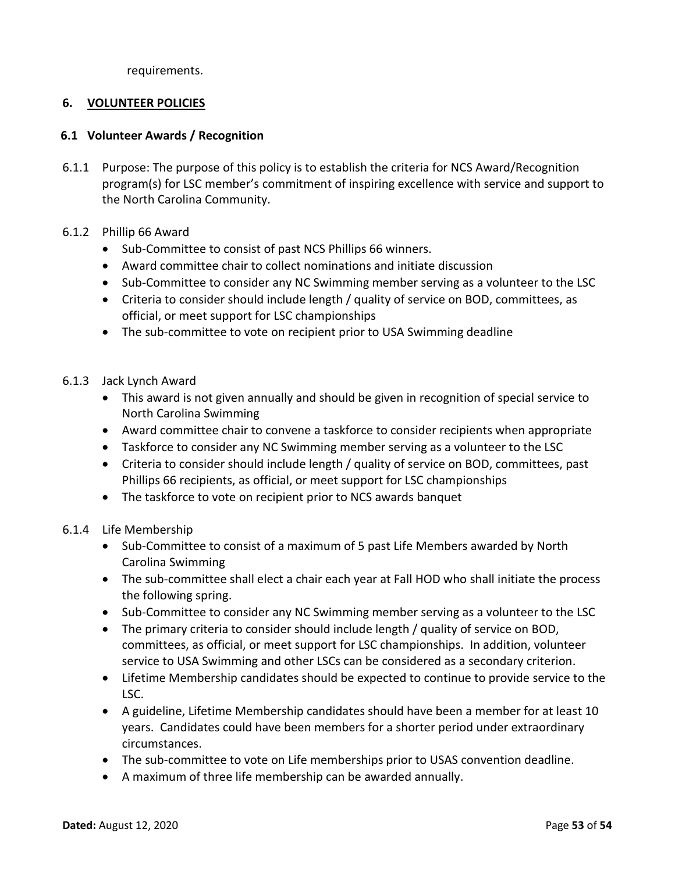requirements.

# <span id="page-52-0"></span>**6. VOLUNTEER POLICIES**

#### <span id="page-52-1"></span>**6.1 Volunteer Awards / Recognition**

- 6.1.1 Purpose: The purpose of this policy is to establish the criteria for NCS Award/Recognition program(s) for LSC member's commitment of inspiring excellence with service and support to the North Carolina Community.
- 6.1.2 Phillip 66 Award
	- Sub-Committee to consist of past NCS Phillips 66 winners.
	- Award committee chair to collect nominations and initiate discussion
	- Sub-Committee to consider any NC Swimming member serving as a volunteer to the LSC
	- Criteria to consider should include length / quality of service on BOD, committees, as official, or meet support for LSC championships
	- The sub-committee to vote on recipient prior to USA Swimming deadline
- 6.1.3 Jack Lynch Award
	- This award is not given annually and should be given in recognition of special service to North Carolina Swimming
	- Award committee chair to convene a taskforce to consider recipients when appropriate
	- Taskforce to consider any NC Swimming member serving as a volunteer to the LSC
	- Criteria to consider should include length / quality of service on BOD, committees, past Phillips 66 recipients, as official, or meet support for LSC championships
	- The taskforce to vote on recipient prior to NCS awards banquet
- 6.1.4 Life Membership
	- Sub-Committee to consist of a maximum of 5 past Life Members awarded by North Carolina Swimming
	- The sub-committee shall elect a chair each year at Fall HOD who shall initiate the process the following spring.
	- Sub-Committee to consider any NC Swimming member serving as a volunteer to the LSC
	- The primary criteria to consider should include length / quality of service on BOD, committees, as official, or meet support for LSC championships. In addition, volunteer service to USA Swimming and other LSCs can be considered as a secondary criterion.
	- Lifetime Membership candidates should be expected to continue to provide service to the LSC.
	- A guideline, Lifetime Membership candidates should have been a member for at least 10 years. Candidates could have been members for a shorter period under extraordinary circumstances.
	- The sub-committee to vote on Life memberships prior to USAS convention deadline.
	- A maximum of three life membership can be awarded annually.